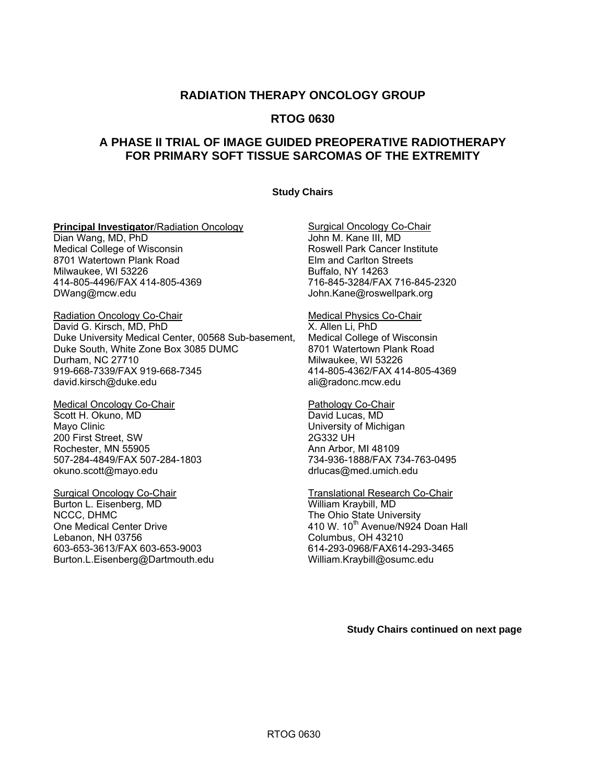## **RADIATION THERAPY ONCOLOGY GROUP**

## **RTOG 0630**

## **A PHASE II TRIAL OF IMAGE GUIDED PREOPERATIVE RADIOTHERAPY FOR PRIMARY SOFT TISSUE SARCOMAS OF THE EXTREMITY**

#### **Study Chairs**

#### **Principal Investigator/Radiation Oncology Surgical Oncology Co-Chair**

Dian Wang, MD, PhD **Internal Contract Contract Contract Contract Contract Contract Contract Contract Contract Contract Contract Contract Contract Contract Contract Contract Contract Contract Contract Contract Contract Cont** Medical College of Wisconsin<br>
8701 Watertown Plank Road<br>
Roswell Park Cancer Institute<br>
Elm and Carlton Streets 8701 Watertown Plank Road Milwaukee, WI 53226 Buffalo, NY 14263 414-805-4496/FAX 414-805-4369<br>DWang@mcw.edu

Radiation Oncology Co-Chair **Medical Physics Co-Chair** Medical Physics Co-Chair David G. Kirsch, MD, PhD<br>Duke University Medical Center, 00568 Sub-basement, Medical College of Wisconsin Duke University Medical Center, 00568 Sub-basement, Medical College of Wisconsin Duke South, White Zone Box 3085 DUMC Durham, NC 27710 Milwaukee, WI 53226 919-668-7339/FAX 919-668-7345 414-805-4362/FAX 414-805-4369 david.[kirsch@duke.edu](mailto:kirsch@duke.edu) ali@radonc.mcw.edu

Medical Oncology Co-Chair **Pathology Co-Chair** Pathology Co-Chair Scott H. Okuno, MD David Lucas, MD Mayo Clinic **National Clinic Clinic** Clinic Clinic Clinic Clinic Clinic Clinic Clinic Clinic Clinic Clinic Clinic Clinic Clinic Clinic Clinic Clinic Clinic Clinic Clinic Clinic Clinic Clinic Clinic Clinic Clinic Clinic Cli 200 First Street, SW 2G332 UH Rochester, MN 55905 Ann Arbor, MI 48109 507-284-4849/FAX 507-284-1803 734-936-1888/FAX 734-763-0495 okuno[.scott@mayo.edu](mailto:scott@mayo.edu) [drlucas@med.umich.edu](mailto:drlucas@med.umich.edu) 

Surgical Oncology Co-Chair **Translational Research Co-Chair** Translational Research Co-Chair Burton L. Eisenberg, MD William Kraybill, MD NCCC, DHMC The Ohio State University One Medical Center Drive **410 W. 10<sup>th</sup> Avenue/N924 Doan Hall** Lebanon, NH 03756 Columbus, OH 43210 603-653-3613/FAX 603-653-9003 Burton.L.[Eisenberg@Dartmouth.edu](mailto:Eisenberg@Dartmouth.edu) William[.Kraybill@osumc.edu](mailto:Kraybill@osumc.edu) 

John.Kane@roswellpark.org

 **Study Chairs continued on next page**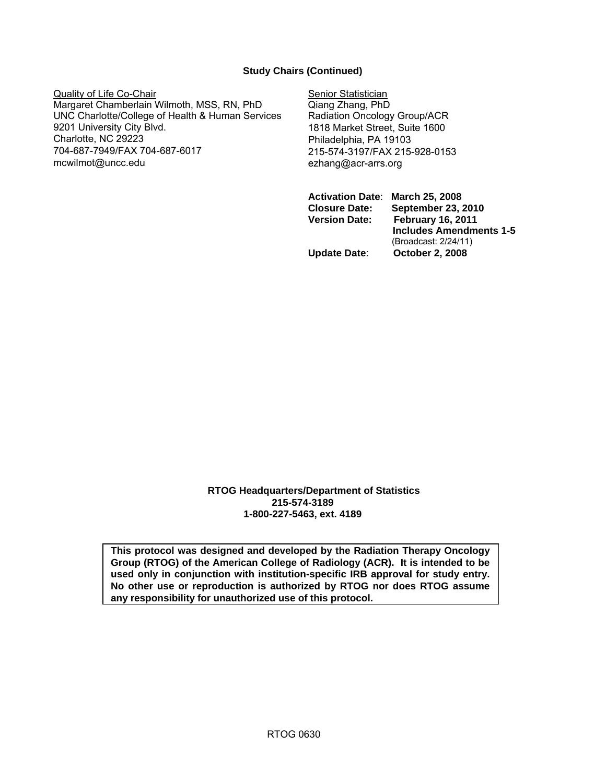## **Study Chairs (Continued)**

Quality of Life Co-Chair Senior Statistician Margaret Chamberlain Wilmoth, MSS, RN, PhD Qiang Zhang, PhD UNC Charlotte/College of Health & Human Services Radiation Oncology Group/ACR 9201 University City Blvd. 1818 Market Street, Suite 1600 Charlotte, NC 29223 Philadelphia, PA 19103 704-687-7949/FAX 704-687-6017<br>mcwilmot@uncc.edu ezhang@acr-arrs.org

ezhang@acr-arrs.org

**Activation Date**: **March 25, 2008 Closure Date: September 23, 2010 Version Date: February 16, 2011 Includes Amendments 1-5**  (Broadcast: 2/24/11) **Update Date**: **October 2, 2008**

**RTOG Headquarters/Department of Statistics 215-574-3189 1-800-227-5463, ext. 4189** 

**This protocol was designed and developed by the Radiation Therapy Oncology Group (RTOG) of the American College of Radiology (ACR). It is intended to be used only in conjunction with institution-specific IRB approval for study entry. No other use or reproduction is authorized by RTOG nor does RTOG assume any responsibility for unauthorized use of this protocol.**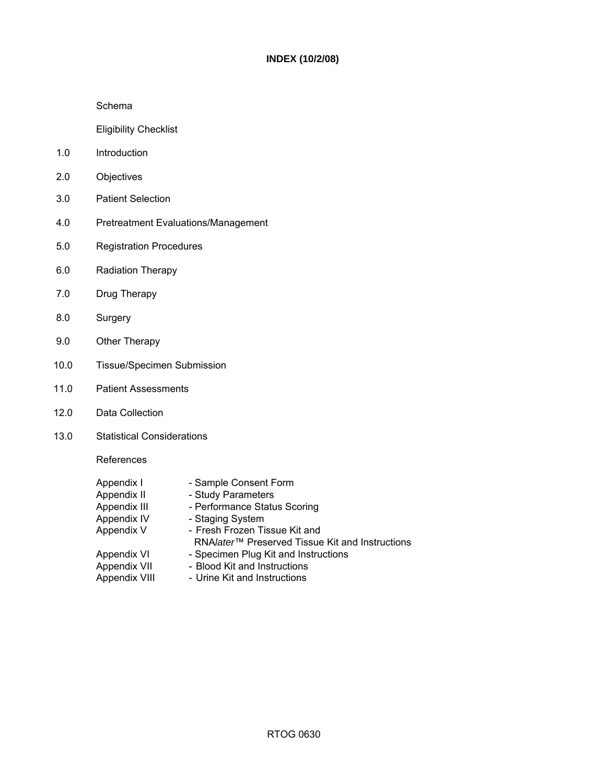#### **INDEX (10/2/08)**

#### Schema

Eligibility Checklist

- 1.0 Introduction
- 2.0 Objectives
- 3.0 Patient Selection
- 4.0 Pretreatment Evaluations/Management
- 5.0 Registration Procedures
- 6.0 Radiation Therapy
- 7.0 Drug Therapy
- 8.0 Surgery
- 9.0 Other Therapy
- 10.0 Tissue/Specimen Submission
- 11.0 Patient Assessments
- 12.0 Data Collection
- 13.0 Statistical Considerations

References

| Appendix I    | - Sample Consent Form                                       |
|---------------|-------------------------------------------------------------|
| Appendix II   | - Study Parameters                                          |
| Appendix III  | - Performance Status Scoring                                |
| Appendix IV   | - Staging System                                            |
| Appendix V    | - Fresh Frozen Tissue Kit and                               |
|               | RNA/ater <sup>™</sup> Preserved Tissue Kit and Instructions |
| Appendix VI   | - Specimen Plug Kit and Instructions                        |
| Appendix VII  | - Blood Kit and Instructions                                |
| Appendix VIII | - Urine Kit and Instructions                                |
|               |                                                             |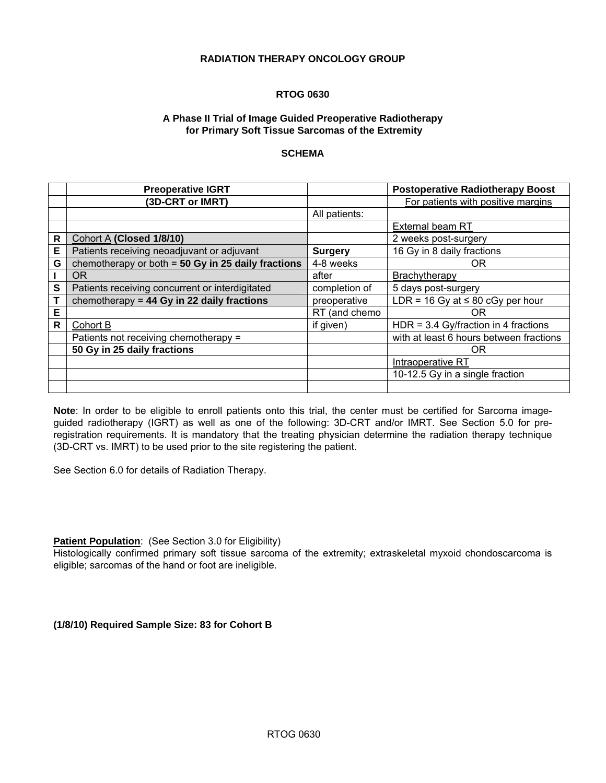#### **RADIATION THERAPY ONCOLOGY GROUP**

### **RTOG 0630**

#### **A Phase II Trial of Image Guided Preoperative Radiotherapy for Primary Soft Tissue Sarcomas of the Extremity**

#### **SCHEMA**

|   | <b>Preoperative IGRT</b>                             |                | <b>Postoperative Radiotherapy Boost</b> |
|---|------------------------------------------------------|----------------|-----------------------------------------|
|   | (3D-CRT or IMRT)                                     |                | For patients with positive margins      |
|   |                                                      | All patients:  |                                         |
|   |                                                      |                | <b>External beam RT</b>                 |
| R | Cohort A (Closed 1/8/10)                             |                | 2 weeks post-surgery                    |
| E | Patients receiving neoadjuvant or adjuvant           | <b>Surgery</b> | 16 Gy in 8 daily fractions              |
| G | chemotherapy or both $=$ 50 Gy in 25 daily fractions | 4-8 weeks      | 0R                                      |
|   | <b>OR</b>                                            | after          | Brachytherapy                           |
| S | Patients receiving concurrent or interdigitated      | completion of  | 5 days post-surgery                     |
| Т | chemotherapy = $44$ Gy in 22 daily fractions         | preoperative   | LDR = 16 Gy at $\leq$ 80 cGy per hour   |
| Е |                                                      | RT (and chemo  | OR.                                     |
| R | Cohort B                                             | if given)      | HDR = $3.4$ Gy/fraction in 4 fractions  |
|   | Patients not receiving chemotherapy =                |                | with at least 6 hours between fractions |
|   | 50 Gy in 25 daily fractions                          |                | 0R                                      |
|   |                                                      |                | Intraoperative RT                       |
|   |                                                      |                | 10-12.5 Gy in a single fraction         |
|   |                                                      |                |                                         |

**Note**: In order to be eligible to enroll patients onto this trial, the center must be certified for Sarcoma imageguided radiotherapy (IGRT) as well as one of the following: 3D-CRT and/or IMRT. See Section 5.0 for preregistration requirements. It is mandatory that the treating physician determine the radiation therapy technique (3D-CRT vs. IMRT) to be used prior to the site registering the patient.

See Section 6.0 for details of Radiation Therapy.

**Patient Population:** (See Section 3.0 for Eligibility)

Histologically confirmed primary soft tissue sarcoma of the extremity; extraskeletal myxoid chondoscarcoma is eligible; sarcomas of the hand or foot are ineligible.

**(1/8/10) Required Sample Size: 83 for Cohort B**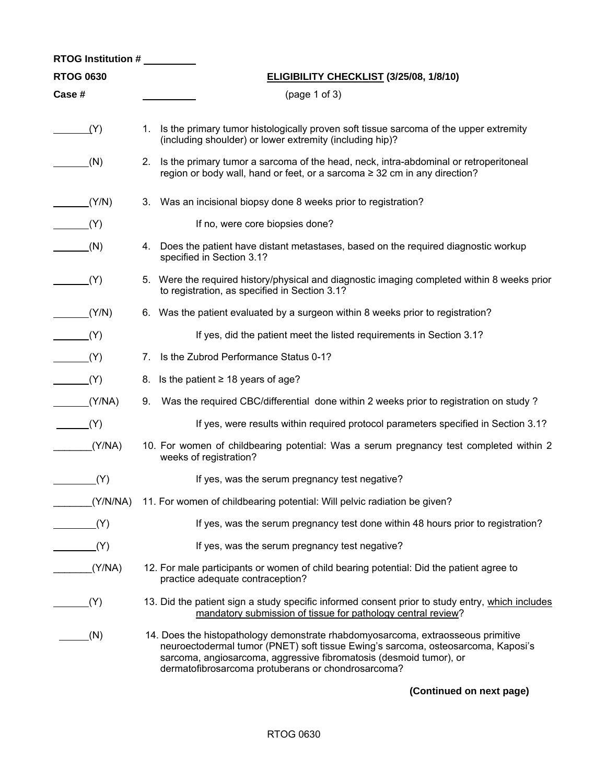| <b>RTOG Institution #</b> |                                                                                                                                                                                                                                                                                                  |
|---------------------------|--------------------------------------------------------------------------------------------------------------------------------------------------------------------------------------------------------------------------------------------------------------------------------------------------|
| <b>RTOG 0630</b>          | ELIGIBILITY CHECKLIST (3/25/08, 1/8/10)                                                                                                                                                                                                                                                          |
| Case #                    | (page 1 of 3)                                                                                                                                                                                                                                                                                    |
| (Y)                       | Is the primary tumor histologically proven soft tissue sarcoma of the upper extremity<br>1.<br>(including shoulder) or lower extremity (including hip)?                                                                                                                                          |
| (N)                       | 2. Is the primary tumor a sarcoma of the head, neck, intra-abdominal or retroperitoneal<br>region or body wall, hand or feet, or a sarcoma ≥ 32 cm in any direction?                                                                                                                             |
| (Y/N)                     | Was an incisional biopsy done 8 weeks prior to registration?<br>3.                                                                                                                                                                                                                               |
| (Y)                       | If no, were core biopsies done?                                                                                                                                                                                                                                                                  |
| (N)                       | 4. Does the patient have distant metastases, based on the required diagnostic workup<br>specified in Section 3.1?                                                                                                                                                                                |
| (Y)                       | 5. Were the required history/physical and diagnostic imaging completed within 8 weeks prior<br>to registration, as specified in Section 3.1?                                                                                                                                                     |
| (Y/N)                     | 6. Was the patient evaluated by a surgeon within 8 weeks prior to registration?                                                                                                                                                                                                                  |
| (Y)                       | If yes, did the patient meet the listed requirements in Section 3.1?                                                                                                                                                                                                                             |
| (Y)                       | 7. Is the Zubrod Performance Status 0-1?                                                                                                                                                                                                                                                         |
| (Y)                       | 8. Is the patient $\geq$ 18 years of age?                                                                                                                                                                                                                                                        |
| (Y/NA)                    | Was the required CBC/differential done within 2 weeks prior to registration on study?<br>9.                                                                                                                                                                                                      |
| (Y)                       | If yes, were results within required protocol parameters specified in Section 3.1?                                                                                                                                                                                                               |
| (Y/NA)                    | 10. For women of childbearing potential: Was a serum pregnancy test completed within 2<br>weeks of registration?                                                                                                                                                                                 |
| (Y)                       | If yes, was the serum pregnancy test negative?                                                                                                                                                                                                                                                   |
|                           | (Y/N/NA) 11. For women of childbearing potential: Will pelvic radiation be given?                                                                                                                                                                                                                |
| (Y)                       | If yes, was the serum pregnancy test done within 48 hours prior to registration?                                                                                                                                                                                                                 |
| (Y)                       | If yes, was the serum pregnancy test negative?                                                                                                                                                                                                                                                   |
| (Y/NA)                    | 12. For male participants or women of child bearing potential: Did the patient agree to<br>practice adequate contraception?                                                                                                                                                                      |
| (Y)                       | 13. Did the patient sign a study specific informed consent prior to study entry, which includes<br>mandatory submission of tissue for pathology central review?                                                                                                                                  |
| (N)                       | 14. Does the histopathology demonstrate rhabdomyosarcoma, extraosseous primitive<br>neuroectodermal tumor (PNET) soft tissue Ewing's sarcoma, osteosarcoma, Kaposi's<br>sarcoma, angiosarcoma, aggressive fibromatosis (desmoid tumor), or<br>dermatofibrosarcoma protuberans or chondrosarcoma? |

**(Continued on next page)**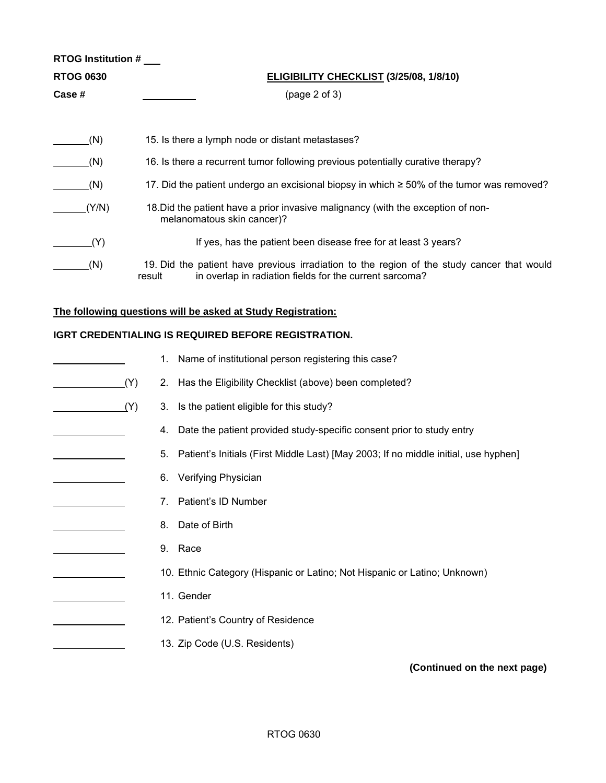| RTOG Institution # |        |    |                                                                                                                                                       |
|--------------------|--------|----|-------------------------------------------------------------------------------------------------------------------------------------------------------|
| <b>RTOG 0630</b>   |        |    | <b>ELIGIBILITY CHECKLIST (3/25/08, 1/8/10)</b>                                                                                                        |
| Case #             |        |    | (page 2 of 3)                                                                                                                                         |
|                    |        |    |                                                                                                                                                       |
| (N)                |        |    | 15. Is there a lymph node or distant metastases?                                                                                                      |
| (N)                |        |    | 16. Is there a recurrent tumor following previous potentially curative therapy?                                                                       |
| (N)                |        |    | 17. Did the patient undergo an excisional biopsy in which ≥ 50% of the tumor was removed?                                                             |
| (Y/N)              |        |    | 18. Did the patient have a prior invasive malignancy (with the exception of non-<br>melanomatous skin cancer)?                                        |
| (Y)                |        |    | If yes, has the patient been disease free for at least 3 years?                                                                                       |
| (N)                | result |    | 19. Did the patient have previous irradiation to the region of the study cancer that would<br>in overlap in radiation fields for the current sarcoma? |
|                    |        |    | The following questions will be asked at Study Registration:                                                                                          |
|                    |        |    | IGRT CREDENTIALING IS REQUIRED BEFORE REGISTRATION.                                                                                                   |
|                    |        | 1. | Name of institutional person registering this case?                                                                                                   |
|                    | (Y)    | 2. | Has the Eligibility Checklist (above) been completed?                                                                                                 |
|                    | (Y)    | 3. | Is the patient eligible for this study?                                                                                                               |
|                    |        | 4. | Date the patient provided study-specific consent prior to study entry                                                                                 |
|                    |        | 5. | Patient's Initials (First Middle Last) [May 2003; If no middle initial, use hyphen]                                                                   |
|                    |        | 6. | Verifying Physician                                                                                                                                   |
|                    |        | 7. | Patient's ID Number                                                                                                                                   |
|                    |        | 8. | Date of Birth                                                                                                                                         |
|                    |        |    | 9. Race                                                                                                                                               |
|                    |        |    | 10. Ethnic Category (Hispanic or Latino; Not Hispanic or Latino; Unknown)                                                                             |
|                    |        |    | 11. Gender                                                                                                                                            |
|                    |        |    | 12. Patient's Country of Residence                                                                                                                    |
|                    |        |    | 13. Zip Code (U.S. Residents)                                                                                                                         |
|                    |        |    | (Continued on the next page)                                                                                                                          |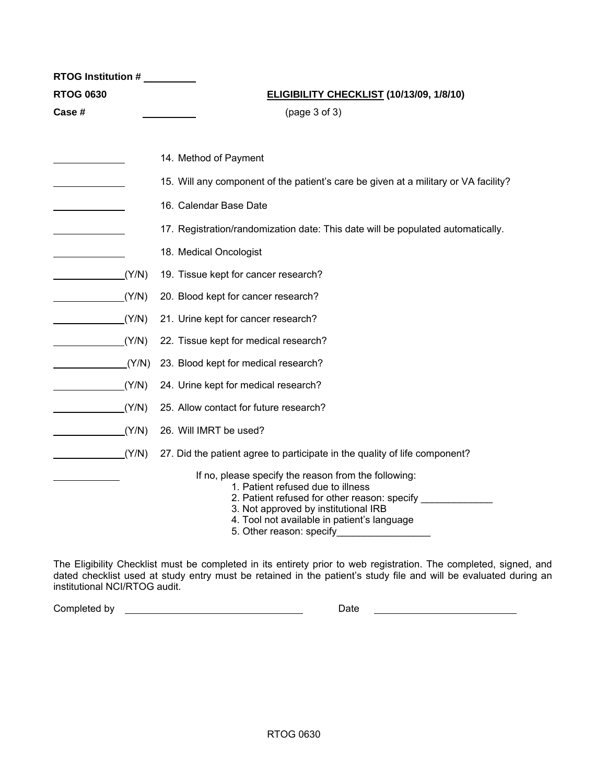| <b>RTOG Institution #</b> |                                                                                                                                                                                                                                                                                                                                                                                                                                                                                          |  |  |
|---------------------------|------------------------------------------------------------------------------------------------------------------------------------------------------------------------------------------------------------------------------------------------------------------------------------------------------------------------------------------------------------------------------------------------------------------------------------------------------------------------------------------|--|--|
| <b>RTOG 0630</b>          | ELIGIBILITY CHECKLIST (10/13/09, 1/8/10)                                                                                                                                                                                                                                                                                                                                                                                                                                                 |  |  |
| Case #                    | (page 3 of 3)                                                                                                                                                                                                                                                                                                                                                                                                                                                                            |  |  |
|                           |                                                                                                                                                                                                                                                                                                                                                                                                                                                                                          |  |  |
|                           | 14. Method of Payment                                                                                                                                                                                                                                                                                                                                                                                                                                                                    |  |  |
|                           | 15. Will any component of the patient's care be given at a military or VA facility?                                                                                                                                                                                                                                                                                                                                                                                                      |  |  |
|                           | 16. Calendar Base Date                                                                                                                                                                                                                                                                                                                                                                                                                                                                   |  |  |
|                           | 17. Registration/randomization date: This date will be populated automatically.                                                                                                                                                                                                                                                                                                                                                                                                          |  |  |
|                           | 18. Medical Oncologist                                                                                                                                                                                                                                                                                                                                                                                                                                                                   |  |  |
| (Y/N)                     | 19. Tissue kept for cancer research?                                                                                                                                                                                                                                                                                                                                                                                                                                                     |  |  |
| (Y/N)                     | 20. Blood kept for cancer research?                                                                                                                                                                                                                                                                                                                                                                                                                                                      |  |  |
| (Y/N)                     | 21. Urine kept for cancer research?                                                                                                                                                                                                                                                                                                                                                                                                                                                      |  |  |
| (Y/N)                     | 22. Tissue kept for medical research?                                                                                                                                                                                                                                                                                                                                                                                                                                                    |  |  |
| (Y/N)                     | 23. Blood kept for medical research?                                                                                                                                                                                                                                                                                                                                                                                                                                                     |  |  |
| (Y/N)                     | 24. Urine kept for medical research?                                                                                                                                                                                                                                                                                                                                                                                                                                                     |  |  |
| (Y/N)                     | 25. Allow contact for future research?                                                                                                                                                                                                                                                                                                                                                                                                                                                   |  |  |
| (Y/N)                     | 26. Will IMRT be used?                                                                                                                                                                                                                                                                                                                                                                                                                                                                   |  |  |
| (Y/N)                     | 27. Did the patient agree to participate in the quality of life component?                                                                                                                                                                                                                                                                                                                                                                                                               |  |  |
|                           | If no, please specify the reason from the following:<br>1. Patient refused due to illness<br>2. Patient refused for other reason: specify _______________<br>3. Not approved by institutional IRB<br>4. Tool not available in patient's language<br>5. Other reason: specify <b>contains the contract of the contract of the contract of the contract of the contract of the contract of the contract of the contract of the contract of the contract of the contract of the contrac</b> |  |  |

The Eligibility Checklist must be completed in its entirety prior to web registration. The completed, signed, and dated checklist used at study entry must be retained in the patient's study file and will be evaluated during an institutional NCI/RTOG audit.

Completed by Date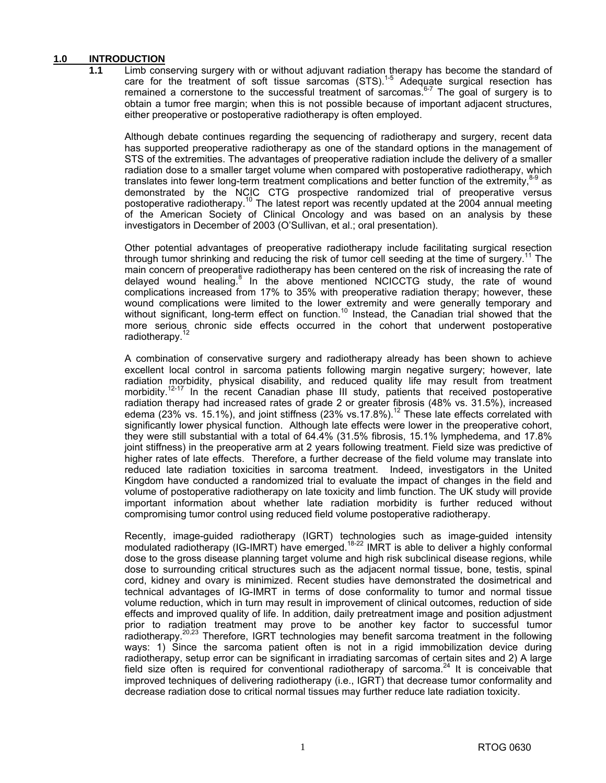## **1.0 INTRODUCTION**

Limb conserving surgery with or without adjuvant radiation therapy has become the standard of care for the treatment of soft tissue sarcomas (STS).<sup>1-5</sup> Adequate surgical resection has remained a cornerstone to the successful treatment of sarcomas.<sup>6-7</sup> The goal of surgery is to obtain a tumor free margin; when this is not possible because of important adjacent structures, either preoperative or postoperative radiotherapy is often employed.

 Although debate continues regarding the sequencing of radiotherapy and surgery, recent data has supported preoperative radiotherapy as one of the standard options in the management of STS of the extremities. The advantages of preoperative radiation include the delivery of a smaller radiation dose to a smaller target volume when compared with postoperative radiotherapy, which translates into fewer long-term treatment complications and better function of the extremity, $8-9$  as demonstrated by the NCIC CTG prospective randomized trial of preoperative versus postoperative radiotherapy.<sup>10</sup> The latest report was recently updated at the 2004 annual meeting of the American Society of Clinical Oncology and was based on an analysis by these investigators in December of 2003 (O'Sullivan, et al.; oral presentation).

 Other potential advantages of preoperative radiotherapy include facilitating surgical resection through tumor shrinking and reducing the risk of tumor cell seeding at the time of surgery.<sup>11</sup> The main concern of preoperative radiotherapy has been centered on the risk of increasing the rate of delayed wound healing.<sup>8</sup> In the above mentioned NCICCTG study, the rate of wound complications increased from 17% to 35% with preoperative radiation therapy; however, these wound complications were limited to the lower extremity and were generally temporary and without significant, long-term effect on function.<sup>10</sup> Instead, the Canadian trial showed that the more serious chronic side effects occurred in the cohort that underwent postoperative radiotherapy.<sup>12</sup>

 A combination of conservative surgery and radiotherapy already has been shown to achieve excellent local control in sarcoma patients following margin negative surgery; however, late radiation morbidity, physical disability, and reduced quality life may result from treatment morbidity.<sup>12-17</sup> In the recent Canadian phase III study, patients that received postoperative radiation therapy had increased rates of grade 2 or greater fibrosis (48% vs. 31.5%), increased edema (23% vs. 15.1%), and joint stiffness (23% vs.  $17.8\%$ ).<sup>12</sup> These late effects correlated with significantly lower physical function. Although late effects were lower in the preoperative cohort, they were still substantial with a total of 64.4% (31.5% fibrosis, 15.1% lymphedema, and 17.8% joint stiffness) in the preoperative arm at 2 years following treatment. Field size was predictive of higher rates of late effects. Therefore, a further decrease of the field volume may translate into reduced late radiation toxicities in sarcoma treatment. Indeed, investigators in the United Kingdom have conducted a randomized trial to evaluate the impact of changes in the field and volume of postoperative radiotherapy on late toxicity and limb function. The UK study will provide important information about whether late radiation morbidity is further reduced without compromising tumor control using reduced field volume postoperative radiotherapy.

 Recently, image-guided radiotherapy (IGRT) technologies such as image-guided intensity modulated radiotherapy (IG-IMRT) have emerged.<sup>18-22</sup> IMRT is able to deliver a highly conformal dose to the gross disease planning target volume and high risk subclinical disease regions, while dose to surrounding critical structures such as the adjacent normal tissue, bone, testis, spinal cord, kidney and ovary is minimized. Recent studies have demonstrated the dosimetrical and technical advantages of IG-IMRT in terms of dose conformality to tumor and normal tissue volume reduction, which in turn may result in improvement of clinical outcomes, reduction of side effects and improved quality of life. In addition, daily pretreatment image and position adjustment prior to radiation treatment may prove to be another key factor to successful tumor radiotherapy.<sup>20,23</sup> Therefore, IGRT technologies may benefit sarcoma treatment in the following ways: 1) Since the sarcoma patient often is not in a rigid immobilization device during radiotherapy, setup error can be significant in irradiating sarcomas of certain sites and 2) A large field size often is required for conventional radiotherapy of sarcoma. $24$  It is conceivable that improved techniques of delivering radiotherapy (i.e., IGRT) that decrease tumor conformality and decrease radiation dose to critical normal tissues may further reduce late radiation toxicity.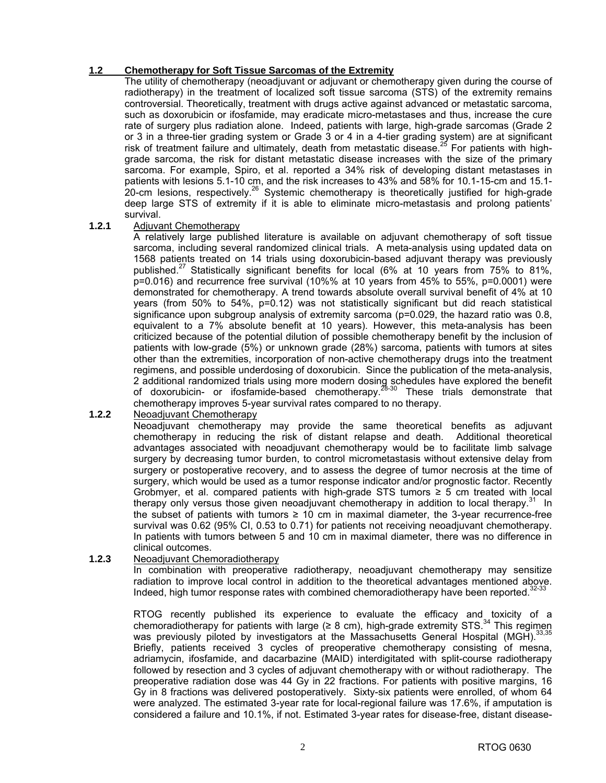#### **1.2 Chemotherapy for Soft Tissue Sarcomas of the Extremity**

 The utility of chemotherapy (neoadjuvant or adjuvant or chemotherapy given during the course of radiotherapy) in the treatment of localized soft tissue sarcoma (STS) of the extremity remains controversial. Theoretically, treatment with drugs active against advanced or metastatic sarcoma, such as doxorubicin or ifosfamide, may eradicate micro-metastases and thus, increase the cure rate of surgery plus radiation alone. Indeed, patients with large, high-grade sarcomas (Grade 2 or 3 in a three-tier grading system or Grade 3 or 4 in a 4-tier grading system) are at significant risk of treatment failure and ultimately, death from metastatic disease.<sup>25</sup> For patients with highgrade sarcoma, the risk for distant metastatic disease increases with the size of the primary sarcoma. For example, Spiro, et al. reported a 34% risk of developing distant metastases in patients with lesions 5.1-10 cm, and the risk increases to 43% and 58% for 10.1-15-cm and 15.1- 20-cm lesions, respectively.<sup>26</sup> Systemic chemotherapy is theoretically justified for high-grade deep large STS of extremity if it is able to eliminate micro-metastasis and prolong patients' survival.

#### **1.2.1** Adjuvant Chemotherapy

 A relatively large published literature is available on adjuvant chemotherapy of soft tissue sarcoma, including several randomized clinical trials. A meta-analysis using updated data on 1568 patients treated on 14 trials using doxorubicin-based adjuvant therapy was previously published.<sup>27</sup> Statistically significant benefits for local (6% at 10 years from 75% to 81%, p=0.016) and recurrence free survival (10%% at 10 years from 45% to 55%, p=0.0001) were demonstrated for chemotherapy. A trend towards absolute overall survival benefit of 4% at 10 years (from 50% to 54%, p=0.12) was not statistically significant but did reach statistical significance upon subgroup analysis of extremity sarcoma (p=0.029, the hazard ratio was 0.8, equivalent to a 7% absolute benefit at 10 years). However, this meta-analysis has been criticized because of the potential dilution of possible chemotherapy benefit by the inclusion of patients with low-grade (5%) or unknown grade (28%) sarcoma, patients with tumors at sites other than the extremities, incorporation of non-active chemotherapy drugs into the treatment regimens, and possible underdosing of doxorubicin. Since the publication of the meta-analysis, 2 additional randomized trials using more modern dosing schedules have explored the benefit of doxorubicin- or ifosfamide-based chemotherapy.<sup>28-30</sup> These trials demonstrate that chemotherapy improves 5-year survival rates compared to no therapy.

## **1.2.2** Neoadjuvant Chemotherapy

 Neoadjuvant chemotherapy may provide the same theoretical benefits as adjuvant chemotherapy in reducing the risk of distant relapse and death. Additional theoretical advantages associated with neoadjuvant chemotherapy would be to facilitate limb salvage surgery by decreasing tumor burden, to control micrometastasis without extensive delay from surgery or postoperative recovery, and to assess the degree of tumor necrosis at the time of surgery, which would be used as a tumor response indicator and/or prognostic factor. Recently Grobmyer, et al. compared patients with high-grade STS tumors  $\geq$  5 cm treated with local therapy only versus those given neoadjuvant chemotherapy in addition to local therapy.<sup>31</sup> In the subset of patients with tumors  $\geq 10$  cm in maximal diameter, the 3-year recurrence-free survival was 0.62 (95% CI, 0.53 to 0.71) for patients not receiving neoadjuvant chemotherapy. In patients with tumors between 5 and 10 cm in maximal diameter, there was no difference in clinical outcomes.

#### **1.2.3** Neoadjuvant Chemoradiotherapy

 In combination with preoperative radiotherapy, neoadjuvant chemotherapy may sensitize radiation to improve local control in addition to the theoretical advantages mentioned above. Indeed, high tumor response rates with combined chemoradiotherapy have been reported.<sup>32-</sup>

 RTOG recently published its experience to evaluate the efficacy and toxicity of a chemoradiotherapy for patients with large ( $\geq 8$  cm), high-grade extremity STS.<sup>34</sup> This regimen was previously piloted by investigators at the Massachusetts General Hospital (MGH).<sup>33,35</sup> Briefly, patients received 3 cycles of preoperative chemotherapy consisting of mesna, adriamycin, ifosfamide, and dacarbazine (MAID) interdigitated with split-course radiotherapy followed by resection and 3 cycles of adjuvant chemotherapy with or without radiotherapy. The preoperative radiation dose was 44 Gy in 22 fractions. For patients with positive margins, 16 Gy in 8 fractions was delivered postoperatively. Sixty-six patients were enrolled, of whom 64 were analyzed. The estimated 3-year rate for local-regional failure was 17.6%, if amputation is considered a failure and 10.1%, if not. Estimated 3-year rates for disease-free, distant disease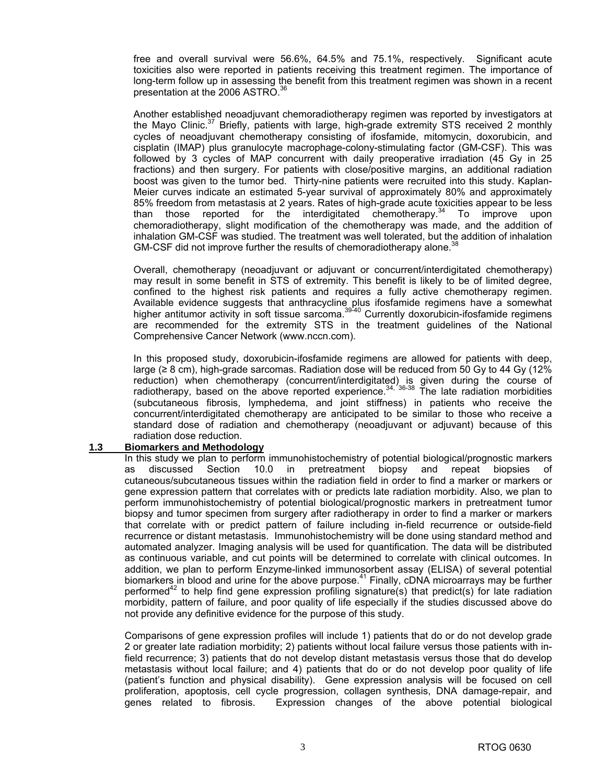free and overall survival were 56.6%, 64.5% and 75.1%, respectively. Significant acute toxicities also were reported in patients receiving this treatment regimen. The importance of long-term follow up in assessing the benefit from this treatment regimen was shown in a recent presentation at the 2006 ASTRO.<sup>36</sup>

 Another established neoadjuvant chemoradiotherapy regimen was reported by investigators at the Mayo Clinic.<sup>37</sup> Briefly, patients with large, high-grade extremity STS received 2 monthly cycles of neoadjuvant chemotherapy consisting of ifosfamide, mitomycin, doxorubicin, and cisplatin (IMAP) plus granulocyte macrophage-colony-stimulating factor (GM-CSF). This was followed by 3 cycles of MAP concurrent with daily preoperative irradiation (45 Gy in 25 fractions) and then surgery. For patients with close/positive margins, an additional radiation boost was given to the tumor bed. Thirty-nine patients were recruited into this study. Kaplan-Meier curves indicate an estimated 5-year survival of approximately 80% and approximately 85% freedom from metastasis at 2 years. Rates of high-grade acute toxicities appear to be less than those reported for the interdigitated chemotherapy.<sup>34</sup> To improve upon chemoradiotherapy, slight modification of the chemotherapy was made, and the addition of inhalation GM-CSF was studied. The treatment was well tolerated, but the addition of inhalation GM-CSF did not improve further the results of chemoradiotherapy alone.<sup>38</sup>

 Overall, chemotherapy (neoadjuvant or adjuvant or concurrent/interdigitated chemotherapy) may result in some benefit in STS of extremity. This benefit is likely to be of limited degree, confined to the highest risk patients and requires a fully active chemotherapy regimen. Available evidence suggests that anthracycline plus ifosfamide regimens have a somewhat higher antitumor activity in soft tissue sarcoma.<sup>39-40</sup> Currently doxorubicin-ifosfamide regimens are recommended for the extremity STS in the treatment guidelines of the National Comprehensive Cancer Network [\(www.nccn.com\).](http://www.nccn.com) 

 In this proposed study, doxorubicin-ifosfamide regimens are allowed for patients with deep, large (≥ 8 cm), high-grade sarcomas. Radiation dose will be reduced from 50 Gy to 44 Gy (12% reduction) when chemotherapy (concurrent/interdigitated) is given during the course of radiotherapy, based on the above reported experience.<sup>34, 36-38</sup> The late radiation morbidities (subcutaneous fibrosis, lymphedema, and joint stiffness) in patients who receive the concurrent/interdigitated chemotherapy are anticipated to be similar to those who receive a standard dose of radiation and chemotherapy (neoadjuvant or adjuvant) because of this radiation dose reduction.

#### **1.3 Biomarkers and Methodology**

 In this study we plan to perform immunohistochemistry of potential biological/prognostic markers as discussed Section 10.0 in pretreatment biopsy and repeat biopsies of cutaneous/subcutaneous tissues within the radiation field in order to find a marker or markers or gene expression pattern that correlates with or predicts late radiation morbidity. Also, we plan to perform immunohistochemistry of potential biological/prognostic markers in pretreatment tumor biopsy and tumor specimen from surgery after radiotherapy in order to find a marker or markers that correlate with or predict pattern of failure including in-field recurrence or outside-field recurrence or distant metastasis. Immunohistochemistry will be done using standard method and automated analyzer. Imaging analysis will be used for quantification. The data will be distributed as continuous variable, and cut points will be determined to correlate with clinical outcomes. In addition, we plan to perform Enzyme-linked immunosorbent assay (ELISA) of several potential biomarkers in blood and urine for the above purpose.<sup>41</sup> Finally, cDNA microarrays may be further performed<sup>42</sup> to help find gene expression profiling signature(s) that predict(s) for late radiation morbidity, pattern of failure, and poor quality of life especially if the studies discussed above do not provide any definitive evidence for the purpose of this study.

 Comparisons of gene expression profiles will include 1) patients that do or do not develop grade 2 or greater late radiation morbidity; 2) patients without local failure versus those patients with infield recurrence; 3) patients that do not develop distant metastasis versus those that do develop metastasis without local failure; and 4) patients that do or do not develop poor quality of life (patient's function and physical disability). Gene expression analysis will be focused on cell proliferation, apoptosis, cell cycle progression, collagen synthesis, DNA damage-repair, and genes related to fibrosis. Expression changes of the above potential biological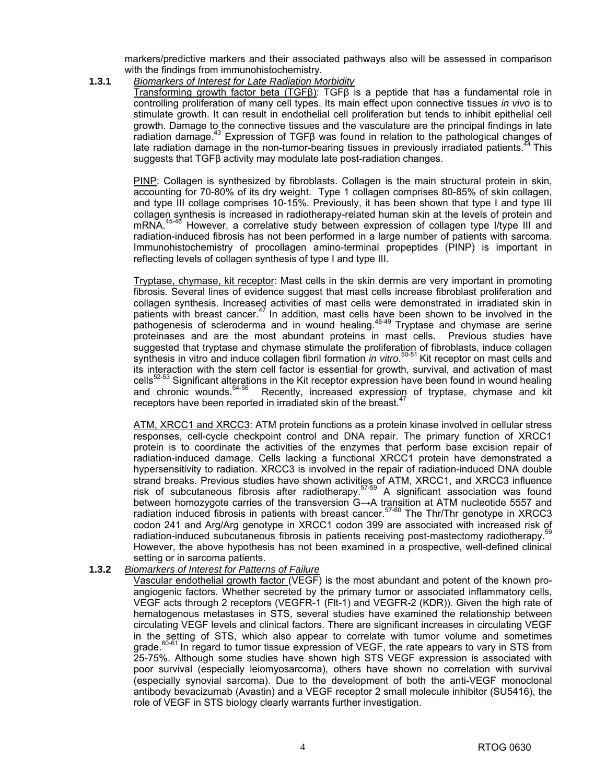markers/predictive markers and their associated pathways also will be assessed in comparison with the findings from immunohistochemistry.

**1.3.1** *Biomarkers of Interest for Late Radiation Morbidity*

 Transforming growth factor beta (TGFβ): TGFβ is a peptide that has a fundamental role in controlling proliferation of many cell types. Its main effect upon connective tissues *in vivo* is to stimulate growth. It can result in endothelial cell proliferation but tends to inhibit epithelial cell growth. Damage to the connective tissues and the vasculature are the principal findings in late radiation damage.<sup>43</sup> Expression of TGF $\beta$  was found in relation to the pathological changes of late radiation damage in the non-tumor-bearing tissues in previously irradiated patients.<sup>44</sup> This suggests that TGFβ activity may modulate late post-radiation changes.

 PINP: Collagen is synthesized by fibroblasts. Collagen is the main structural protein in skin, accounting for 70-80% of its dry weight. Type 1 collagen comprises 80-85% of skin collagen, and type III collage comprises 10-15%. Previously, it has been shown that type I and type III collagen synthesis is increased in radiotherapy-related human skin at the levels of protein and mRNA.45-46 However, a correlative study between expression of collagen type I/type III and radiation-induced fibrosis has not been performed in a large number of patients with sarcoma. Immunohistochemistry of procollagen amino-terminal propeptides (PINP) is important in reflecting levels of collagen synthesis of type I and type III.

 Tryptase, chymase, kit receptor: Mast cells in the skin dermis are very important in promoting fibrosis. Several lines of evidence suggest that mast cells increase fibroblast proliferation and collagen synthesis. Increased activities of mast cells were demonstrated in irradiated skin in patients with breast cancer. $47$  In addition, mast cells have been shown to be involved in the pathogenesis of scleroderma and in wound healing. $48-49$  Tryptase and chymase are serine proteinases and are the most abundant proteins in mast cells. Previous studies have suggested that tryptase and chymase stimulate the proliferation of fibroblasts, induce collagen synthesis in vitro and induce collagen fibril formation *in vitro*.<sup>50-51</sup> Kit receptor on mast cells and its interaction with the stem cell factor is essential for growth, survival, and activation of mast cells<sup>52-53</sup> Significant alterations in the Kit receptor expression have been found in wound healing and chronic wounds.<sup>54-56</sup> Recently, increased expression of tryptase, chymase and kit Recently, increased expression of tryptase, chymase and kit receptors have been reported in irradiated skin of the breast.<sup>4</sup>

 ATM, XRCC1 and XRCC3: ATM protein functions as a protein kinase involved in cellular stress responses, cell-cycle checkpoint control and DNA repair. The primary function of XRCC1 protein is to coordinate the activities of the enzymes that perform base excision repair of radiation-induced damage. Cells lacking a functional XRCC1 protein have demonstrated a hypersensitivity to radiation. XRCC3 is involved in the repair of radiation-induced DNA double strand breaks. Previous studies have shown activities of ATM, XRCC1, and XRCC3 influence risk of subcutaneous fibrosis after radiotherapy.<sup>57-59</sup> A significant association was found between homozygote carries of the transversion G→A transition at ATM nucleotide 5557 and radiation induced fibrosis in patients with breast cancer.<sup>57-60</sup> The Thr/Thr genotype in XRCC3 codon 241 and Arg/Arg genotype in XRCC1 codon 399 are associated with increased risk of radiation-induced subcutaneous fibrosis in patients receiving post-mastectomy radiotherapy. However, the above hypothesis has not been examined in a prospective, well-defined clinical setting or in sarcoma patients.

#### **1.3.2** *Biomarkers of Interest for Patterns of Failure*

 Vascular endothelial growth factor (VEGF) is the most abundant and potent of the known proangiogenic factors. Whether secreted by the primary tumor or associated inflammatory cells, VEGF acts through 2 receptors (VEGFR-1 (Flt-1) and VEGFR-2 (KDR)). Given the high rate of hematogenous metastases in STS, several studies have examined the relationship between circulating VEGF levels and clinical factors. There are significant increases in circulating VEGF in the setting of STS, which also appear to correlate with tumor volume and sometimes grade. $60-61$  In regard to tumor tissue expression of VEGF, the rate appears to vary in STS from 25-75%. Although some studies have shown high STS VEGF expression is associated with poor survival (especially leiomyosarcoma), others have shown no correlation with survival (especially synovial sarcoma). Due to the development of both the anti-VEGF monoclonal antibody bevacizumab (Avastin) and a VEGF receptor 2 small molecule inhibitor (SU5416), the role of VEGF in STS biology clearly warrants further investigation.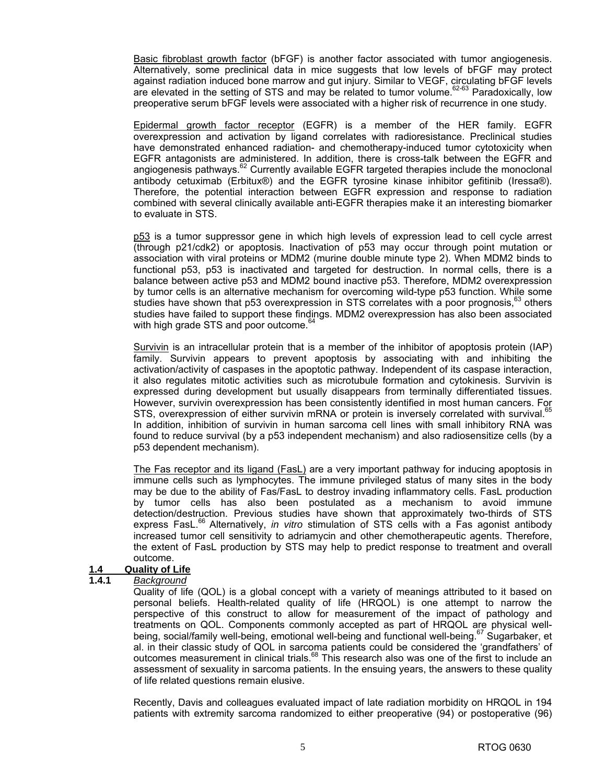Basic fibroblast growth factor (bFGF) is another factor associated with tumor angiogenesis. Alternatively, some preclinical data in mice suggests that low levels of bFGF may protect against radiation induced bone marrow and gut injury. Similar to VEGF, circulating bFGF levels are elevated in the setting of STS and may be related to tumor volume.<sup>62-63</sup> Paradoxically, low preoperative serum bFGF levels were associated with a higher risk of recurrence in one study.

 Epidermal growth factor receptor (EGFR) is a member of the HER family. EGFR overexpression and activation by ligand correlates with radioresistance. Preclinical studies have demonstrated enhanced radiation- and chemotherapy-induced tumor cytotoxicity when EGFR antagonists are administered. In addition, there is cross-talk between the EGFR and angiogenesis pathways.<sup>62</sup> Currently available EGFR targeted therapies include the monoclonal antibody cetuximab (Erbitux®) and the EGFR tyrosine kinase inhibitor gefitinib (Iressa®). Therefore, the potential interaction between EGFR expression and response to radiation combined with several clinically available anti-EGFR therapies make it an interesting biomarker to evaluate in STS.

 p53 is a tumor suppressor gene in which high levels of expression lead to cell cycle arrest (through p21/cdk2) or apoptosis. Inactivation of p53 may occur through point mutation or association with viral proteins or MDM2 (murine double minute type 2). When MDM2 binds to functional p53, p53 is inactivated and targeted for destruction. In normal cells, there is a balance between active p53 and MDM2 bound inactive p53. Therefore, MDM2 overexpression by tumor cells is an alternative mechanism for overcoming wild-type p53 function. While some studies have shown that p53 overexpression in STS correlates with a poor prognosis, $63$  others studies have failed to support these findings. MDM2 overexpression has also been associated with high grade STS and poor outcome.<sup>6</sup>

 Survivin is an intracellular protein that is a member of the inhibitor of apoptosis protein (IAP) family. Survivin appears to prevent apoptosis by associating with and inhibiting the activation/activity of caspases in the apoptotic pathway. Independent of its caspase interaction, it also regulates mitotic activities such as microtubule formation and cytokinesis. Survivin is expressed during development but usually disappears from terminally differentiated tissues. However, survivin overexpression has been consistently identified in most human cancers. For STS, overexpression of either survivin mRNA or protein is inversely correlated with survival.<sup>65</sup> In addition, inhibition of survivin in human sarcoma cell lines with small inhibitory RNA was found to reduce survival (by a p53 independent mechanism) and also radiosensitize cells (by a p53 dependent mechanism).

 The Fas receptor and its ligand (FasL) are a very important pathway for inducing apoptosis in immune cells such as lymphocytes. The immune privileged status of many sites in the body may be due to the ability of Fas/FasL to destroy invading inflammatory cells. FasL production by tumor cells has also been postulated as a mechanism to avoid immune detection/destruction. Previous studies have shown that approximately two-thirds of STS express FasL.66 Alternatively, *in vitro* stimulation of STS cells with a Fas agonist antibody increased tumor cell sensitivity to adriamycin and other chemotherapeutic agents. Therefore, the extent of FasL production by STS may help to predict response to treatment and overall outcome.

#### **1.4 Quality of Life**

#### **1.4.1** *Background*

 Quality of life (QOL) is a global concept with a variety of meanings attributed to it based on personal beliefs. Health-related quality of life (HRQOL) is one attempt to narrow the perspective of this construct to allow for measurement of the impact of pathology and treatments on QOL. Components commonly accepted as part of HRQOL are physical wellbeing, social/family well-being, emotional well-being and functional well-being.<sup>67</sup> Sugarbaker, et al. in their classic study of QOL in sarcoma patients could be considered the 'grandfathers' of outcomes measurement in clinical trials.<sup>68</sup> This research also was one of the first to include an assessment of sexuality in sarcoma patients. In the ensuing years, the answers to these quality of life related questions remain elusive.

 Recently, Davis and colleagues evaluated impact of late radiation morbidity on HRQOL in 194 patients with extremity sarcoma randomized to either preoperative (94) or postoperative (96)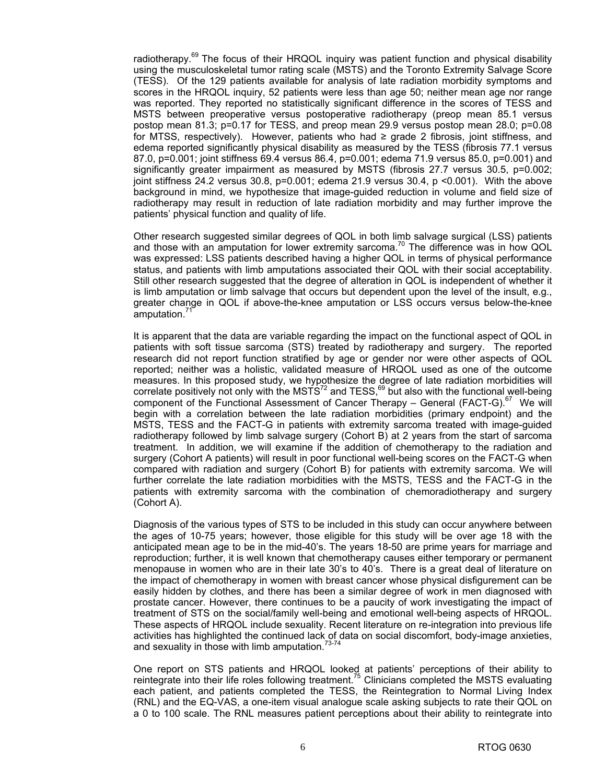radiotherapy. $69$  The focus of their HRQOL inquiry was patient function and physical disability using the musculoskeletal tumor rating scale (MSTS) and the Toronto Extremity Salvage Score (TESS). Of the 129 patients available for analysis of late radiation morbidity symptoms and scores in the HRQOL inquiry, 52 patients were less than age 50; neither mean age nor range was reported. They reported no statistically significant difference in the scores of TESS and MSTS between preoperative versus postoperative radiotherapy (preop mean 85.1 versus postop mean 81.3; p=0.17 for TESS, and preop mean 29.9 versus postop mean 28.0; p=0.08 for MTSS, respectively). However, patients who had ≥ grade 2 fibrosis, joint stiffness, and edema reported significantly physical disability as measured by the TESS (fibrosis 77.1 versus 87.0, p=0.001; joint stiffness 69.4 versus 86.4, p=0.001; edema 71.9 versus 85.0, p=0.001) and significantly greater impairment as measured by MSTS (fibrosis 27.7 versus 30.5, p=0.002; joint stiffness 24.2 versus 30.8,  $p=0.001$ ; edema 21.9 versus 30.4,  $p \le 0.001$ ). With the above background in mind, we hypothesize that image-guided reduction in volume and field size of radiotherapy may result in reduction of late radiation morbidity and may further improve the patients' physical function and quality of life.

 Other research suggested similar degrees of QOL in both limb salvage surgical (LSS) patients and those with an amputation for lower extremity sarcoma.<sup>70</sup> The difference was in how QOL was expressed: LSS patients described having a higher QOL in terms of physical performance status, and patients with limb amputations associated their QOL with their social acceptability. Still other research suggested that the degree of alteration in QOL is independent of whether it is limb amputation or limb salvage that occurs but dependent upon the level of the insult, e.g., greater change in QOL if above-the-knee amputation or LSS occurs versus below-the-knee amputation.'

 It is apparent that the data are variable regarding the impact on the functional aspect of QOL in patients with soft tissue sarcoma (STS) treated by radiotherapy and surgery. The reported research did not report function stratified by age or gender nor were other aspects of QOL reported; neither was a holistic, validated measure of HRQOL used as one of the outcome measures. In this proposed study, we hypothesize the degree of late radiation morbidities will correlate positively not only with the MSTS<sup>72</sup> and TESS,<sup>69</sup> but also with the functional well-being component of the Functional Assessment of Cancer Therapy – General (FACT-G).<sup>67</sup> We will begin with a correlation between the late radiation morbidities (primary endpoint) and the MSTS, TESS and the FACT-G in patients with extremity sarcoma treated with image-guided radiotherapy followed by limb salvage surgery (Cohort B) at 2 years from the start of sarcoma treatment. In addition, we will examine if the addition of chemotherapy to the radiation and surgery (Cohort A patients) will result in poor functional well-being scores on the FACT-G when compared with radiation and surgery (Cohort B) for patients with extremity sarcoma. We will further correlate the late radiation morbidities with the MSTS, TESS and the FACT-G in the patients with extremity sarcoma with the combination of chemoradiotherapy and surgery (Cohort A).

 Diagnosis of the various types of STS to be included in this study can occur anywhere between the ages of 10-75 years; however, those eligible for this study will be over age 18 with the anticipated mean age to be in the mid-40's. The years 18-50 are prime years for marriage and reproduction; further, it is well known that chemotherapy causes either temporary or permanent menopause in women who are in their late 30's to 40's. There is a great deal of literature on the impact of chemotherapy in women with breast cancer whose physical disfigurement can be easily hidden by clothes, and there has been a similar degree of work in men diagnosed with prostate cancer. However, there continues to be a paucity of work investigating the impact of treatment of STS on the social/family well-being and emotional well-being aspects of HRQOL. These aspects of HRQOL include sexuality. Recent literature on re-integration into previous life activities has highlighted the continued lack of data on social discomfort, body-image anxieties, and sexuality in those with limb amputation. $73-74$ 

One report on STS patients and HRQOL looked at patients' perceptions of their ability to reintegrate into their life roles following treatment.<sup>75</sup> Clinicians completed the MSTS evaluating each patient, and patients completed the TESS, the Reintegration to Normal Living Index (RNL) and the EQ-VAS, a one-item visual analogue scale asking subjects to rate their QOL on a 0 to 100 scale. The RNL measures patient perceptions about their ability to reintegrate into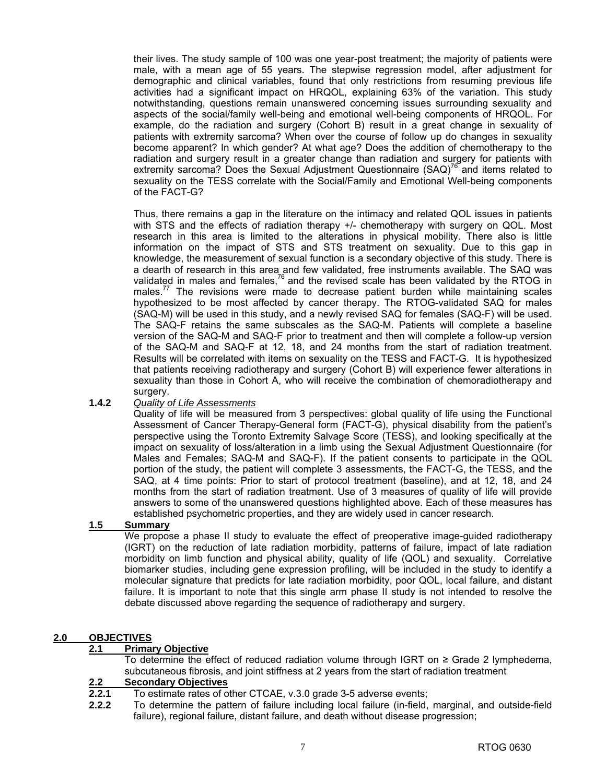their lives. The study sample of 100 was one year-post treatment; the majority of patients were male, with a mean age of 55 years. The stepwise regression model, after adjustment for demographic and clinical variables, found that only restrictions from resuming previous life activities had a significant impact on HRQOL, explaining 63% of the variation. This study notwithstanding, questions remain unanswered concerning issues surrounding sexuality and aspects of the social/family well-being and emotional well-being components of HRQOL. For example, do the radiation and surgery (Cohort B) result in a great change in sexuality of patients with extremity sarcoma? When over the course of follow up do changes in sexuality become apparent? In which gender? At what age? Does the addition of chemotherapy to the radiation and surgery result in a greater change than radiation and surgery for patients with extremity sarcoma? Does the Sexual Adjustment Questionnaire  $(SAQ)$ <sup>6</sup> and items related to sexuality on the TESS correlate with the Social/Family and Emotional Well-being components of the FACT-G?

 Thus, there remains a gap in the literature on the intimacy and related QOL issues in patients with STS and the effects of radiation therapy +/- chemotherapy with surgery on QOL. Most research in this area is limited to the alterations in physical mobility. There also is little information on the impact of STS and STS treatment on sexuality. Due to this gap in knowledge, the measurement of sexual function is a secondary objective of this study. There is a dearth of research in this area and few validated, free instruments available. The SAQ was validated in males and females, $76$  and the revised scale has been validated by the RTOG in males.<sup>77</sup> The revisions were made to decrease patient burden while maintaining scales hypothesized to be most affected by cancer therapy. The RTOG-validated SAQ for males (SAQ-M) will be used in this study, and a newly revised SAQ for females (SAQ-F) will be used. The SAQ-F retains the same subscales as the SAQ-M. Patients will complete a baseline version of the SAQ-M and SAQ-F prior to treatment and then will complete a follow-up version of the SAQ-M and SAQ-F at 12, 18, and 24 months from the start of radiation treatment. Results will be correlated with items on sexuality on the TESS and FACT-G. It is hypothesized that patients receiving radiotherapy and surgery (Cohort B) will experience fewer alterations in sexuality than those in Cohort A, who will receive the combination of chemoradiotherapy and surgery.

#### **1.4.2** *Quality of Life Assessments*

 Quality of life will be measured from 3 perspectives: global quality of life using the Functional Assessment of Cancer Therapy-General form (FACT-G), physical disability from the patient's perspective using the Toronto Extremity Salvage Score (TESS), and looking specifically at the impact on sexuality of loss/alteration in a limb using the Sexual Adjustment Questionnaire (for Males and Females; SAQ-M and SAQ-F). If the patient consents to participate in the QOL portion of the study, the patient will complete 3 assessments, the FACT-G, the TESS, and the SAQ, at 4 time points: Prior to start of protocol treatment (baseline), and at 12, 18, and 24 months from the start of radiation treatment. Use of 3 measures of quality of life will provide answers to some of the unanswered questions highlighted above. Each of these measures has established psychometric properties, and they are widely used in cancer research.

## **1.5 Summary**

 We propose a phase II study to evaluate the effect of preoperative image-guided radiotherapy (IGRT) on the reduction of late radiation morbidity, patterns of failure, impact of late radiation morbidity on limb function and physical ability, quality of life (QOL) and sexuality. Correlative biomarker studies, including gene expression profiling, will be included in the study to identify a molecular signature that predicts for late radiation morbidity, poor QOL, local failure, and distant failure. It is important to note that this single arm phase II study is not intended to resolve the debate discussed above regarding the sequence of radiotherapy and surgery.

## **2.0 OBJECTIVES**

#### **2.1 Primary Objective**

 To determine the effect of reduced radiation volume through IGRT on ≥ Grade 2 lymphedema, subcutaneous fibrosis, and joint stiffness at 2 years from the start of radiation treatment

## **2.2 Secondary Objectives**

- **2.2.1** To estimate rates of other CTCAE, v.3.0 grade 3-5 adverse events;
- **2.2.2** To determine the pattern of failure including local failure (in-field, marginal, and outside-field failure), regional failure, distant failure, and death without disease progression;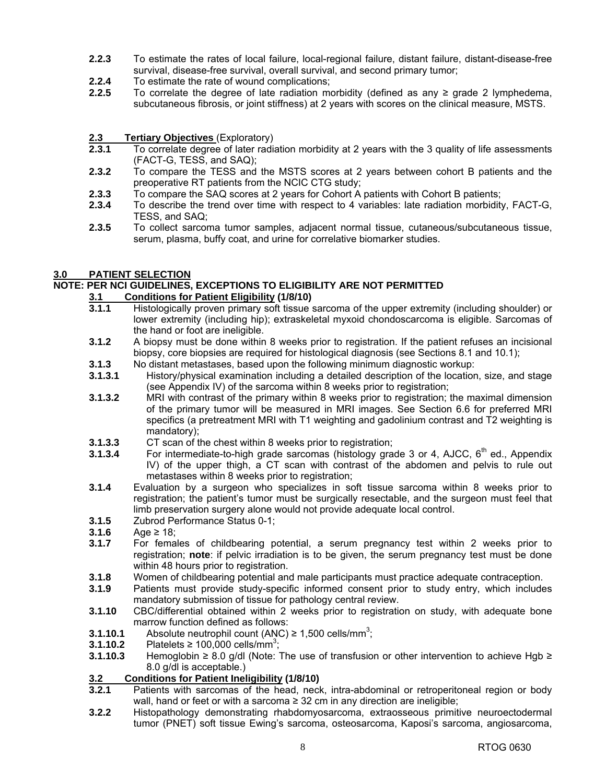- **2.2.3** To estimate the rates of local failure, local-regional failure, distant failure, distant-disease-free survival, disease-free survival, overall survival, and second primary tumor;
- **2.2.4** To estimate the rate of wound complications;<br>**2.2.5** To correlate the degree of late radiation me
- **2.2.5** To correlate the degree of late radiation morbidity (defined as any ≥ grade 2 lymphedema, subcutaneous fibrosis, or joint stiffness) at 2 years with scores on the clinical measure, MSTS.
- **2.3 Tertiary Objectives** (Exploratory)
- **2.3.1** To correlate degree of later radiation morbidity at 2 years with the 3 quality of life assessments (FACT-G, TESS, and SAQ);
- **2.3.2** To compare the TESS and the MSTS scores at 2 years between cohort B patients and the preoperative RT patients from the NCIC CTG study;
- **2.3.3** To compare the SAQ scores at 2 years for Cohort A patients with Cohort B patients;
- **2.3.4** To describe the trend over time with respect to 4 variables: late radiation morbidity, FACT-G, TESS, and SAQ;
- **2.3.5** To collect sarcoma tumor samples, adjacent normal tissue, cutaneous/subcutaneous tissue, serum, plasma, buffy coat, and urine for correlative biomarker studies.

## **3.0 PATIENT SELECTION**

#### **NOTE: PER NCI GUIDELINES, EXCEPTIONS TO ELIGIBILITY ARE NOT PERMITTED**

## **3.1 Conditions for Patient Eligibility (1/8/10)**

- **3.1.1** Histologically proven primary soft tissue sarcoma of the upper extremity (including shoulder) or lower extremity (including hip); extraskeletal myxoid chondoscarcoma is eligible. Sarcomas of the hand or foot are ineligible.
- **3.1.2** A biopsy must be done within 8 weeks prior to registration. If the patient refuses an incisional biopsy, core biopsies are required for histological diagnosis (see Sections 8.1 and 10.1);
- **3.1.3** No distant metastases, based upon the following minimum diagnostic workup:
- **3.1.3.1** History/physical examination including a detailed description of the location, size, and stage (see Appendix IV) of the sarcoma within 8 weeks prior to registration;
- **3.1.3.2** MRI with contrast of the primary within 8 weeks prior to registration; the maximal dimension of the primary tumor will be measured in MRI images. See Section 6.6 for preferred MRI specifics (a pretreatment MRI with T1 weighting and gadolinium contrast and T2 weighting is mandatory);
- **3.1.3.3** CT scan of the chest within 8 weeks prior to registration;
- **3.1.3.4** For intermediate-to-high grade sarcomas (histology grade 3 or 4, AJCC, 6<sup>th</sup> ed., Appendix IV) of the upper thigh, a CT scan with contrast of the abdomen and pelvis to rule out metastases within 8 weeks prior to registration;
- **3.1.4** Evaluation by a surgeon who specializes in soft tissue sarcoma within 8 weeks prior to registration; the patient's tumor must be surgically resectable, and the surgeon must feel that limb preservation surgery alone would not provide adequate local control.
- **3.1.5** Zubrod Performance Status 0-1;
- **3.1.6** Age ≥ 18;
- **3.1.7** For females of childbearing potential, a serum pregnancy test within 2 weeks prior to registration; **note**: if pelvic irradiation is to be given, the serum pregnancy test must be done within 48 hours prior to registration.
- **3.1.8** Women of childbearing potential and male participants must practice adequate contraception.
- **3.1.9** Patients must provide study-specific informed consent prior to study entry, which includes mandatory submission of tissue for pathology central review.
- **3.1.10** CBC/differential obtained within 2 weeks prior to registration on study, with adequate bone marrow function defined as follows:
- **3.1.10.1** Absolute neutrophil count  $(ANC) \ge 1,500$  cells/mm<sup>3</sup>;
- **3.1.10.2** Platelets ≥ 100,000 cells/mm<sup>3</sup>;
- **3.1.10.3** Hemoglobin ≥ 8.0 g/dl (Note: The use of transfusion or other intervention to achieve Hgb ≥ 8.0 g/dl is acceptable.)

## **3.2 Conditions for Patient Ineligibility (1/8/10)**

- **3.2.1** Patients with sarcomas of the head, neck, intra-abdominal or retroperitoneal region or body wall, hand or feet or with a sarcoma ≥ 32 cm in any direction are ineligible;
- **3.2.2** Histopathology demonstrating rhabdomyosarcoma, extraosseous primitive neuroectodermal tumor (PNET) soft tissue Ewing's sarcoma, osteosarcoma, Kaposi's sarcoma, angiosarcoma,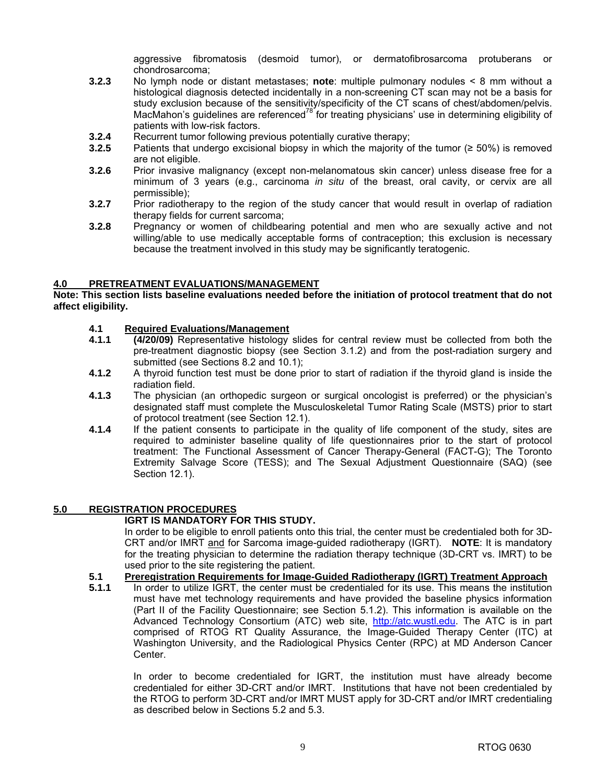aggressive fibromatosis (desmoid tumor), or dermatofibrosarcoma protuberans or chondrosarcoma;

- **3.2.3** No lymph node or distant metastases; **note**: multiple pulmonary nodules < 8 mm without a histological diagnosis detected incidentally in a non-screening CT scan may not be a basis for study exclusion because of the sensitivity/specificity of the CT scans of chest/abdomen/pelvis. MacMahon's guidelines are referenced<sup>78</sup> for treating physicians' use in determining eligibility of patients with low-risk factors.
- **3.2.4** Recurrent tumor following previous potentially curative therapy;
- **3.2.5** Patients that undergo excisional biopsy in which the majority of the tumor (≥ 50%) is removed are not eligible.
- **3.2.6** Prior invasive malignancy (except non-melanomatous skin cancer) unless disease free for a minimum of 3 years (e.g., carcinoma *in situ* of the breast, oral cavity, or cervix are all permissible);
- **3.2.7** Prior radiotherapy to the region of the study cancer that would result in overlap of radiation therapy fields for current sarcoma;
- **3.2.8** Pregnancy or women of childbearing potential and men who are sexually active and not willing/able to use medically acceptable forms of contraception; this exclusion is necessary because the treatment involved in this study may be significantly teratogenic.

#### **4.0 PRETREATMENT EVALUATIONS/MANAGEMENT**

#### **Note: This section lists baseline evaluations needed before the initiation of protocol treatment that do not affect eligibility.**

#### **4.1 Required Evaluations/Management**

- **4.1.1 (4/20/09)** Representative histology slides for central review must be collected from both the pre-treatment diagnostic biopsy (see Section 3.1.2) and from the post-radiation surgery and submitted (see Sections 8.2 and 10.1);
- **4.1.2** A thyroid function test must be done prior to start of radiation if the thyroid gland is inside the radiation field.
- **4.1.3** The physician (an orthopedic surgeon or surgical oncologist is preferred) or the physician's designated staff must complete the Musculoskeletal Tumor Rating Scale (MSTS) prior to start of protocol treatment (see Section 12.1).
- **4.1.4** If the patient consents to participate in the quality of life component of the study, sites are required to administer baseline quality of life questionnaires prior to the start of protocol treatment: The Functional Assessment of Cancer Therapy-General (FACT-G); The Toronto Extremity Salvage Score (TESS); and The Sexual Adjustment Questionnaire (SAQ) (see Section 12.1).

#### **5.0 REGISTRATION PROCEDURES**

#### **IGRT IS MANDATORY FOR THIS STUDY.**

 In order to be eligible to enroll patients onto this trial, the center must be credentialed both for 3D-CRT and/or IMRT and for Sarcoma image-guided radiotherapy (IGRT). **NOTE**: It is mandatory for the treating physician to determine the radiation therapy technique (3D-CRT vs. IMRT) to be used prior to the site registering the patient.

- **5.1 Preregistration Requirements for Image-Guided Radiotherapy (IGRT) Treatment Approach**
- **5.1.1** In order to utilize IGRT, the center must be credentialed for its use. This means the institution must have met technology requirements and have provided the baseline physics information (Part II of the Facility Questionnaire; see Section 5.1.2). This information is available on the Advanced Technology Consortium (ATC) web site, [http://atc.wustl.edu.](http://atc.wustl.edu) The ATC is in part comprised of RTOG RT Quality Assurance, the Image-Guided Therapy Center (ITC) at Washington University, and the Radiological Physics Center (RPC) at MD Anderson Cancer Center.

In order to become credentialed for IGRT, the institution must have already become credentialed for either 3D-CRT and/or IMRT. Institutions that have not been credentialed by the RTOG to perform 3D-CRT and/or IMRT MUST apply for 3D-CRT and/or IMRT credentialing as described below in Sections 5.2 and 5.3.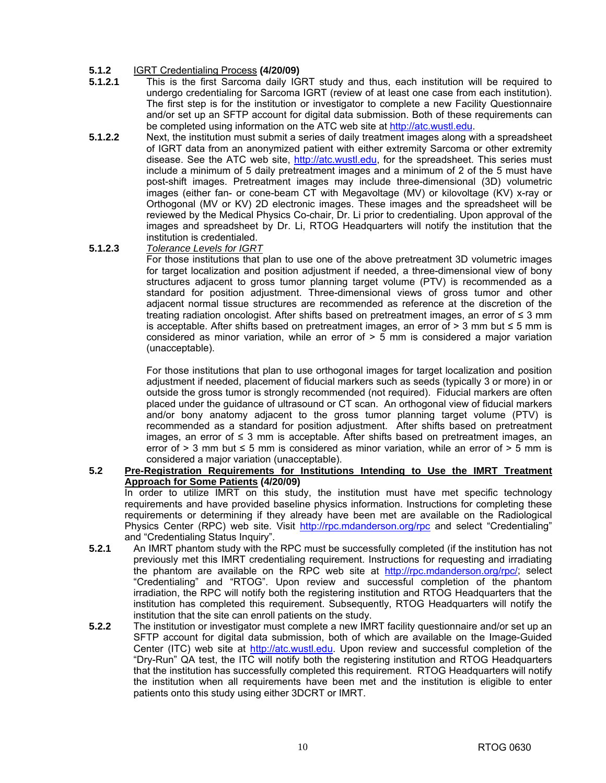# **5.1.2 IGRT Credentialing Process (4/20/09)**<br>**5.1.2.1** This is the first Sarcoma daily IG

- **5.1.2.1** This is the first Sarcoma daily IGRT study and thus, each institution will be required to undergo credentialing for Sarcoma IGRT (review of at least one case from each institution). The first step is for the institution or investigator to complete a new Facility Questionnaire and/or set up an SFTP account for digital data submission. Both of these requirements can be completed using information on the ATC web site at [http://atc.wustl.edu.](http://atc.wustl.edu)
- **5.1.2.2** Next, the institution must submit a series of daily treatment images along with a spreadsheet of IGRT data from an anonymized patient with either extremity Sarcoma or other extremity disease. See the ATC web site, [http://atc.wustl.edu,](http://atc.wustl.edu) for the spreadsheet. This series must include a minimum of 5 daily pretreatment images and a minimum of 2 of the 5 must have post-shift images. Pretreatment images may include three-dimensional (3D) volumetric images (either fan- or cone-beam CT with Megavoltage (MV) or kilovoltage (KV) x-ray or Orthogonal (MV or KV) 2D electronic images. These images and the spreadsheet will be reviewed by the Medical Physics Co-chair, Dr. Li prior to credentialing. Upon approval of the images and spreadsheet by Dr. Li, RTOG Headquarters will notify the institution that the institution is credentialed.
- **5.1.2.3** *Tolerance Levels for IGRT*

 For those institutions that plan to use one of the above pretreatment 3D volumetric images for target localization and position adjustment if needed, a three-dimensional view of bony structures adjacent to gross tumor planning target volume (PTV) is recommended as a standard for position adjustment. Three-dimensional views of gross tumor and other adjacent normal tissue structures are recommended as reference at the discretion of the treating radiation oncologist. After shifts based on pretreatment images, an error of ≤ 3 mm is acceptable. After shifts based on pretreatment images, an error of  $> 3$  mm but  $\leq 5$  mm is considered as minor variation, while an error of  $>$  5 mm is considered a major variation (unacceptable).

 For those institutions that plan to use orthogonal images for target localization and position adjustment if needed, placement of fiducial markers such as seeds (typically 3 or more) in or outside the gross tumor is strongly recommended (not required). Fiducial markers are often placed under the guidance of ultrasound or CT scan. An orthogonal view of fiducial markers and/or bony anatomy adjacent to the gross tumor planning target volume (PTV) is recommended as a standard for position adjustment. After shifts based on pretreatment images, an error of  $\leq$  3 mm is acceptable. After shifts based on pretreatment images, an error of  $> 3$  mm but  $\leq 5$  mm is considered as minor variation, while an error of  $> 5$  mm is considered a major variation (unacceptable).

#### **5.2 Pre-Registration Requirements for Institutions Intending to Use the IMRT Treatment Approach for Some Patients (4/20/09)**

In order to utilize IMRT on this study, the institution must have met specific technology requirements and have provided baseline physics information. Instructions for completing these requirements or determining if they already have been met are available on the Radiological Physics Center (RPC) web site. Visit [http://rpc.mdanderson.org/rpc a](http://rpc.mdanderson.org/rpc)nd select "Credentialing" and "Credentialing Status Inquiry".

- **5.2.1** An IMRT phantom study with the RPC must be successfully completed (if the institution has not previously met this IMRT credentialing requirement. Instructions for requesting and irradiating the phantom are available on the RPC web site at <http://rpc.mdanderson.org/rpc>/; select "Credentialing" and "RTOG". Upon review and successful completion of the phantom irradiation, the RPC will notify both the registering institution and RTOG Headquarters that the institution has completed this requirement. Subsequently, RTOG Headquarters will notify the institution that the site can enroll patients on the study.
- **5.2.2** The institution or investigator must complete a new IMRT facility questionnaire and/or set up an SFTP account for digital data submission, both of which are available on the Image-Guided Center (ITC) web site at [http://atc.wustl.edu.](http://atc.wustl.edu) Upon review and successful completion of the "Dry-Run" QA test, the ITC will notify both the registering institution and RTOG Headquarters that the institution has successfully completed this requirement. RTOG Headquarters will notify the institution when all requirements have been met and the institution is eligible to enter patients onto this study using either 3DCRT or IMRT.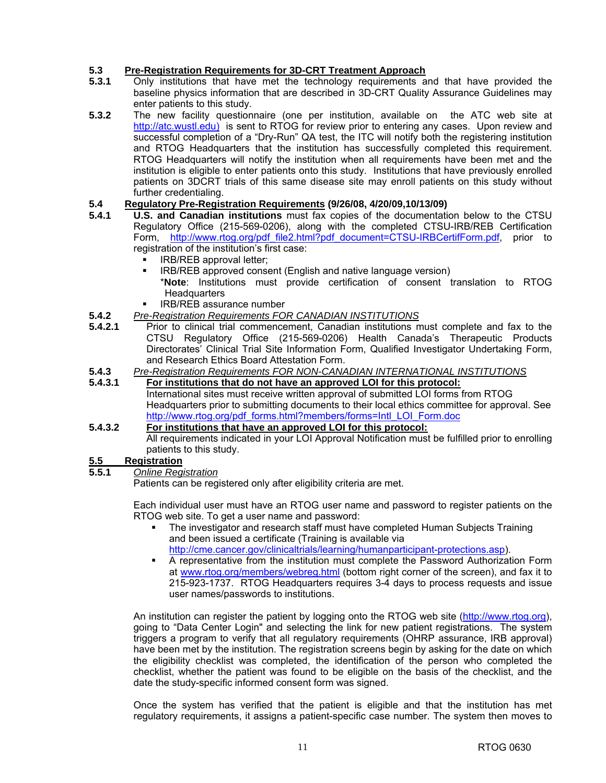## **5.3 Pre-Registration Requirements for 3D-CRT Treatment Approach**

- **5.3.1** Only institutions that have met the technology requirements and that have provided the baseline physics information that are described in 3D-CRT Quality Assurance Guidelines may enter patients to this study.
- **5.3.2** The new facility questionnaire (one per institution, available on the ATC web site at [http://atc.wustl.edu\)](http://atc.wustl.edu) is sent to RTOG for review prior to entering any cases. Upon review and successful completion of a "Dry-Run" QA test, the ITC will notify both the registering institution and RTOG Headquarters that the institution has successfully completed this requirement. RTOG Headquarters will notify the institution when all requirements have been met and the institution is eligible to enter patients onto this study. Institutions that have previously enrolled patients on 3DCRT trials of this same disease site may enroll patients on this study without further credentialing.

#### **5.4 Regulatory Pre-Registration Requirements (9/26/08, 4/20/09,10/13/09)**

- **5.4.1 U.S. and Canadian institutions** must fax copies of the documentation below to the CTSU Regulatory Office (215-569-0206), along with the completed CTSU-IRB/REB Certification Form, [http://www.rtog.org/pdf\\_file2.html?pdf\\_document=CTSU-IRBCertifForm.pdf,](http://www.rtog.org/pdf_file2.html?pdf_document=CTSU-IRBCertifForm.pdf) prior to registration of the institution's first case:
	- IRB/REB approval letter;
	- **IRB/REB approved consent (English and native language version)** 
		- \***Note**: Institutions must provide certification of consent translation to RTOG **Headquarters**
	- IRB/REB assurance number
- **5.4.2** *Pre-Registration Requirements FOR CANADIAN INSTITUTIONS*
- **5.4.2.1** Prior to clinical trial commencement, Canadian institutions must complete and fax to the CTSU Regulatory Office (215-569-0206) Health Canada's Therapeutic Products Directorates' Clinical Trial Site Information Form, Qualified Investigator Undertaking Form, and Research Ethics Board Attestation Form.
- **5.4.3** *Pre-Registration Requirements FOR NON-CANADIAN INTERNATIONAL INSTITUTIONS*
- **5.4.3.1 For institutions that do not have an approved LOI for this protocol:** International sites must receive written approval of submitted LOI forms from RTOG Headquarters prior to submitting documents to their local ethics committee for approval. See [http://www.rtog.org/pdf\\_forms.html?members/forms=Intl\\_LOI\\_Form.doc](http://www.rtog.org/pdf_forms.html?members/forms=Intl_LOI_Form.doc)

## **5.4.3.2 For institutions that have an approved LOI for this protocol:**

 All requirements indicated in your LOI Approval Notification must be fulfilled prior to enrolling patients to this study.

## **5.5 Registration**

#### **5.5.1** *Online Registration*

Patients can be registered only after eligibility criteria are met.

Each individual user must have an RTOG user name and password to register patients on the RTOG web site. To get a user name and password:

- The investigator and research staff must have completed Human Subjects Training and been issued a certificate (Training is available via <http://cme.cancer.gov/clinicaltrials/learning/humanparticipant-protections.asp>).
- A representative from the institution must complete the Password Authorization Form at [www.rtog.org/members/webreg.html \(b](http://www.rtog.org/members/webreg.html)ottom right corner of the screen), and fax it to 215-923-1737. RTOG Headquarters requires 3-4 days to process requests and issue user names/passwords to institutions.

An institution can register the patient by logging onto the RTOG web site (http://www.rtog.org), going to "Data Center Login" and selecting the link for new patient registrations. The system triggers a program to verify that all regulatory requirements (OHRP assurance, IRB approval) have been met by the institution. The registration screens begin by asking for the date on which the eligibility checklist was completed, the identification of the person who completed the checklist, whether the patient was found to be eligible on the basis of the checklist, and the date the study-specific informed consent form was signed.

Once the system has verified that the patient is eligible and that the institution has met regulatory requirements, it assigns a patient-specific case number. The system then moves to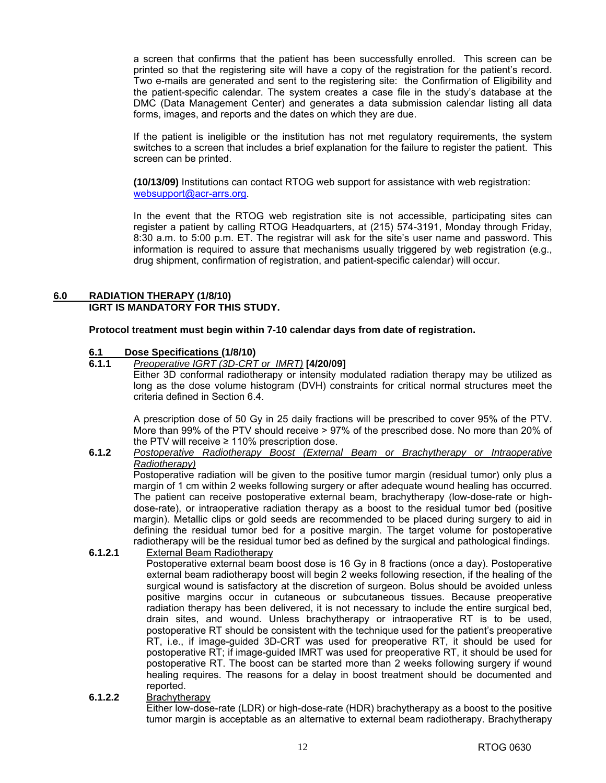a screen that confirms that the patient has been successfully enrolled. This screen can be printed so that the registering site will have a copy of the registration for the patient's record. Two e-mails are generated and sent to the registering site: the Confirmation of Eligibility and the patient-specific calendar. The system creates a case file in the study's database at the DMC (Data Management Center) and generates a data submission calendar listing all data forms, images, and reports and the dates on which they are due.

 If the patient is ineligible or the institution has not met regulatory requirements, the system switches to a screen that includes a brief explanation for the failure to register the patient. This screen can be printed.

**(10/13/09)** Institutions can contact RTOG web support for assistance with web registration: [websupport@acr-arrs.org.](mailto:websupport@acr-arrs.org)

In the event that the RTOG web registration site is not accessible, participating sites can register a patient by calling RTOG Headquarters, at (215) 574-3191, Monday through Friday, 8:30 a.m. to 5:00 p.m. ET. The registrar will ask for the site's user name and password. This information is required to assure that mechanisms usually triggered by web registration (e.g., drug shipment, confirmation of registration, and patient-specific calendar) will occur.

#### **6.0 RADIATION THERAPY (1/8/10) IGRT IS MANDATORY FOR THIS STUDY.**

**Protocol treatment must begin within 7-10 calendar days from date of registration.** 

## **6.1 Dose Specifications (1/8/10)**

**6.1.1** *Preoperative IGRT (3D-CRT or IMRT)* **[4/20/09]**  Either 3D conformal radiotherapy or intensity modulated radiation therapy may be utilized as

long as the dose volume histogram (DVH) constraints for critical normal structures meet the criteria defined in Section 6.4.

A prescription dose of 50 Gy in 25 daily fractions will be prescribed to cover 95% of the PTV. More than 99% of the PTV should receive > 97% of the prescribed dose. No more than 20% of the PTV will receive  $\geq 110\%$  prescription dose.

#### **6.1.2** *Postoperative Radiotherapy Boost (External Beam or Brachytherapy or Intraoperative Radiotherapy)*

 Postoperative radiation will be given to the positive tumor margin (residual tumor) only plus a margin of 1 cm within 2 weeks following surgery or after adequate wound healing has occurred. The patient can receive postoperative external beam, brachytherapy (low-dose-rate or highdose-rate), or intraoperative radiation therapy as a boost to the residual tumor bed (positive margin). Metallic clips or gold seeds are recommended to be placed during surgery to aid in defining the residual tumor bed for a positive margin. The target volume for postoperative radiotherapy will be the residual tumor bed as defined by the surgical and pathological findings.

#### **6.1.2.1** External Beam Radiotherapy

 Postoperative external beam boost dose is 16 Gy in 8 fractions (once a day). Postoperative external beam radiotherapy boost will begin 2 weeks following resection, if the healing of the surgical wound is satisfactory at the discretion of surgeon. Bolus should be avoided unless positive margins occur in cutaneous or subcutaneous tissues. Because preoperative radiation therapy has been delivered, it is not necessary to include the entire surgical bed, drain sites, and wound. Unless brachytherapy or intraoperative RT is to be used, postoperative RT should be consistent with the technique used for the patient's preoperative RT, i.e., if image-guided 3D-CRT was used for preoperative RT, it should be used for postoperative RT; if image-guided IMRT was used for preoperative RT, it should be used for postoperative RT. The boost can be started more than 2 weeks following surgery if wound healing requires. The reasons for a delay in boost treatment should be documented and reported.

#### **6.1.2.2** Brachytherapy

 Either low-dose-rate (LDR) or high-dose-rate (HDR) brachytherapy as a boost to the positive tumor margin is acceptable as an alternative to external beam radiotherapy. Brachytherapy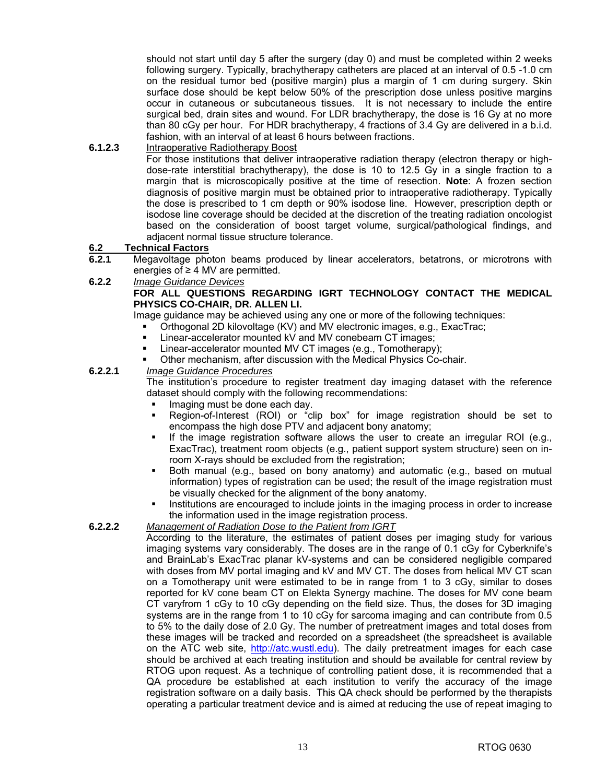should not start until day 5 after the surgery (day 0) and must be completed within 2 weeks following surgery. Typically, brachytherapy catheters are placed at an interval of 0.5 -1.0 cm on the residual tumor bed (positive margin) plus a margin of 1 cm during surgery. Skin surface dose should be kept below 50% of the prescription dose unless positive margins occur in cutaneous or subcutaneous tissues. It is not necessary to include the entire surgical bed, drain sites and wound. For LDR brachytherapy, the dose is 16 Gy at no more than 80 cGy per hour. For HDR brachytherapy, 4 fractions of 3.4 Gy are delivered in a b.i.d. fashion, with an interval of at least 6 hours between fractions.

### **6.1.2.3** Intraoperative Radiotherapy Boost

 For those institutions that deliver intraoperative radiation therapy (electron therapy or highdose-rate interstitial brachytherapy), the dose is 10 to 12.5 Gy in a single fraction to a margin that is microscopically positive at the time of resection. **Note**: A frozen section diagnosis of positive margin must be obtained prior to intraoperative radiotherapy. Typically the dose is prescribed to 1 cm depth or 90% isodose line. However, prescription depth or isodose line coverage should be decided at the discretion of the treating radiation oncologist based on the consideration of boost target volume, surgical/pathological findings, and adjacent normal tissue structure tolerance.

#### **6.2 Technical Factors**

- **6.2.1** Megavoltage photon beams produced by linear accelerators, betatrons, or microtrons with energies of ≥ 4 MV are permitted.
- **6.2.2** *Image Guidance Devices*

#### **FOR ALL QUESTIONS REGARDING IGRT TECHNOLOGY CONTACT THE MEDICAL PHYSICS CO-CHAIR, DR. ALLEN LI.**

Image guidance may be achieved using any one or more of the following techniques:

- Orthogonal 2D kilovoltage (KV) and MV electronic images, e.g., ExacTrac;
- Linear-accelerator mounted kV and MV conebeam CT images;
- Linear-accelerator mounted MV CT images (e.g., Tomotherapy);
- Other mechanism, after discussion with the Medical Physics Co-chair.

#### **6.2.2.1** *Image Guidance Procedures*

 The institution's procedure to register treatment day imaging dataset with the reference dataset should comply with the following recommendations:

- Imaging must be done each day.
- Region-of-Interest (ROI) or "clip box" for image registration should be set to encompass the high dose PTV and adjacent bony anatomy;
- If the image registration software allows the user to create an irregular ROI (e.g., ExacTrac), treatment room objects (e.g., patient support system structure) seen on inroom X-rays should be excluded from the registration;
- Both manual (e.g., based on bony anatomy) and automatic (e.g., based on mutual information) types of registration can be used; the result of the image registration must be visually checked for the alignment of the bony anatomy.
- Institutions are encouraged to include joints in the imaging process in order to increase the information used in the image registration process.

#### **6.2.2.2** *Management of Radiation Dose to the Patient from IGRT*

 According to the literature, the estimates of patient doses per imaging study for various imaging systems vary considerably. The doses are in the range of 0.1 cGy for Cyberknife's and BrainLab's ExacTrac planar kV-systems and can be considered negligible compared with doses from MV portal imaging and kV and MV CT. The doses from helical MV CT scan on a Tomotherapy unit were estimated to be in range from 1 to 3 cGy, similar to doses reported for kV cone beam CT on Elekta Synergy machine. The doses for MV cone beam CT varyfrom 1 cGy to 10 cGy depending on the field size. Thus, the doses for 3D imaging systems are in the range from 1 to 10 cGy for sarcoma imaging and can contribute from 0.5 to 5% to the daily dose of 2.0 Gy. The number of pretreatment images and total doses from these images will be tracked and recorded on a spreadsheet (the spreadsheet is available on the ATC web site, [http://atc.wustl.edu\). T](http://atc.wustl.edu)he daily pretreatment images for each case should be archived at each treating institution and should be available for central review by RTOG upon request. As a technique of controlling patient dose, it is recommended that a QA procedure be established at each institution to verify the accuracy of the image registration software on a daily basis. This QA check should be performed by the therapists operating a particular treatment device and is aimed at reducing the use of repeat imaging to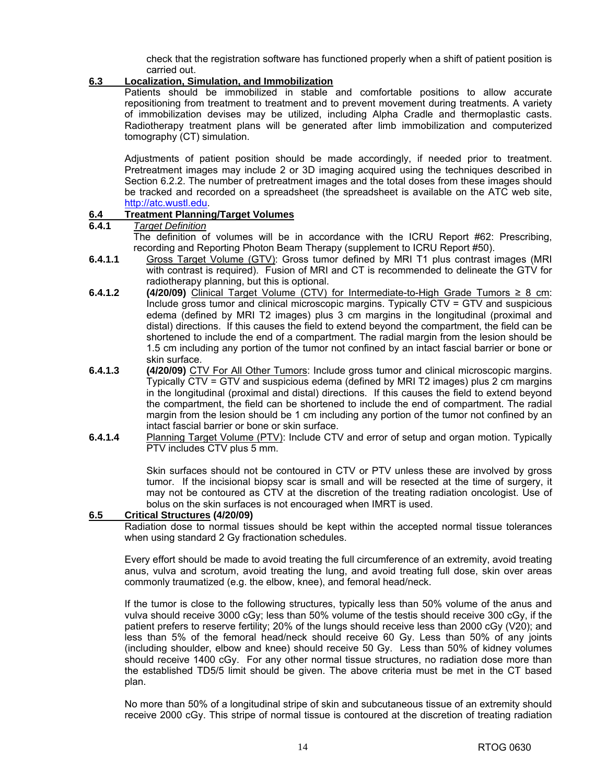check that the registration software has functioned properly when a shift of patient position is carried out.

#### **6.3 Localization, Simulation, and Immobilization**

 Patients should be immobilized in stable and comfortable positions to allow accurate repositioning from treatment to treatment and to prevent movement during treatments. A variety of immobilization devises may be utilized, including Alpha Cradle and thermoplastic casts. Radiotherapy treatment plans will be generated after limb immobilization and computerized tomography (CT) simulation.

 Adjustments of patient position should be made accordingly, if needed prior to treatment. Pretreatment images may include 2 or 3D imaging acquired using the techniques described in Section 6.2.2. The number of pretreatment images and the total doses from these images should be tracked and recorded on a spreadsheet (the spreadsheet is available on the ATC web site, [http://atc.wustl.edu.](http://atc.wustl.edu)

## **6.4 Treatment Planning/Target Volumes**

### **6.4.1** *Target Definition*

 The definition of volumes will be in accordance with the ICRU Report #62: Prescribing, recording and Reporting Photon Beam Therapy (supplement to ICRU Report #50).

- **6.4.1.1** Gross Target Volume (GTV): Gross tumor defined by MRI T1 plus contrast images (MRI with contrast is required). Fusion of MRI and CT is recommended to delineate the GTV for radiotherapy planning, but this is optional.
- **6.4.1.2 (4/20/09)** Clinical Target Volume (CTV) for Intermediate-to-High Grade Tumors ≥ 8 cm: Include gross tumor and clinical microscopic margins. Typically CTV = GTV and suspicious edema (defined by MRI T2 images) plus 3 cm margins in the longitudinal (proximal and distal) directions. If this causes the field to extend beyond the compartment, the field can be shortened to include the end of a compartment. The radial margin from the lesion should be 1.5 cm including any portion of the tumor not confined by an intact fascial barrier or bone or skin surface.
- **6.4.1.3 (4/20/09)** CTV For All Other Tumors: Include gross tumor and clinical microscopic margins. Typically CTV = GTV and suspicious edema (defined by MRI T2 images) plus 2 cm margins in the longitudinal (proximal and distal) directions. If this causes the field to extend beyond the compartment, the field can be shortened to include the end of compartment. The radial margin from the lesion should be 1 cm including any portion of the tumor not confined by an intact fascial barrier or bone or skin surface.
- **6.4.1.4** Planning Target Volume (PTV): Include CTV and error of setup and organ motion. Typically PTV includes CTV plus 5 mm.

Skin surfaces should not be contoured in CTV or PTV unless these are involved by gross tumor. If the incisional biopsy scar is small and will be resected at the time of surgery, it may not be contoured as CTV at the discretion of the treating radiation oncologist. Use of bolus on the skin surfaces is not encouraged when IMRT is used.

#### **6.5 Critical Structures (4/20/09)**

 Radiation dose to normal tissues should be kept within the accepted normal tissue tolerances when using standard 2 Gy fractionation schedules.

 Every effort should be made to avoid treating the full circumference of an extremity, avoid treating anus, vulva and scrotum, avoid treating the lung, and avoid treating full dose, skin over areas commonly traumatized (e.g. the elbow, knee), and femoral head/neck.

 If the tumor is close to the following structures, typically less than 50% volume of the anus and vulva should receive 3000 cGy; less than 50% volume of the testis should receive 300 cGy, if the patient prefers to reserve fertility; 20% of the lungs should receive less than 2000 cGy (V20); and less than 5% of the femoral head/neck should receive 60 Gy. Less than 50% of any joints (including shoulder, elbow and knee) should receive 50 Gy. Less than 50% of kidney volumes should receive 1400 cGy. For any other normal tissue structures, no radiation dose more than the established TD5/5 limit should be given. The above criteria must be met in the CT based plan.

 No more than 50% of a longitudinal stripe of skin and subcutaneous tissue of an extremity should receive 2000 cGy. This stripe of normal tissue is contoured at the discretion of treating radiation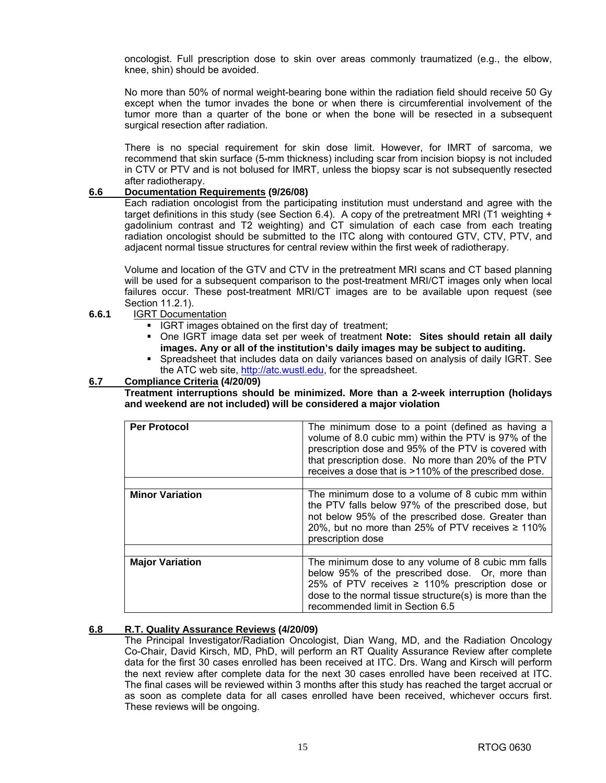oncologist. Full prescription dose to skin over areas commonly traumatized (e.g., the elbow, knee, shin) should be avoided.

 No more than 50% of normal weight-bearing bone within the radiation field should receive 50 Gy except when the tumor invades the bone or when there is circumferential involvement of the tumor more than a quarter of the bone or when the bone will be resected in a subsequent surgical resection after radiation.

 There is no special requirement for skin dose limit. However, for IMRT of sarcoma, we recommend that skin surface (5-mm thickness) including scar from incision biopsy is not included in CTV or PTV and is not bolused for IMRT, unless the biopsy scar is not subsequently resected after radiotherapy.

#### **6.6 Documentation Requirements (9/26/08)**

 Each radiation oncologist from the participating institution must understand and agree with the target definitions in this study (see Section 6.4). A copy of the pretreatment MRI (T1 weighting + gadolinium contrast and T2 weighting) and CT simulation of each case from each treating radiation oncologist should be submitted to the ITC along with contoured GTV, CTV, PTV, and adjacent normal tissue structures for central review within the first week of radiotherapy.

 Volume and location of the GTV and CTV in the pretreatment MRI scans and CT based planning will be used for a subsequent comparison to the post-treatment MRI/CT images only when local failures occur. These post-treatment MRI/CT images are to be available upon request (see Section 11.2.1).

- **6.6.1** IGRT Documentation
	- **IGRT images obtained on the first day of treatment;**
	- One IGRT image data set per week of treatment **Note: Sites should retain all daily images. Any or all of the institution's daily images may be subject to auditing.**
	- Spreadsheet that includes data on daily variances based on analysis of daily IGRT. See the ATC web site, [http://atc.wustl.edu,](http://atc.wustl.edu) for the spreadsheet.

#### **6.7 Compliance Criteria (4/20/09)**

 **Treatment interruptions should be minimized. More than a 2-week interruption (holidays and weekend are not included) will be considered a major violation** 

| <b>Per Protocol</b>    | The minimum dose to a point (defined as having a<br>volume of 8.0 cubic mm) within the PTV is 97% of the<br>prescription dose and 95% of the PTV is covered with<br>that prescription dose. No more than 20% of the PTV<br>receives a dose that is >110% of the prescribed dose. |
|------------------------|----------------------------------------------------------------------------------------------------------------------------------------------------------------------------------------------------------------------------------------------------------------------------------|
| <b>Minor Variation</b> | The minimum dose to a volume of 8 cubic mm within<br>the PTV falls below 97% of the prescribed dose, but<br>not below 95% of the prescribed dose. Greater than<br>20%, but no more than 25% of PTV receives $\geq 110\%$<br>prescription dose                                    |
| <b>Major Variation</b> | The minimum dose to any volume of 8 cubic mm falls<br>below 95% of the prescribed dose. Or, more than<br>25% of PTV receives $\geq$ 110% prescription dose or<br>dose to the normal tissue structure(s) is more than the<br>recommended limit in Section 6.5                     |

## **6.8 R.T. Quality Assurance Reviews (4/20/09)**

The Principal Investigator/Radiation Oncologist, Dian Wang, MD, and the Radiation Oncology Co-Chair, David Kirsch, MD, PhD, will perform an RT Quality Assurance Review after complete data for the first 30 cases enrolled has been received at ITC. Drs. Wang and Kirsch will perform the next review after complete data for the next 30 cases enrolled have been received at ITC. The final cases will be reviewed within 3 months after this study has reached the target accrual or as soon as complete data for all cases enrolled have been received, whichever occurs first. These reviews will be ongoing.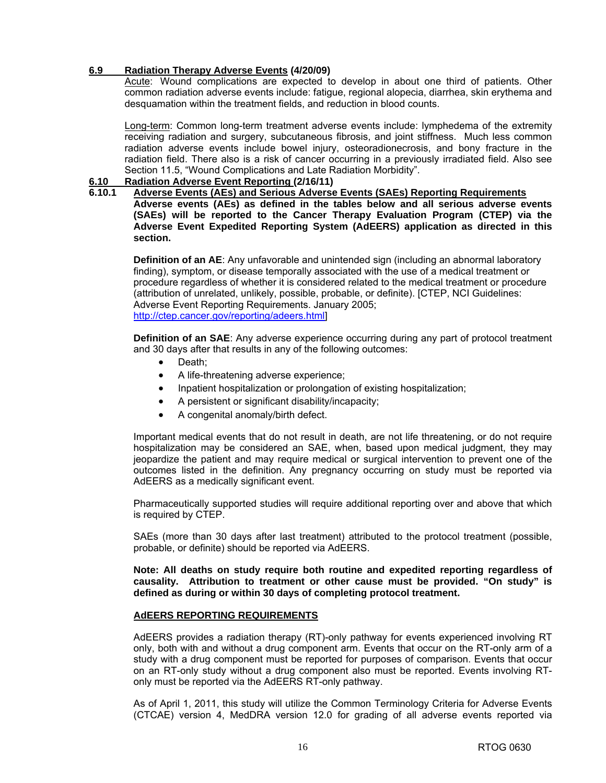#### **6.9 Radiation Therapy Adverse Events (4/20/09)**

 Acute: Wound complications are expected to develop in about one third of patients. Other common radiation adverse events include: fatigue, regional alopecia, diarrhea, skin erythema and desquamation within the treatment fields, and reduction in blood counts.

 Long-term: Common long-term treatment adverse events include: lymphedema of the extremity receiving radiation and surgery, subcutaneous fibrosis, and joint stiffness. Much less common radiation adverse events include bowel injury, osteoradionecrosis, and bony fracture in the radiation field. There also is a risk of cancer occurring in a previously irradiated field. Also see Section 11.5, "Wound Complications and Late Radiation Morbidity".

#### **6.10 Radiation Adverse Event Reporting (2/16/11)**

## **6.10.1 Adverse Events (AEs) and Serious Adverse Events (SAEs) Reporting Requirements**

**Adverse events (AEs) as defined in the tables below and all serious adverse events (SAEs) will be reported to the Cancer Therapy Evaluation Program (CTEP) via the Adverse Event Expedited Reporting System (AdEERS) application as directed in this section.** 

**Definition of an AE**: Any unfavorable and unintended sign (including an abnormal laboratory finding), symptom, or disease temporally associated with the use of a medical treatment or procedure regardless of whether it is considered related to the medical treatment or procedure (attribution of unrelated, unlikely, possible, probable, or definite). [CTEP, NCI Guidelines: Adverse Event Reporting Requirements. January 2005; [http://ctep.cancer.gov/reporting/adeers.html\]](http://ctep.cancer.gov/reporting/adeers.html)

**Definition of an SAE**: Any adverse experience occurring during any part of protocol treatment and 30 days after that results in any of the following outcomes:

- Death:
- A life-threatening adverse experience;
- Inpatient hospitalization or prolongation of existing hospitalization;
- A persistent or significant disability/incapacity;
- A congenital anomaly/birth defect.

 Important medical events that do not result in death, are not life threatening, or do not require hospitalization may be considered an SAE, when, based upon medical judgment, they may jeopardize the patient and may require medical or surgical intervention to prevent one of the outcomes listed in the definition. Any pregnancy occurring on study must be reported via AdEERS as a medically significant event.

Pharmaceutically supported studies will require additional reporting over and above that which is required by CTEP.

SAEs (more than 30 days after last treatment) attributed to the protocol treatment (possible, probable, or definite) should be reported via AdEERS.

**Note: All deaths on study require both routine and expedited reporting regardless of causality. Attribution to treatment or other cause must be provided. "On study" is defined as during or within 30 days of completing protocol treatment.** 

#### **AdEERS REPORTING REQUIREMENTS**

 AdEERS provides a radiation therapy (RT)-only pathway for events experienced involving RT only, both with and without a drug component arm. Events that occur on the RT-only arm of a study with a drug component must be reported for purposes of comparison. Events that occur on an RT-only study without a drug component also must be reported. Events involving RTonly must be reported via the AdEERS RT-only pathway.

As of April 1, 2011, this study will utilize the Common Terminology Criteria for Adverse Events (CTCAE) version 4, MedDRA version 12.0 for grading of all adverse events reported via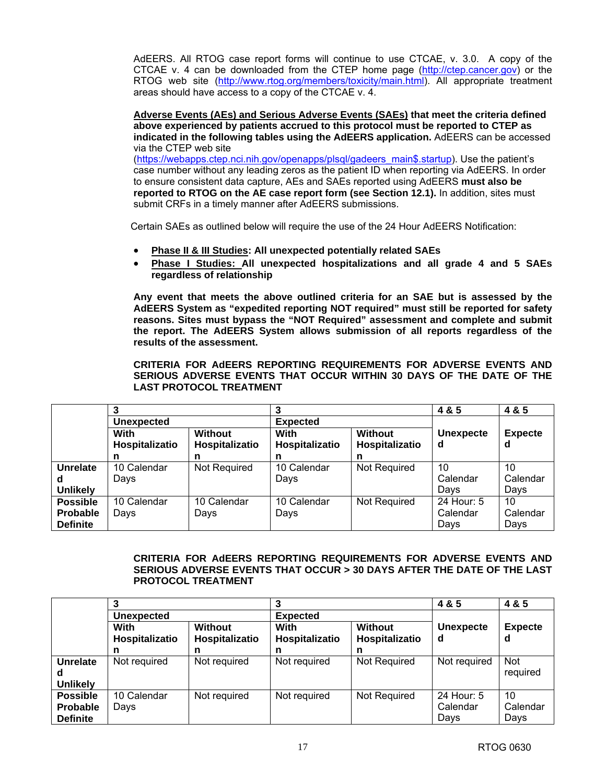AdEERS. All RTOG case report forms will continue to use CTCAE, v. 3.0. A copy of the CTCAE v. 4 can be downloaded from the CTEP home page ([http://ctep.cancer.gov\)](http://ctep.cancer.gov) or the RTOG web site ([http://www.rtog.org/members/toxicity/main.html\). A](http://www.rtog.org/members/toxicity/main.html)ll appropriate treatment areas should have access to a copy of the CTCAE v. 4.

**Adverse Events (AEs) and Serious Adverse Events (SAEs) that meet the criteria defined above experienced by patients accrued to this protocol must be reported to CTEP as indicated in the following tables using the AdEERS application.** AdEERS can be accessed via the CTEP web site

[\(https://webapps.ctep.nci.nih.gov/openapps/plsql/gadeers\\_main\\$.startup\). Us](https://webapps.ctep.nci.nih.gov/openapps/plsql/gadeers_main$.startup)e the patient's case number without any leading zeros as the patient ID when reporting via AdEERS. In order to ensure consistent data capture, AEs and SAEs reported using AdEERS **must also be reported to RTOG on the AE case report form (see Section 12.1).** In addition, sites must submit CRFs in a timely manner after AdEERS submissions.

Certain SAEs as outlined below will require the use of the 24 Hour AdEERS Notification:

- **Phase II & III Studies: All unexpected potentially related SAEs**
- **Phase I Studies: All unexpected hospitalizations and all grade 4 and 5 SAEs regardless of relationship**

**Any event that meets the above outlined criteria for an SAE but is assessed by the AdEERS System as "expedited reporting NOT required" must still be reported for safety reasons. Sites must bypass the "NOT Required" assessment and complete and submit the report. The AdEERS System allows submission of all reports regardless of the results of the assessment.** 

 **CRITERIA FOR AdEERS REPORTING REQUIREMENTS FOR ADVERSE EVENTS AND SERIOUS ADVERSE EVENTS THAT OCCUR WITHIN 30 DAYS OF THE DATE OF THE LAST PROTOCOL TREATMENT** 

|                 | ີ                      |                           | າ                      |                           | 4 & 5                 | 4 & 5               |
|-----------------|------------------------|---------------------------|------------------------|---------------------------|-----------------------|---------------------|
|                 | Unexpected             |                           | <b>Expected</b>        |                           |                       |                     |
|                 | With<br>Hospitalizatio | Without<br>Hospitalizatio | With<br>Hospitalizatio | Without<br>Hospitalizatio | <b>Unexpecte</b><br>d | <b>Expecte</b><br>d |
|                 | n                      | n                         | n                      | n                         |                       |                     |
| <b>Unrelate</b> | 10 Calendar            | Not Required              | 10 Calendar            | <b>Not Required</b>       | 10                    | 10                  |
| d               | Days                   |                           | Days                   |                           | Calendar              | Calendar            |
| <b>Unlikely</b> |                        |                           |                        |                           | Days                  | Days                |
| <b>Possible</b> | 10 Calendar            | 10 Calendar               | 10 Calendar            | Not Required              | 24 Hour: 5            | 10                  |
| <b>Probable</b> | Days                   | Days                      | Days                   |                           | Calendar              | Calendar            |
| <b>Definite</b> |                        |                           |                        |                           | Days                  | Days                |

#### **CRITERIA FOR AdEERS REPORTING REQUIREMENTS FOR ADVERSE EVENTS AND SERIOUS ADVERSE EVENTS THAT OCCUR > 30 DAYS AFTER THE DATE OF THE LAST PROTOCOL TREATMENT**

|                 | 3                      |                           |                        |                                  | 4 & 5                 | 4 & 5               |
|-----------------|------------------------|---------------------------|------------------------|----------------------------------|-----------------------|---------------------|
|                 | <b>Unexpected</b>      |                           | <b>Expected</b>        |                                  |                       |                     |
|                 | With<br>Hospitalizatio | Without<br>Hospitalizatio | With<br>Hospitalizatio | <b>Without</b><br>Hospitalizatio | <b>Unexpecte</b><br>d | <b>Expecte</b><br>d |
|                 | n                      |                           |                        | n                                |                       |                     |
| Unrelate        | Not required           | Not required              | Not required           | <b>Not Required</b>              | Not required          | <b>Not</b>          |
| d               |                        |                           |                        |                                  |                       | required            |
| <b>Unlikely</b> |                        |                           |                        |                                  |                       |                     |
| <b>Possible</b> | 10 Calendar            | Not required              | Not required           | Not Required                     | 24 Hour: 5            | 10                  |
| <b>Probable</b> | Days                   |                           |                        |                                  | Calendar              | Calendar            |
| <b>Definite</b> |                        |                           |                        |                                  | Days                  | Days                |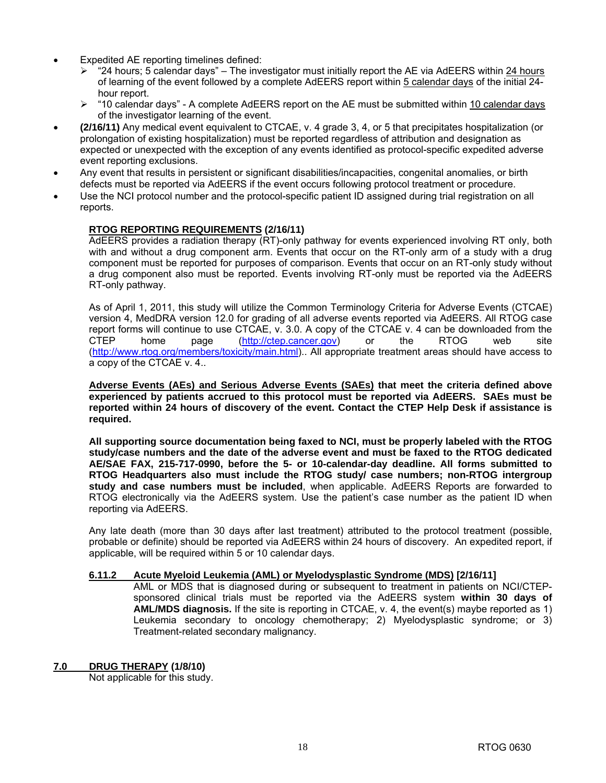- Expedited AE reporting timelines defined:
	- ¾ "24 hours; 5 calendar days" The investigator must initially report the AE via AdEERS within 24 hours of learning of the event followed by a complete AdEERS report within 5 calendar days of the initial 24 hour report.
	- ¾ "10 calendar days" A complete AdEERS report on the AE must be submitted within 10 calendar days of the investigator learning of the event.
- **(2/16/11)** Any medical event equivalent to CTCAE, v. 4 grade 3, 4, or 5 that precipitates hospitalization (or prolongation of existing hospitalization) must be reported regardless of attribution and designation as expected or unexpected with the exception of any events identified as protocol-specific expedited adverse event reporting exclusions.
- Any event that results in persistent or significant disabilities/incapacities, congenital anomalies, or birth defects must be reported via AdEERS if the event occurs following protocol treatment or procedure.
- Use the NCI protocol number and the protocol-specific patient ID assigned during trial registration on all reports.

#### **RTOG REPORTING REQUIREMENTS (2/16/11)**

AdEERS provides a radiation therapy (RT)-only pathway for events experienced involving RT only, both with and without a drug component arm. Events that occur on the RT-only arm of a study with a drug component must be reported for purposes of comparison. Events that occur on an RT-only study without a drug component also must be reported. Events involving RT-only must be reported via the AdEERS RT-only pathway.

As of April 1, 2011, this study will utilize the Common Terminology Criteria for Adverse Events (CTCAE) version 4, MedDRA version 12.0 for grading of all adverse events reported via AdEERS. All RTOG case report forms will continue to use CTCAE, v. 3.0. A copy of the CTCAE v. 4 can be downloaded from the CTEP home page ([http://ctep.cancer.gov\)](http://ctep.cancer.gov) or the RTOG web site [\(http://www.rtog.org/members/toxicity/main.html\).. A](http://www.rtog.org/members/toxicity/main.html)ll appropriate treatment areas should have access to a copy of the CTCAE v. 4..

**Adverse Events (AEs) and Serious Adverse Events (SAEs) that meet the criteria defined above experienced by patients accrued to this protocol must be reported via AdEERS. SAEs must be reported within 24 hours of discovery of the event. Contact the CTEP Help Desk if assistance is required.** 

**All supporting source documentation being faxed to NCI, must be properly labeled with the RTOG study/case numbers and the date of the adverse event and must be faxed to the RTOG dedicated AE/SAE FAX, 215-717-0990, before the 5- or 10-calendar-day deadline. All forms submitted to RTOG Headquarters also must include the RTOG study/ case numbers; non-RTOG intergroup study and case numbers must be included**, when applicable. AdEERS Reports are forwarded to RTOG electronically via the AdEERS system. Use the patient's case number as the patient ID when reporting via AdEERS.

Any late death (more than 30 days after last treatment) attributed to the protocol treatment (possible, probable or definite) should be reported via AdEERS within 24 hours of discovery. An expedited report, if applicable, will be required within 5 or 10 calendar days.

#### **6.11.2 Acute Myeloid Leukemia (AML) or Myelodysplastic Syndrome (MDS) [2/16/11]**

AML or MDS that is diagnosed during or subsequent to treatment in patients on NCI/CTEPsponsored clinical trials must be reported via the AdEERS system **within 30 days of AML/MDS diagnosis.** If the site is reporting in CTCAE, v. 4, the event(s) maybe reported as 1) Leukemia secondary to oncology chemotherapy; 2) Myelodysplastic syndrome; or 3) Treatment-related secondary malignancy.

#### **7.0 DRUG THERAPY (1/8/10)**

Not applicable for this study.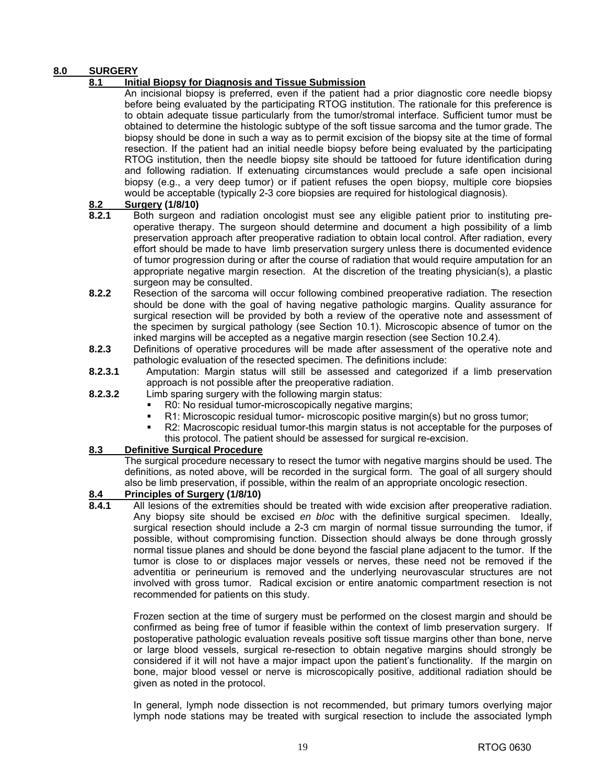## **8.0 SURGERY**

## **8.1 Initial Biopsy for Diagnosis and Tissue Submission**

 An incisional biopsy is preferred, even if the patient had a prior diagnostic core needle biopsy before being evaluated by the participating RTOG institution. The rationale for this preference is to obtain adequate tissue particularly from the tumor/stromal interface. Sufficient tumor must be obtained to determine the histologic subtype of the soft tissue sarcoma and the tumor grade. The biopsy should be done in such a way as to permit excision of the biopsy site at the time of formal resection. If the patient had an initial needle biopsy before being evaluated by the participating RTOG institution, then the needle biopsy site should be tattooed for future identification during and following radiation. If extenuating circumstances would preclude a safe open incisional biopsy (e.g., a very deep tumor) or if patient refuses the open biopsy, multiple core biopsies would be acceptable (typically 2-3 core biopsies are required for histological diagnosis).

#### **8.2 Surgery (1/8/10)**

- **8.2.1** Both surgeon and radiation oncologist must see any eligible patient prior to instituting preoperative therapy. The surgeon should determine and document a high possibility of a limb preservation approach after preoperative radiation to obtain local control. After radiation, every effort should be made to have limb preservation surgery unless there is documented evidence of tumor progression during or after the course of radiation that would require amputation for an appropriate negative margin resection. At the discretion of the treating physician(s), a plastic surgeon may be consulted.
- **8.2.2** Resection of the sarcoma will occur following combined preoperative radiation. The resection should be done with the goal of having negative pathologic margins. Quality assurance for surgical resection will be provided by both a review of the operative note and assessment of the specimen by surgical pathology (see Section 10.1). Microscopic absence of tumor on the inked margins will be accepted as a negative margin resection (see Section 10.2.4).
- **8.2.3** Definitions of operative procedures will be made after assessment of the operative note and pathologic evaluation of the resected specimen. The definitions include:
- **8.2.3.1** Amputation: Margin status will still be assessed and categorized if a limb preservation approach is not possible after the preoperative radiation.
- **8.2.3.2** Limb sparing surgery with the following margin status:
	- R0: No residual tumor-microscopically negative margins;
	- R1: Microscopic residual tumor- microscopic positive margin(s) but no gross tumor;
	- R2: Macroscopic residual tumor-this margin status is not acceptable for the purposes of this protocol. The patient should be assessed for surgical re-excision.

#### **8.3 Definitive Surgical Procedure**

 The surgical procedure necessary to resect the tumor with negative margins should be used. The definitions, as noted above, will be recorded in the surgical form. The goal of all surgery should also be limb preservation, if possible, within the realm of an appropriate oncologic resection.

## **8.4 Principles of Surgery (1/8/10)**

**8.4.1** All lesions of the extremities should be treated with wide excision after preoperative radiation. Any biopsy site should be excised *en bloc* with the definitive surgical specimen. Ideally, surgical resection should include a 2-3 cm margin of normal tissue surrounding the tumor, if possible, without compromising function. Dissection should always be done through grossly normal tissue planes and should be done beyond the fascial plane adjacent to the tumor. If the tumor is close to or displaces major vessels or nerves, these need not be removed if the adventitia or perineurium is removed and the underlying neurovascular structures are not involved with gross tumor. Radical excision or entire anatomic compartment resection is not recommended for patients on this study.

 Frozen section at the time of surgery must be performed on the closest margin and should be confirmed as being free of tumor if feasible within the context of limb preservation surgery. If postoperative pathologic evaluation reveals positive soft tissue margins other than bone, nerve or large blood vessels, surgical re-resection to obtain negative margins should strongly be considered if it will not have a major impact upon the patient's functionality. If the margin on bone, major blood vessel or nerve is microscopically positive, additional radiation should be given as noted in the protocol.

 In general, lymph node dissection is not recommended, but primary tumors overlying major lymph node stations may be treated with surgical resection to include the associated lymph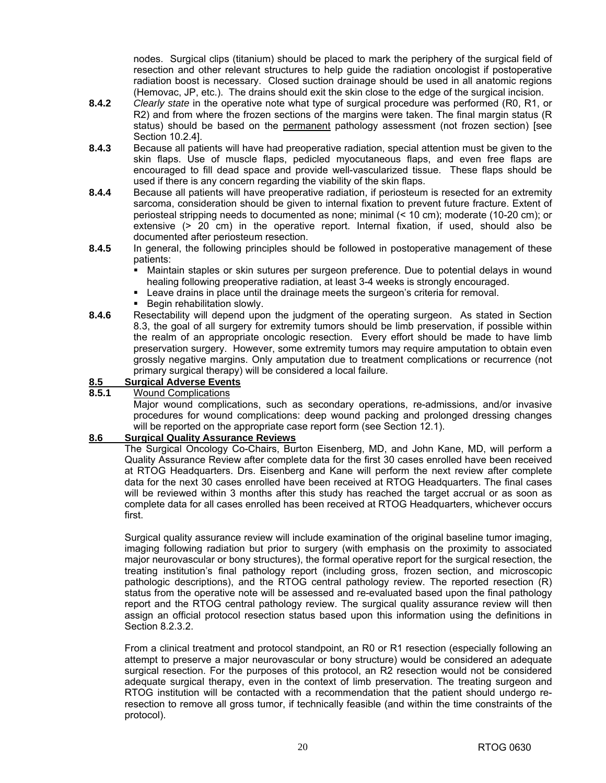nodes. Surgical clips (titanium) should be placed to mark the periphery of the surgical field of resection and other relevant structures to help guide the radiation oncologist if postoperative radiation boost is necessary. Closed suction drainage should be used in all anatomic regions (Hemovac, JP, etc.). The drains should exit the skin close to the edge of the surgical incision.

- **8.4.2** *Clearly state* in the operative note what type of surgical procedure was performed (R0, R1, or R2) and from where the frozen sections of the margins were taken. The final margin status (R status) should be based on the permanent pathology assessment (not frozen section) [see Section 10.2.4].
- **8.4.3** Because all patients will have had preoperative radiation, special attention must be given to the skin flaps. Use of muscle flaps, pedicled myocutaneous flaps, and even free flaps are encouraged to fill dead space and provide well-vascularized tissue. These flaps should be used if there is any concern regarding the viability of the skin flaps.
- **8.4.4** Because all patients will have preoperative radiation, if periosteum is resected for an extremity sarcoma, consideration should be given to internal fixation to prevent future fracture. Extent of periosteal stripping needs to documented as none; minimal (< 10 cm); moderate (10-20 cm); or extensive (> 20 cm) in the operative report. Internal fixation, if used, should also be documented after periosteum resection.
- **8.4.5** In general, the following principles should be followed in postoperative management of these patients:
	- Maintain staples or skin sutures per surgeon preference. Due to potential delays in wound healing following preoperative radiation, at least 3-4 weeks is strongly encouraged.
	- Leave drains in place until the drainage meets the surgeon's criteria for removal.
	- Begin rehabilitation slowly.
- **8.4.6** Resectability will depend upon the judgment of the operating surgeon. As stated in Section 8.3, the goal of all surgery for extremity tumors should be limb preservation, if possible within the realm of an appropriate oncologic resection. Every effort should be made to have limb preservation surgery. However, some extremity tumors may require amputation to obtain even grossly negative margins. Only amputation due to treatment complications or recurrence (not primary surgical therapy) will be considered a local failure.

## 8.5 **Surgical Adverse Events**<br>**8.5.1** Wound Complications

#### **8.5.1** Wound Complications

 Major wound complications, such as secondary operations, re-admissions, and/or invasive procedures for wound complications: deep wound packing and prolonged dressing changes will be reported on the appropriate case report form (see Section 12.1).

#### **8.6 Surgical Quality Assurance Reviews**

The Surgical Oncology Co-Chairs, Burton Eisenberg, MD, and John Kane, MD, will perform a Quality Assurance Review after complete data for the first 30 cases enrolled have been received at RTOG Headquarters. Drs. Eisenberg and Kane will perform the next review after complete data for the next 30 cases enrolled have been received at RTOG Headquarters. The final cases will be reviewed within 3 months after this study has reached the target accrual or as soon as complete data for all cases enrolled has been received at RTOG Headquarters, whichever occurs first.

Surgical quality assurance review will include examination of the original baseline tumor imaging, imaging following radiation but prior to surgery (with emphasis on the proximity to associated major neurovascular or bony structures), the formal operative report for the surgical resection, the treating institution's final pathology report (including gross, frozen section, and microscopic pathologic descriptions), and the RTOG central pathology review. The reported resection (R) status from the operative note will be assessed and re-evaluated based upon the final pathology report and the RTOG central pathology review. The surgical quality assurance review will then assign an official protocol resection status based upon this information using the definitions in Section 8.2.3.2.

 From a clinical treatment and protocol standpoint, an R0 or R1 resection (especially following an attempt to preserve a major neurovascular or bony structure) would be considered an adequate surgical resection. For the purposes of this protocol, an R2 resection would not be considered adequate surgical therapy, even in the context of limb preservation. The treating surgeon and RTOG institution will be contacted with a recommendation that the patient should undergo reresection to remove all gross tumor, if technically feasible (and within the time constraints of the protocol).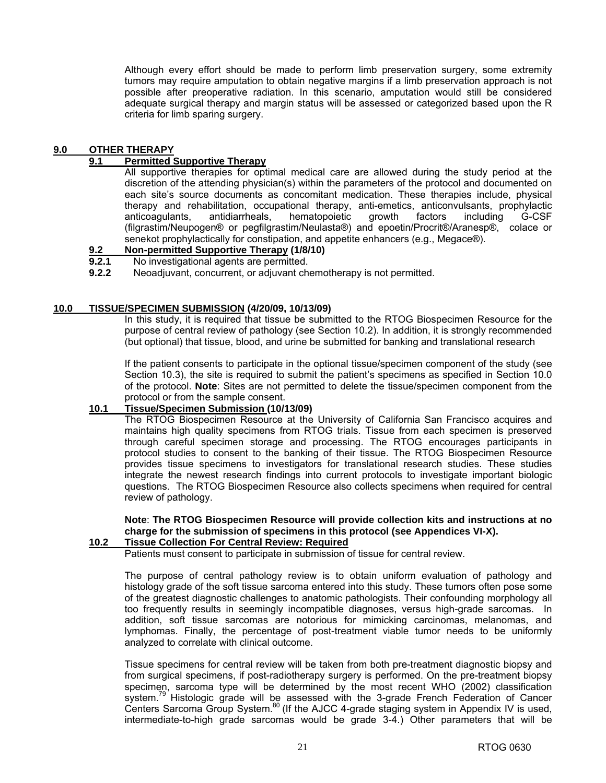Although every effort should be made to perform limb preservation surgery, some extremity tumors may require amputation to obtain negative margins if a limb preservation approach is not possible after preoperative radiation. In this scenario, amputation would still be considered adequate surgical therapy and margin status will be assessed or categorized based upon the R criteria for limb sparing surgery.

#### **9.0 OTHER THERAPY**

#### **9.1 Permitted Supportive Therapy**

 All supportive therapies for optimal medical care are allowed during the study period at the discretion of the attending physician(s) within the parameters of the protocol and documented on each site's source documents as concomitant medication. These therapies include, physical therapy and rehabilitation, occupational therapy, anti-emetics, anticonvulsants, prophylactic anticoagulants, antidiarrheals, hematopoietic growth factors including G-CSF (filgrastim/Neupogen® or pegfilgrastim/Neulasta®) and epoetin/Procrit®/Aranesp®, colace or senekot prophylactically for constipation, and appetite enhancers (e.g., Megace®).

## **9.2 Non-permitted Supportive Therapy (1/8/10)**<br>**9.2.1** No investigational agents are permitted.

- **9.2.1** No investigational agents are permitted.
- **9.2.2** Neoadjuvant, concurrent, or adjuvant chemotherapy is not permitted.

#### **10.0 TISSUE/SPECIMEN SUBMISSION (4/20/09, 10/13/09)**

In this study, it is required that tissue be submitted to the RTOG Biospecimen Resource for the purpose of central review of pathology (see Section 10.2). In addition, it is strongly recommended (but optional) that tissue, blood, and urine be submitted for banking and translational research

If the patient consents to participate in the optional tissue/specimen component of the study (see Section 10.3), the site is required to submit the patient's specimens as specified in Section 10.0 of the protocol. **Note**: Sites are not permitted to delete the tissue/specimen component from the protocol or from the sample consent.

#### **10.1 Tissue/Specimen Submission (10/13/09)**

The RTOG Biospecimen Resource at the University of California San Francisco acquires and maintains high quality specimens from RTOG trials. Tissue from each specimen is preserved through careful specimen storage and processing. The RTOG encourages participants in protocol studies to consent to the banking of their tissue. The RTOG Biospecimen Resource provides tissue specimens to investigators for translational research studies. These studies integrate the newest research findings into current protocols to investigate important biologic questions. The RTOG Biospecimen Resource also collects specimens when required for central review of pathology.

## **Note**: **The RTOG Biospecimen Resource will provide collection kits and instructions at no charge for the submission of specimens in this protocol (see Appendices VI-X).**

## **10.2 Tissue Collection For Central Review: Required**

Patients must consent to participate in submission of tissue for central review.

The purpose of central pathology review is to obtain uniform evaluation of pathology and histology grade of the soft tissue sarcoma entered into this study. These tumors often pose some of the greatest diagnostic challenges to anatomic pathologists. Their confounding morphology all too frequently results in seemingly incompatible diagnoses, versus high-grade sarcomas. In addition, soft tissue sarcomas are notorious for mimicking carcinomas, melanomas, and lymphomas. Finally, the percentage of post-treatment viable tumor needs to be uniformly analyzed to correlate with clinical outcome.

Tissue specimens for central review will be taken from both pre-treatment diagnostic biopsy and from surgical specimens, if post-radiotherapy surgery is performed. On the pre-treatment biopsy specimen, sarcoma type will be determined by the most recent WHO (2002) classification system.<sup>79</sup> Histologic grade will be assessed with the 3-grade French Federation of Cancer Centers Sarcoma Group System.<sup>80</sup> (If the AJCC 4-grade staging system in Appendix IV is used, intermediate-to-high grade sarcomas would be grade 3-4.) Other parameters that will be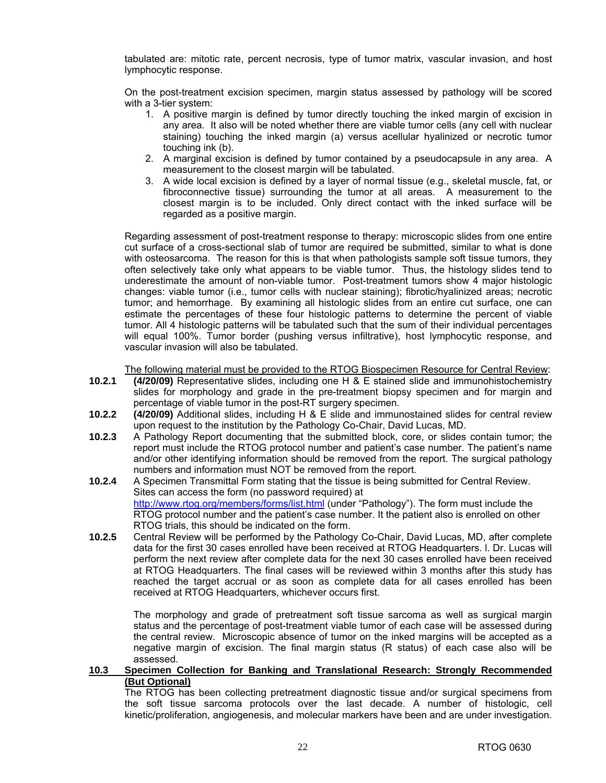tabulated are: mitotic rate, percent necrosis, type of tumor matrix, vascular invasion, and host lymphocytic response.

On the post-treatment excision specimen, margin status assessed by pathology will be scored with a 3-tier system:

- 1. A positive margin is defined by tumor directly touching the inked margin of excision in any area. It also will be noted whether there are viable tumor cells (any cell with nuclear staining) touching the inked margin (a) versus acellular hyalinized or necrotic tumor touching ink (b).
- 2. A marginal excision is defined by tumor contained by a pseudocapsule in any area. A measurement to the closest margin will be tabulated.
- 3. A wide local excision is defined by a layer of normal tissue (e.g., skeletal muscle, fat, or fibroconnective tissue) surrounding the tumor at all areas. A measurement to the closest margin is to be included. Only direct contact with the inked surface will be regarded as a positive margin.

Regarding assessment of post-treatment response to therapy: microscopic slides from one entire cut surface of a cross-sectional slab of tumor are required be submitted, similar to what is done with osteosarcoma. The reason for this is that when pathologists sample soft tissue tumors, they often selectively take only what appears to be viable tumor. Thus, the histology slides tend to underestimate the amount of non-viable tumor. Post-treatment tumors show 4 major histologic changes: viable tumor (i.e., tumor cells with nuclear staining); fibrotic/hyalinized areas; necrotic tumor; and hemorrhage. By examining all histologic slides from an entire cut surface, one can estimate the percentages of these four histologic patterns to determine the percent of viable tumor. All 4 histologic patterns will be tabulated such that the sum of their individual percentages will equal 100%. Tumor border (pushing versus infiltrative), host lymphocytic response, and vascular invasion will also be tabulated.

The following material must be provided to the RTOG Biospecimen Resource for Central Review:

- **10.2.1 (4/20/09)** Representative slides, including one H & E stained slide and immunohistochemistry slides for morphology and grade in the pre-treatment biopsy specimen and for margin and percentage of viable tumor in the post-RT surgery specimen.
- **10.2.2 (4/20/09)** Additional slides, including H & E slide and immunostained slides for central review upon request to the institution by the Pathology Co-Chair, David Lucas, MD.
- **10.2.3** A Pathology Report documenting that the submitted block, core, or slides contain tumor; the report must include the RTOG protocol number and patient's case number. The patient's name and/or other identifying information should be removed from the report. The surgical pathology numbers and information must NOT be removed from the report.
- **10.2.4** A Specimen Transmittal Form stating that the tissue is being submitted for Central Review. Sites can access the form (no password required) at [http://www.rtog.org/members/forms/list.html \(u](http://www.rtog.org/members/forms/list.html)nder "Pathology"). The form must include the RTOG protocol number and the patient's case number. It the patient also is enrolled on other RTOG trials, this should be indicated on the form.
- **10.2.5** Central Review will be performed by the Pathology Co-Chair, David Lucas, MD, after complete data for the first 30 cases enrolled have been received at RTOG Headquarters. l. Dr. Lucas will perform the next review after complete data for the next 30 cases enrolled have been received at RTOG Headquarters. The final cases will be reviewed within 3 months after this study has reached the target accrual or as soon as complete data for all cases enrolled has been received at RTOG Headquarters, whichever occurs first.

 The morphology and grade of pretreatment soft tissue sarcoma as well as surgical margin status and the percentage of post-treatment viable tumor of each case will be assessed during the central review. Microscopic absence of tumor on the inked margins will be accepted as a negative margin of excision. The final margin status (R status) of each case also will be assessed.

#### **10.3 Specimen Collection for Banking and Translational Research: Strongly Recommended (But Optional)**

The RTOG has been collecting pretreatment diagnostic tissue and/or surgical specimens from the soft tissue sarcoma protocols over the last decade. A number of histologic, cell kinetic/proliferation, angiogenesis, and molecular markers have been and are under investigation.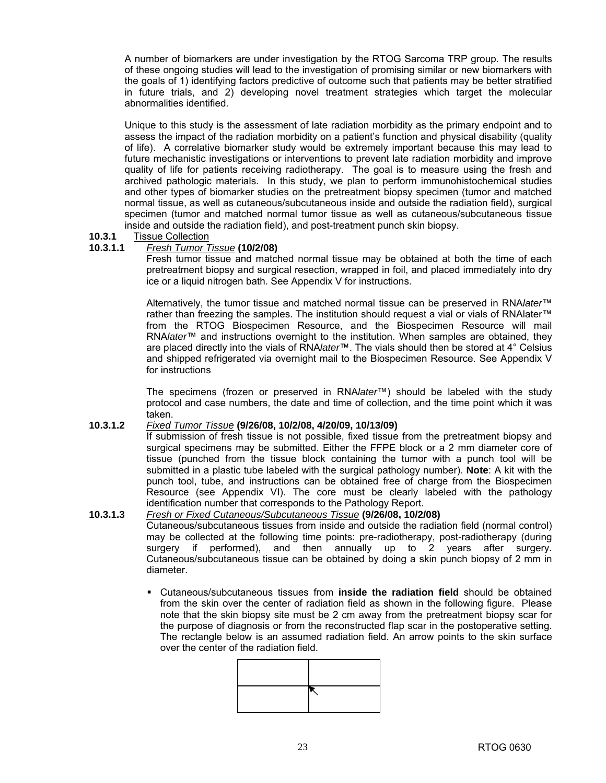A number of biomarkers are under investigation by the RTOG Sarcoma TRP group. The results of these ongoing studies will lead to the investigation of promising similar or new biomarkers with the goals of 1) identifying factors predictive of outcome such that patients may be better stratified in future trials, and 2) developing novel treatment strategies which target the molecular abnormalities identified.

Unique to this study is the assessment of late radiation morbidity as the primary endpoint and to assess the impact of the radiation morbidity on a patient's function and physical disability (quality of life). A correlative biomarker study would be extremely important because this may lead to future mechanistic investigations or interventions to prevent late radiation morbidity and improve quality of life for patients receiving radiotherapy. The goal is to measure using the fresh and archived pathologic materials. In this study, we plan to perform immunohistochemical studies and other types of biomarker studies on the pretreatment biopsy specimen (tumor and matched normal tissue, as well as cutaneous/subcutaneous inside and outside the radiation field), surgical specimen (tumor and matched normal tumor tissue as well as cutaneous/subcutaneous tissue inside and outside the radiation field), and post-treatment punch skin biopsy.

#### **10.3.1** Tissue Collection

#### **10.3.1.1** *Fresh Tumor Tissue* **(10/2/08)**

Fresh tumor tissue and matched normal tissue may be obtained at both the time of each pretreatment biopsy and surgical resection, wrapped in foil, and placed immediately into dry ice or a liquid nitrogen bath. See Appendix V for instructions.

 Alternatively, the tumor tissue and matched normal tissue can be preserved in RNA*later*™ rather than freezing the samples. The institution should request a vial or vials of RNAlater™ from the RTOG Biospecimen Resource, and the Biospecimen Resource will mail RNA*later*™ and instructions overnight to the institution. When samples are obtained, they are placed directly into the vials of RNA*later*™. The vials should then be stored at 4° Celsius and shipped refrigerated via overnight mail to the Biospecimen Resource. See Appendix V for instructions

 The specimens (frozen or preserved in RNA*later*™) should be labeled with the study protocol and case numbers, the date and time of collection, and the time point which it was taken.

#### **10.3.1.2** *Fixed Tumor Tissue* **(9/26/08, 10/2/08, 4/20/09, 10/13/09)**

 If submission of fresh tissue is not possible, fixed tissue from the pretreatment biopsy and surgical specimens may be submitted. Either the FFPE block or a 2 mm diameter core of tissue (punched from the tissue block containing the tumor with a punch tool will be submitted in a plastic tube labeled with the surgical pathology number). **Note**: A kit with the punch tool, tube, and instructions can be obtained free of charge from the Biospecimen Resource (see Appendix VI). The core must be clearly labeled with the pathology identification number that corresponds to the Pathology Report.

#### **10.3.1.3** *Fresh or Fixed Cutaneous/Subcutaneous Tissue* **(9/26/08, 10/2/08)**

Cutaneous/subcutaneous tissues from inside and outside the radiation field (normal control) may be collected at the following time points: pre-radiotherapy, post-radiotherapy (during surgery if performed), and then annually up to 2 years after surgery. Cutaneous/subcutaneous tissue can be obtained by doing a skin punch biopsy of 2 mm in diameter.

 Cutaneous/subcutaneous tissues from **inside the radiation field** should be obtained from the skin over the center of radiation field as shown in the following figure. Please note that the skin biopsy site must be 2 cm away from the pretreatment biopsy scar for the purpose of diagnosis or from the reconstructed flap scar in the postoperative setting. The rectangle below is an assumed radiation field. An arrow points to the skin surface over the center of the radiation field.

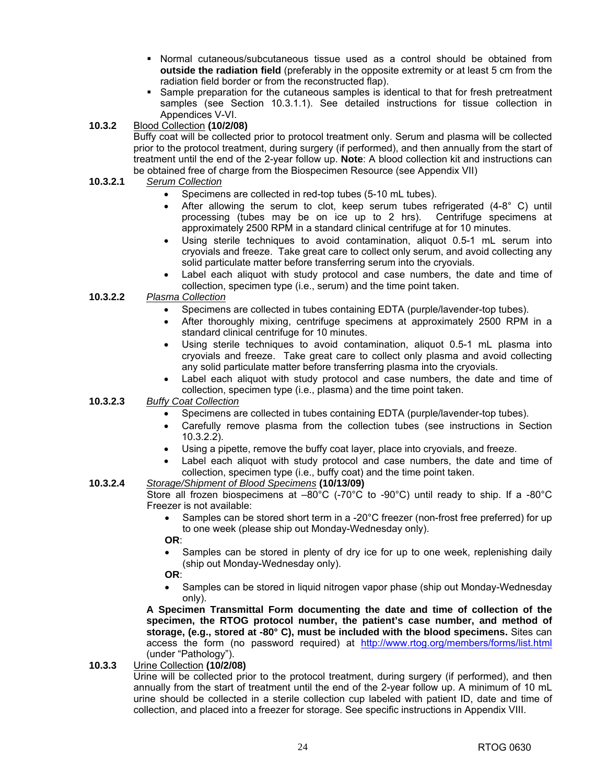- Normal cutaneous/subcutaneous tissue used as a control should be obtained from **outside the radiation field** (preferably in the opposite extremity or at least 5 cm from the radiation field border or from the reconstructed flap).
- **Sample preparation for the cutaneous samples is identical to that for fresh pretreatment** samples (see Section 10.3.1.1). See detailed instructions for tissue collection in Appendices V-VI.
- **10.3.2** Blood Collection **(10/2/08)** 
	- Buffy coat will be collected prior to protocol treatment only. Serum and plasma will be collected prior to the protocol treatment, during surgery (if performed), and then annually from the start of treatment until the end of the 2-year follow up. **Note**: A blood collection kit and instructions can be obtained free of charge from the Biospecimen Resource (see Appendix VII)
- **10.3.2.1** *Serum Collection*
	- Specimens are collected in red-top tubes (5-10 mL tubes).
	- After allowing the serum to clot, keep serum tubes refrigerated  $(4-8^{\circ} \text{ C})$  until processing (tubes may be on ice up to 2 hrs). Centrifuge specimens at approximately 2500 RPM in a standard clinical centrifuge at for 10 minutes.
	- Using sterile techniques to avoid contamination, aliquot 0.5-1 mL serum into cryovials and freeze. Take great care to collect only serum, and avoid collecting any solid particulate matter before transferring serum into the cryovials.
	- Label each aliquot with study protocol and case numbers, the date and time of collection, specimen type (i.e., serum) and the time point taken.

## **10.3.2.2** *Plasma Collection*

- Specimens are collected in tubes containing EDTA (purple/lavender-top tubes).
- After thoroughly mixing, centrifuge specimens at approximately 2500 RPM in a standard clinical centrifuge for 10 minutes.
- Using sterile techniques to avoid contamination, aliquot 0.5-1 mL plasma into cryovials and freeze. Take great care to collect only plasma and avoid collecting any solid particulate matter before transferring plasma into the cryovials.
- Label each aliquot with study protocol and case numbers, the date and time of collection, specimen type (i.e., plasma) and the time point taken.
- **10.3.2.3** *Buffy Coat Collection*
	- Specimens are collected in tubes containing EDTA (purple/lavender-top tubes).
	- Carefully remove plasma from the collection tubes (see instructions in Section 10.3.2.2).
	- Using a pipette, remove the buffy coat layer, place into cryovials, and freeze.
	- Label each aliquot with study protocol and case numbers, the date and time of collection, specimen type (i.e., buffy coat) and the time point taken.

#### **10.3.2.4** *Storage/Shipment of Blood Specimens* **(10/13/09)**

Store all frozen biospecimens at  $-80^{\circ}$ C (-70 $^{\circ}$ C to -90 $^{\circ}$ C) until ready to ship. If a -80 $^{\circ}$ C Freezer is not available:

• Samples can be stored short term in a -20°C freezer (non-frost free preferred) for up to one week (please ship out Monday-Wednesday only).

**OR**:

• Samples can be stored in plenty of dry ice for up to one week, replenishing daily (ship out Monday-Wednesday only).

**OR**:

• Samples can be stored in liquid nitrogen vapor phase (ship out Monday-Wednesday only).

**A Specimen Transmittal Form documenting the date and time of collection of the specimen, the RTOG protocol number, the patient's case number, and method of storage, (e.g., stored at -80° C), must be included with the blood specimens.** Sites can access the form (no password required) at <http://www.rtog.org/members/forms/list.html> (under "Pathology").

**10.3.3** Urine Collection **(10/2/08)** 

 Urine will be collected prior to the protocol treatment, during surgery (if performed), and then annually from the start of treatment until the end of the 2-year follow up. A minimum of 10 mL urine should be collected in a sterile collection cup labeled with patient ID, date and time of collection, and placed into a freezer for storage. See specific instructions in Appendix VIII.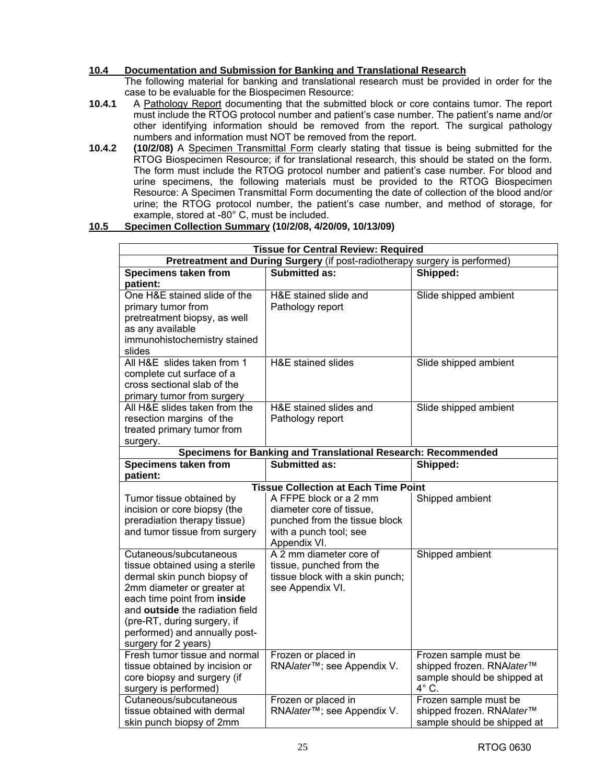## **10.4 Documentation and Submission for Banking and Translational Research**

The following material for banking and translational research must be provided in order for the case to be evaluable for the Biospecimen Resource:

- **10.4.1** A Pathology Report documenting that the submitted block or core contains tumor. The report must include the RTOG protocol number and patient's case number. The patient's name and/or other identifying information should be removed from the report. The surgical pathology numbers and information must NOT be removed from the report.
- **10.4.2 (10/2/08)** A Specimen Transmittal Form clearly stating that tissue is being submitted for the RTOG Biospecimen Resource; if for translational research, this should be stated on the form. The form must include the RTOG protocol number and patient's case number. For blood and urine specimens, the following materials must be provided to the RTOG Biospecimen Resource: A Specimen Transmittal Form documenting the date of collection of the blood and/or urine; the RTOG protocol number, the patient's case number, and method of storage, for example, stored at -80° C, must be included.

#### **10.5 Specimen Collection Summary (10/2/08, 4/20/09, 10/13/09)**

| <b>Tissue for Central Review: Required</b>                                                                                                                                                                                                                                       |                                                                                                                               |                                                                                                   |  |  |
|----------------------------------------------------------------------------------------------------------------------------------------------------------------------------------------------------------------------------------------------------------------------------------|-------------------------------------------------------------------------------------------------------------------------------|---------------------------------------------------------------------------------------------------|--|--|
| Pretreatment and During Surgery (if post-radiotherapy surgery is performed)                                                                                                                                                                                                      |                                                                                                                               |                                                                                                   |  |  |
| <b>Specimens taken from</b><br>patient:                                                                                                                                                                                                                                          | Submitted as:                                                                                                                 | Shipped:                                                                                          |  |  |
| One H&E stained slide of the<br>primary tumor from<br>pretreatment biopsy, as well<br>as any available<br>immunohistochemistry stained<br>slides                                                                                                                                 | H&E stained slide and<br>Pathology report                                                                                     | Slide shipped ambient                                                                             |  |  |
| All H&E slides taken from 1<br>complete cut surface of a<br>cross sectional slab of the<br>primary tumor from surgery                                                                                                                                                            | H&E stained slides                                                                                                            | Slide shipped ambient                                                                             |  |  |
| All H&E slides taken from the<br>resection margins of the<br>treated primary tumor from<br>surgery.                                                                                                                                                                              | H&E stained slides and<br>Pathology report                                                                                    | Slide shipped ambient                                                                             |  |  |
|                                                                                                                                                                                                                                                                                  | Specimens for Banking and Translational Research: Recommended                                                                 |                                                                                                   |  |  |
| <b>Specimens taken from</b><br>patient:                                                                                                                                                                                                                                          | <b>Submitted as:</b>                                                                                                          | Shipped:                                                                                          |  |  |
|                                                                                                                                                                                                                                                                                  | <b>Tissue Collection at Each Time Point</b>                                                                                   |                                                                                                   |  |  |
| Tumor tissue obtained by<br>incision or core biopsy (the<br>preradiation therapy tissue)<br>and tumor tissue from surgery                                                                                                                                                        | A FFPE block or a 2 mm<br>diameter core of tissue,<br>punched from the tissue block<br>with a punch tool; see<br>Appendix VI. | Shipped ambient                                                                                   |  |  |
| Cutaneous/subcutaneous<br>tissue obtained using a sterile<br>dermal skin punch biopsy of<br>2mm diameter or greater at<br>each time point from inside<br>and outside the radiation field<br>(pre-RT, during surgery, if<br>performed) and annually post-<br>surgery for 2 years) | A 2 mm diameter core of<br>tissue, punched from the<br>tissue block with a skin punch;<br>see Appendix VI.                    | Shipped ambient                                                                                   |  |  |
| Fresh tumor tissue and normal<br>tissue obtained by incision or<br>core biopsy and surgery (if<br>surgery is performed)                                                                                                                                                          | Frozen or placed in<br>RNAlater <sup>™</sup> ; see Appendix V.                                                                | Frozen sample must be<br>shipped frozen. RNAlater™<br>sample should be shipped at<br>$4^\circ$ C. |  |  |
| Cutaneous/subcutaneous<br>tissue obtained with dermal<br>skin punch biopsy of 2mm                                                                                                                                                                                                | Frozen or placed in<br>RNAlater <sup>™</sup> ; see Appendix V.                                                                | Frozen sample must be<br>shipped frozen. RNAlater™<br>sample should be shipped at                 |  |  |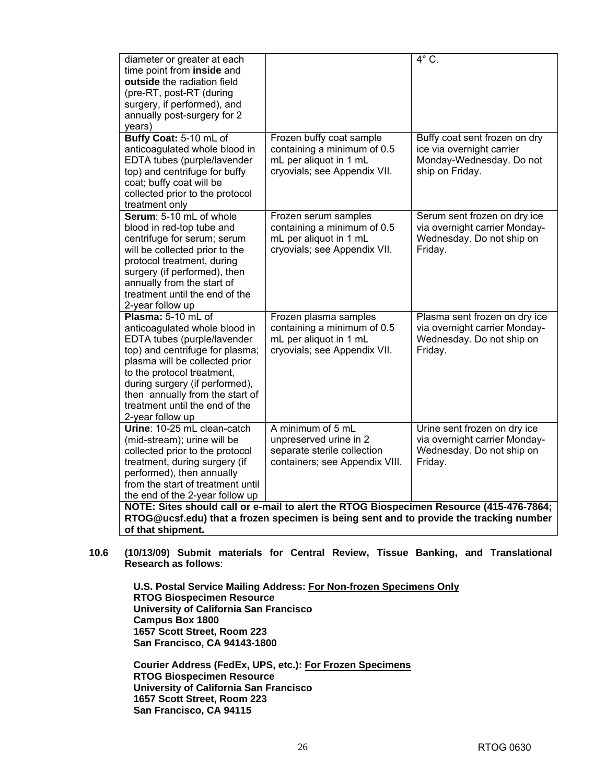| diameter or greater at each       |                                                                                         | $\overline{4^{\circ} C}$ .    |  |  |  |
|-----------------------------------|-----------------------------------------------------------------------------------------|-------------------------------|--|--|--|
| time point from inside and        |                                                                                         |                               |  |  |  |
| outside the radiation field       |                                                                                         |                               |  |  |  |
| (pre-RT, post-RT (during          |                                                                                         |                               |  |  |  |
| surgery, if performed), and       |                                                                                         |                               |  |  |  |
| annually post-surgery for 2       |                                                                                         |                               |  |  |  |
| years)                            |                                                                                         |                               |  |  |  |
| Buffy Coat: 5-10 mL of            | Frozen buffy coat sample                                                                | Buffy coat sent frozen on dry |  |  |  |
| anticoagulated whole blood in     | containing a minimum of 0.5                                                             | ice via overnight carrier     |  |  |  |
| EDTA tubes (purple/lavender       | mL per aliquot in 1 mL                                                                  | Monday-Wednesday. Do not      |  |  |  |
| top) and centrifuge for buffy     | cryovials; see Appendix VII.                                                            | ship on Friday.               |  |  |  |
| coat; buffy coat will be          |                                                                                         |                               |  |  |  |
| collected prior to the protocol   |                                                                                         |                               |  |  |  |
| treatment only                    |                                                                                         |                               |  |  |  |
| Serum: 5-10 mL of whole           | Frozen serum samples                                                                    | Serum sent frozen on dry ice  |  |  |  |
| blood in red-top tube and         | containing a minimum of 0.5                                                             | via overnight carrier Monday- |  |  |  |
| centrifuge for serum; serum       | mL per aliquot in 1 mL                                                                  | Wednesday. Do not ship on     |  |  |  |
| will be collected prior to the    | cryovials; see Appendix VII.                                                            | Friday.                       |  |  |  |
| protocol treatment, during        |                                                                                         |                               |  |  |  |
| surgery (if performed), then      |                                                                                         |                               |  |  |  |
| annually from the start of        |                                                                                         |                               |  |  |  |
| treatment until the end of the    |                                                                                         |                               |  |  |  |
| 2-year follow up                  |                                                                                         |                               |  |  |  |
| Plasma: 5-10 mL of                | Frozen plasma samples                                                                   | Plasma sent frozen on dry ice |  |  |  |
| anticoagulated whole blood in     | containing a minimum of 0.5                                                             | via overnight carrier Monday- |  |  |  |
| EDTA tubes (purple/lavender       | mL per aliquot in 1 mL                                                                  | Wednesday. Do not ship on     |  |  |  |
| top) and centrifuge for plasma;   | cryovials; see Appendix VII.                                                            | Friday.                       |  |  |  |
| plasma will be collected prior    |                                                                                         |                               |  |  |  |
| to the protocol treatment,        |                                                                                         |                               |  |  |  |
| during surgery (if performed),    |                                                                                         |                               |  |  |  |
| then annually from the start of   |                                                                                         |                               |  |  |  |
| treatment until the end of the    |                                                                                         |                               |  |  |  |
| 2-year follow up                  |                                                                                         |                               |  |  |  |
| Urine: 10-25 mL clean-catch       | A minimum of 5 mL                                                                       | Urine sent frozen on dry ice  |  |  |  |
| (mid-stream); urine will be       | unpreserved urine in 2                                                                  | via overnight carrier Monday- |  |  |  |
| collected prior to the protocol   | separate sterile collection                                                             | Wednesday. Do not ship on     |  |  |  |
| treatment, during surgery (if     | containers; see Appendix VIII.                                                          | Friday.                       |  |  |  |
| performed), then annually         |                                                                                         |                               |  |  |  |
| from the start of treatment until |                                                                                         |                               |  |  |  |
| the end of the 2-year follow up   |                                                                                         |                               |  |  |  |
|                                   | NOTE: Sites should call or e-mail to alert the RTOG Biospecimen Resource (415-476-7864; |                               |  |  |  |
|                                   | RTOG@ucsf.edu) that a frozen specimen is being sent and to provide the tracking number  |                               |  |  |  |
| of that shipment.                 |                                                                                         |                               |  |  |  |

**10.6 (10/13/09) Submit materials for Central Review, Tissue Banking, and Translational Research as follows**:

**U.S. Postal Service Mailing Address: For Non-frozen Specimens Only RTOG Biospecimen Resource University of California San Francisco Campus Box 1800 1657 Scott Street, Room 223 San Francisco, CA 94143-1800** 

**Courier Address (FedEx, UPS, etc.): For Frozen Specimens RTOG Biospecimen Resource University of California San Francisco 1657 Scott Street, Room 223 San Francisco, CA 94115**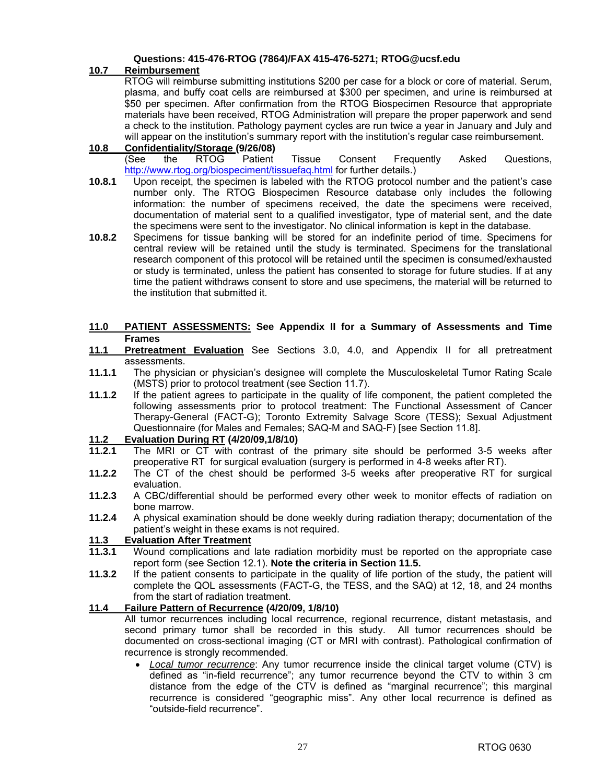#### **Questions: 415-476-RTOG (7864)/FAX 415-476-5271; [RTOG@ucsf.edu](mailto:RTOG@ucsf.edu)**

### **10.7 Reimbursement**

RTOG will reimburse submitting institutions \$200 per case for a block or core of material. Serum, plasma, and buffy coat cells are reimbursed at \$300 per specimen, and urine is reimbursed at \$50 per specimen. After confirmation from the RTOG Biospecimen Resource that appropriate materials have been received, RTOG Administration will prepare the proper paperwork and send a check to the institution. Pathology payment cycles are run twice a year in January and July and will appear on the institution's summary report with the institution's regular case reimbursement.

#### **10.8 Confidentiality/Storage (9/26/08)**  (See the RTOG Patient Tissue Consent Frequently Asked Questions, [http://www.rtog.org/biospeciment/tissuefaq.html fo](http://www.rtog.org/biospeciment/tissuefaq.html)r further details.)

- **10.8.1** Upon receipt, the specimen is labeled with the RTOG protocol number and the patient's case number only. The RTOG Biospecimen Resource database only includes the following information: the number of specimens received, the date the specimens were received, documentation of material sent to a qualified investigator, type of material sent, and the date the specimens were sent to the investigator. No clinical information is kept in the database.
- **10.8.2** Specimens for tissue banking will be stored for an indefinite period of time. Specimens for central review will be retained until the study is terminated. Specimens for the translational research component of this protocol will be retained until the specimen is consumed/exhausted or study is terminated, unless the patient has consented to storage for future studies. If at any time the patient withdraws consent to store and use specimens, the material will be returned to the institution that submitted it.

#### **11.0 PATIENT ASSESSMENTS: See Appendix II for a Summary of Assessments and Time Frames**

- **11.1 Pretreatment Evaluation** See Sections 3.0, 4.0, and Appendix II for all pretreatment assessments.
- **11.1.1** The physician or physician's designee will complete the Musculoskeletal Tumor Rating Scale (MSTS) prior to protocol treatment (see Section 11.7).
- **11.1.2** If the patient agrees to participate in the quality of life component, the patient completed the following assessments prior to protocol treatment: The Functional Assessment of Cancer Therapy-General (FACT-G); Toronto Extremity Salvage Score (TESS); Sexual Adjustment Questionnaire (for Males and Females; SAQ-M and SAQ-F) [see Section 11.8].

#### **11.2 Evaluation During RT (4/20/09,1/8/10)**

- **11.2.1** The MRI or CT with contrast of the primary site should be performed 3-5 weeks after preoperative RT for surgical evaluation (surgery is performed in 4-8 weeks after RT).
- **11.2.2** The CT of the chest should be performed 3-5 weeks after preoperative RT for surgical evaluation.
- **11.2.3** A CBC/differential should be performed every other week to monitor effects of radiation on bone marrow.
- **11.2.4** A physical examination should be done weekly during radiation therapy; documentation of the patient's weight in these exams is not required.

## **11.3 Evaluation After Treatment**

- **11.3.1** Wound complications and late radiation morbidity must be reported on the appropriate case report form (see Section 12.1). **Note the criteria in Section 11.5.**
- **11.3.2** If the patient consents to participate in the quality of life portion of the study, the patient will complete the QOL assessments (FACT-G, the TESS, and the SAQ) at 12, 18, and 24 months from the start of radiation treatment.

## **11.4 Failure Pattern of Recurrence (4/20/09, 1/8/10)**

 All tumor recurrences including local recurrence, regional recurrence, distant metastasis, and second primary tumor shall be recorded in this study. All tumor recurrences should be documented on cross-sectional imaging (CT or MRI with contrast). Pathological confirmation of recurrence is strongly recommended.

• *Local tumor recurrence*: Any tumor recurrence inside the clinical target volume (CTV) is defined as "in-field recurrence"; any tumor recurrence beyond the CTV to within 3 cm distance from the edge of the CTV is defined as "marginal recurrence"; this marginal recurrence is considered "geographic miss". Any other local recurrence is defined as "outside-field recurrence".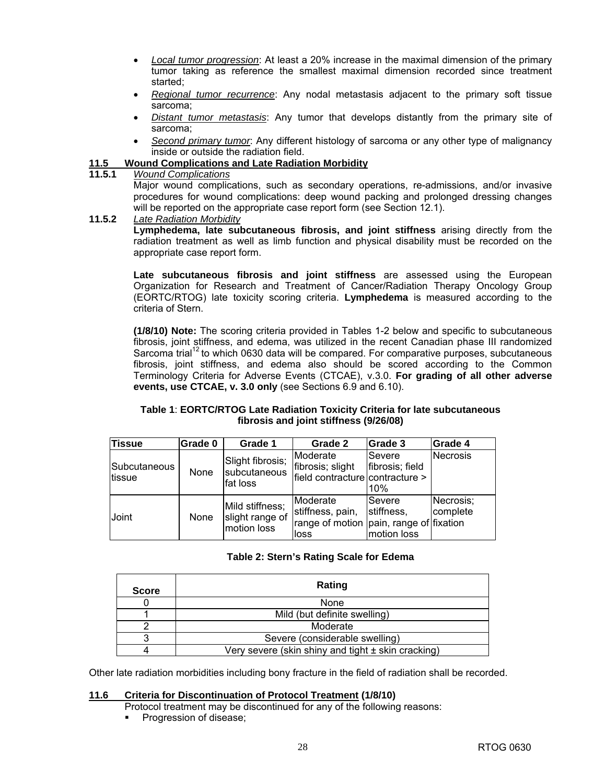- *Local tumor progression*: At least a 20% increase in the maximal dimension of the primary tumor taking as reference the smallest maximal dimension recorded since treatment started;
- *Regional tumor recurrence*: Any nodal metastasis adjacent to the primary soft tissue sarcoma;
- *Distant tumor metastasis*: Any tumor that develops distantly from the primary site of sarcoma;
- *Second primary tumor*: Any different histology of sarcoma or any other type of malignancy inside or outside the radiation field.

### **11.5 Wound Complications and Late Radiation Morbidity**

#### **11.5.1** *Wound Complications*

 Major wound complications, such as secondary operations, re-admissions, and/or invasive procedures for wound complications: deep wound packing and prolonged dressing changes will be reported on the appropriate case report form (see Section 12.1).

**11.5.2** *Late Radiation Morbidity*

**Lymphedema, late subcutaneous fibrosis, and joint stiffness** arising directly from the radiation treatment as well as limb function and physical disability must be recorded on the appropriate case report form.

**Late subcutaneous fibrosis and joint stiffness** are assessed using the European Organization for Research and Treatment of Cancer/Radiation Therapy Oncology Group (EORTC/RTOG) late toxicity scoring criteria. **Lymphedema** is measured according to the criteria of Stern.

 **(1/8/10) Note:** The scoring criteria provided in Tables 1-2 below and specific to subcutaneous fibrosis, joint stiffness, and edema, was utilized in the recent Canadian phase III randomized Sarcoma trial<sup>12</sup> to which 0630 data will be compared. For comparative purposes, subcutaneous fibrosis, joint stiffness, and edema also should be scored according to the Common Terminology Criteria for Adverse Events (CTCAE), v.3.0. **For grading of all other adverse events, use CTCAE, v. 3.0 only** (see Sections 6.9 and 6.10).

#### **Table 1**: **EORTC/RTOG Late Radiation Toxicity Criteria for late subcutaneous fibrosis and joint stiffness (9/26/08)**

| <b>Tissue</b>           | Grade 0 | Grade 1                                           | Grade 2                                                                             | Grade 3                             | Grade 4               |
|-------------------------|---------|---------------------------------------------------|-------------------------------------------------------------------------------------|-------------------------------------|-----------------------|
| ISubcutaneous<br>tissue | None    | Slight fibrosis;<br>subcutaneous<br>fat loss      | Moderate<br>fibrosis; slight<br>field contracture contracture >                     | lSevere<br>fibrosis; field<br>10%   | Necrosis              |
| Joint                   | None    | Mild stiffness;<br>slight range of<br>motion loss | Moderate<br>stiffness, pain,<br>range of motion   pain, range of   fixation<br>loss | Severe<br>stiffness,<br>motion loss | Necrosis;<br>complete |

#### **Table 2: Stern's Rating Scale for Edema**

| <b>Score</b> | Rating                                                 |
|--------------|--------------------------------------------------------|
|              | <b>None</b>                                            |
|              | Mild (but definite swelling)                           |
|              | Moderate                                               |
|              | Severe (considerable swelling)                         |
|              | Very severe (skin shiny and tight $\pm$ skin cracking) |

Other late radiation morbidities including bony fracture in the field of radiation shall be recorded.

#### **11.6 Criteria for Discontinuation of Protocol Treatment (1/8/10)**

- Protocol treatment may be discontinued for any of the following reasons:
- **Progression of disease;**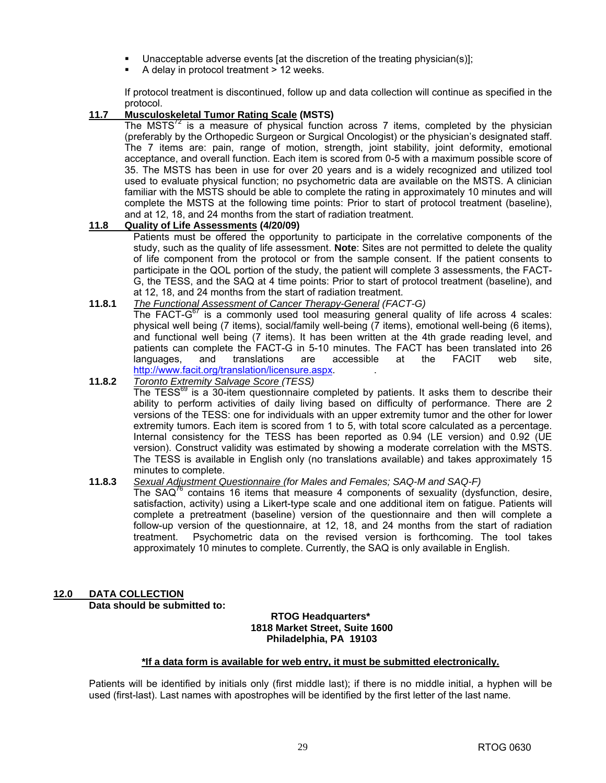- Unacceptable adverse events [at the discretion of the treating physician(s)];
- A delay in protocol treatment > 12 weeks.

If protocol treatment is discontinued, follow up and data collection will continue as specified in the protocol.

## **11.7 Musculoskeletal Tumor Rating Scale (MSTS)**

The MSTS $<sup>72</sup>$  is a measure of physical function across 7 items, completed by the physician</sup> (preferably by the Orthopedic Surgeon or Surgical Oncologist) or the physician's designated staff. The 7 items are: pain, range of motion, strength, joint stability, joint deformity, emotional acceptance, and overall function. Each item is scored from 0-5 with a maximum possible score of 35. The MSTS has been in use for over 20 years and is a widely recognized and utilized tool used to evaluate physical function; no psychometric data are available on the MSTS. A clinician familiar with the MSTS should be able to complete the rating in approximately 10 minutes and will complete the MSTS at the following time points: Prior to start of protocol treatment (baseline), and at 12, 18, and 24 months from the start of radiation treatment.

#### **11.8 Quality of Life Assessments (4/20/09)**

 Patients must be offered the opportunity to participate in the correlative components of the study, such as the quality of life assessment. **Note**: Sites are not permitted to delete the quality of life component from the protocol or from the sample consent. If the patient consents to participate in the QOL portion of the study, the patient will complete 3 assessments, the FACT-G, the TESS, and the SAQ at 4 time points: Prior to start of protocol treatment (baseline), and at 12, 18, and 24 months from the start of radiation treatment.

#### **11.8.1** *The Functional Assessment of Cancer Therapy-General (FACT-G)*

The FACT- $G^{67}$  is a commonly used tool measuring general quality of life across 4 scales: physical well being (7 items), social/family well-being (7 items), emotional well-being (6 items), and functional well being (7 items). It has been written at the 4th grade reading level, and patients can complete the FACT-G in 5-10 minutes. The FACT has been translated into 26 languages, and translations are accessible at the FACIT web site, [http://www.facit.org/translation/licensure.aspx.](http://www.facit.org/translation/licensure.aspx) .

#### **11.8.2** *Toronto Extremity Salvage Score (TESS)*

The TESS $^{69}$  is a 30-item questionnaire completed by patients. It asks them to describe their ability to perform activities of daily living based on difficulty of performance. There are 2 versions of the TESS: one for individuals with an upper extremity tumor and the other for lower extremity tumors. Each item is scored from 1 to 5, with total score calculated as a percentage. Internal consistency for the TESS has been reported as 0.94 (LE version) and 0.92 (UE version). Construct validity was estimated by showing a moderate correlation with the MSTS. The TESS is available in English only (no translations available) and takes approximately 15 minutes to complete.

#### **11.8.3** *Sexual Adjustment Questionnaire (for Males and Females; SAQ-M and SAQ-F)*

The  $SAQ^{\prime\circ}$  contains 16 items that measure 4 components of sexuality (dysfunction, desire, satisfaction, activity) using a Likert-type scale and one additional item on fatigue. Patients will complete a pretreatment (baseline) version of the questionnaire and then will complete a follow-up version of the questionnaire, at 12, 18, and 24 months from the start of radiation treatment. Psychometric data on the revised version is forthcoming. The tool takes approximately 10 minutes to complete. Currently, the SAQ is only available in English.

#### **12.0 DATA COLLECTION Data should be submitted to:**

#### **RTOG Headquarters\* 1818 Market Street, Suite 1600 Philadelphia, PA 19103**

#### **\*If a data form is available for web entry, it must be submitted electronically.**

Patients will be identified by initials only (first middle last); if there is no middle initial, a hyphen will be used (first-last). Last names with apostrophes will be identified by the first letter of the last name.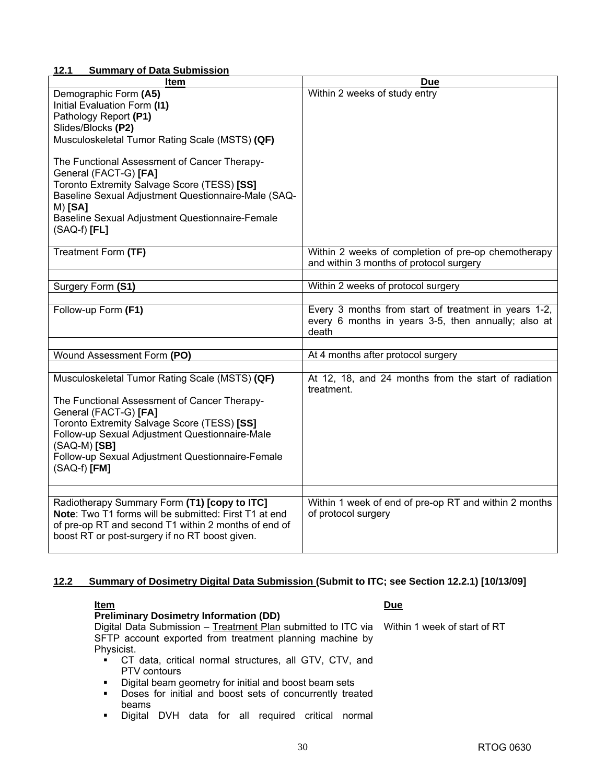## **12.1 Summary of Data Submission**

| Item                                                                                                                                                                                                                                                                                                             | <b>Due</b>                                                                                                           |
|------------------------------------------------------------------------------------------------------------------------------------------------------------------------------------------------------------------------------------------------------------------------------------------------------------------|----------------------------------------------------------------------------------------------------------------------|
| Demographic Form (A5)<br>Initial Evaluation Form (I1)<br>Pathology Report (P1)<br>Slides/Blocks (P2)<br>Musculoskeletal Tumor Rating Scale (MSTS) (QF)<br>The Functional Assessment of Cancer Therapy-                                                                                                           | Within 2 weeks of study entry                                                                                        |
| General (FACT-G) [FA]<br>Toronto Extremity Salvage Score (TESS) [SS]<br>Baseline Sexual Adjustment Questionnaire-Male (SAQ-<br>$M)$ [SA]<br>Baseline Sexual Adjustment Questionnaire-Female<br>$(SAQ-f)$ [FL]                                                                                                    |                                                                                                                      |
| Treatment Form (TF)                                                                                                                                                                                                                                                                                              | Within 2 weeks of completion of pre-op chemotherapy<br>and within 3 months of protocol surgery                       |
| Surgery Form (S1)                                                                                                                                                                                                                                                                                                | Within 2 weeks of protocol surgery                                                                                   |
|                                                                                                                                                                                                                                                                                                                  |                                                                                                                      |
| Follow-up Form (F1)                                                                                                                                                                                                                                                                                              | Every 3 months from start of treatment in years 1-2,<br>every 6 months in years 3-5, then annually; also at<br>death |
|                                                                                                                                                                                                                                                                                                                  |                                                                                                                      |
| Wound Assessment Form (PO)                                                                                                                                                                                                                                                                                       | At 4 months after protocol surgery                                                                                   |
| Musculoskeletal Tumor Rating Scale (MSTS) (QF)<br>The Functional Assessment of Cancer Therapy-<br>General (FACT-G) [FA]<br>Toronto Extremity Salvage Score (TESS) [SS]<br>Follow-up Sexual Adjustment Questionnaire-Male<br>$(SAQ-M)$ [SB]<br>Follow-up Sexual Adjustment Questionnaire-Female<br>$(SAQ-f)$ [FM] | At 12, 18, and 24 months from the start of radiation<br>treatment.                                                   |
| Radiotherapy Summary Form (T1) [copy to ITC]<br>Note: Two T1 forms will be submitted: First T1 at end<br>of pre-op RT and second T1 within 2 months of end of<br>boost RT or post-surgery if no RT boost given.                                                                                                  | Within 1 week of end of pre-op RT and within 2 months<br>of protocol surgery                                         |

## **12.2 Summary of Dosimetry Digital Data Submission (Submit to ITC; see Section 12.2.1) [10/13/09]**

| <u>Item</u>                                                                                | <b>Due</b> |
|--------------------------------------------------------------------------------------------|------------|
| <b>Preliminary Dosimetry Information (DD)</b>                                              |            |
| Digital Data Submission - Treatment Plan submitted to ITC via Within 1 week of start of RT |            |
| SFTP account exported from treatment planning machine by                                   |            |
| Physicist.                                                                                 |            |
| CT data, critical normal structures, all GTV, CTV, and<br>$\blacksquare$                   |            |
| <b>PTV</b> contours                                                                        |            |
| Digital beam geometry for initial and boost beam sets<br>$\blacksquare$                    |            |

- **Doses for initial and boost sets of concurrently treated** beams
- Digital DVH data for all required critical normal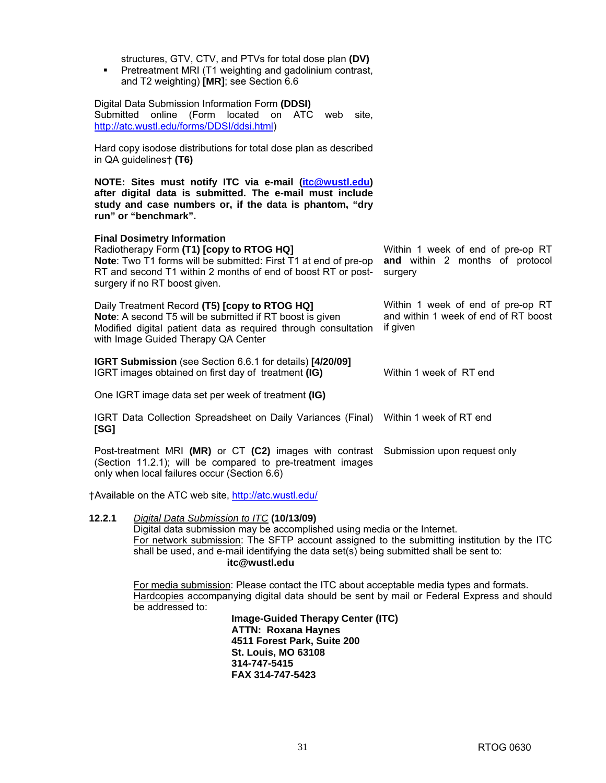| structures, GTV, CTV, and PTVs for total dose plan (DV)<br>Pretreatment MRI (T1 weighting and gadolinium contrast,<br>$\blacksquare$<br>and T2 weighting) [MR]; see Section 6.6                                                                    |                                                                                       |
|----------------------------------------------------------------------------------------------------------------------------------------------------------------------------------------------------------------------------------------------------|---------------------------------------------------------------------------------------|
| Digital Data Submission Information Form (DDSI)<br>Submitted<br>online<br>(Form<br>located<br>on ATC<br>site,<br>web<br>http://atc.wustl.edu/forms/DDSI/ddsi.html)                                                                                 |                                                                                       |
| Hard copy isodose distributions for total dose plan as described<br>in QA guidelines† (T6)                                                                                                                                                         |                                                                                       |
| NOTE: Sites must notify ITC via e-mail (itc@wustl.edu)<br>after digital data is submitted. The e-mail must include<br>study and case numbers or, if the data is phantom, "dry<br>run" or "benchmark".                                              |                                                                                       |
| <b>Final Dosimetry Information</b><br>Radiotherapy Form (T1) [copy to RTOG HQ]<br>Note: Two T1 forms will be submitted: First T1 at end of pre-op<br>RT and second T1 within 2 months of end of boost RT or post-<br>surgery if no RT boost given. | Within 1 week of end of pre-op RT<br>and within 2 months of protocol<br>surgery       |
| Daily Treatment Record (T5) [copy to RTOG HQ]<br>Note: A second T5 will be submitted if RT boost is given<br>Modified digital patient data as required through consultation<br>with Image Guided Therapy QA Center                                 | Within 1 week of end of pre-op RT<br>and within 1 week of end of RT boost<br>if given |
| IGRT Submission (see Section 6.6.1 for details) [4/20/09]<br>IGRT images obtained on first day of treatment (IG)                                                                                                                                   | Within 1 week of RT end                                                               |
| One IGRT image data set per week of treatment (IG)                                                                                                                                                                                                 |                                                                                       |
| IGRT Data Collection Spreadsheet on Daily Variances (Final) Within 1 week of RT end<br>[SG]                                                                                                                                                        |                                                                                       |
| Post-treatment MRI (MR) or CT (C2) images with contrast<br>(Section 11.2.1); will be compared to pre-treatment images<br>only when local failures occur (Section 6.6)                                                                              | Submission upon request only                                                          |
| †Available on the ATC web site, http://atc.wustl.edu/                                                                                                                                                                                              |                                                                                       |

**12.2.1** *Digital Data Submission to ITC* **(10/13/09)**  Digital data submission may be accomplished using media or the Internet. For network submission: The SFTP account assigned to the submitting institution by the ITC shall be used, and e-mail identifying the data set(s) being submitted shall be sent to: **[itc@wustl.edu](mailto:itc@wustl.edu)** 

For media submission: Please contact the ITC about acceptable media types and formats. Hardcopies accompanying digital data should be sent by mail or Federal Express and should be addressed to:

**Image-Guided Therapy Center (ITC) ATTN: Roxana Haynes 4511 Forest Park, Suite 200 St. Louis, MO 63108 314-747-5415 FAX 314-747-5423**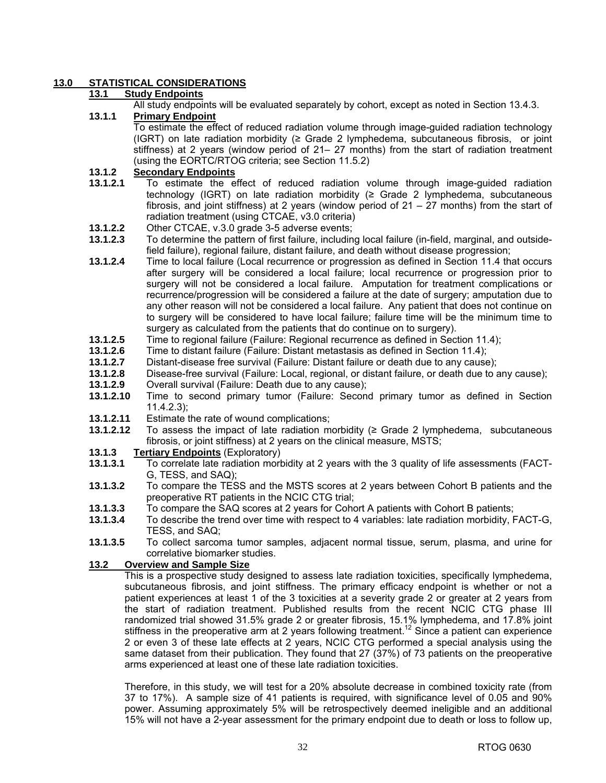## **13.0 STATISTICAL CONSIDERATIONS**

### **13.1 Study Endpoints**

All study endpoints will be evaluated separately by cohort, except as noted in Section 13.4.3.

#### **13.1.1 Primary Endpoint**

 To estimate the effect of reduced radiation volume through image-guided radiation technology (IGRT) on late radiation morbidity (≥ Grade 2 lymphedema, subcutaneous fibrosis, or joint stiffness) at 2 years (window period of 21– 27 months) from the start of radiation treatment (using the EORTC/RTOG criteria; see Section 11.5.2)

### **13.1.2 Secondary Endpoints**

- **13.1.2.1** To estimate the effect of reduced radiation volume through image-guided radiation technology (IGRT) on late radiation morbidity (≥ Grade 2 lymphedema, subcutaneous fibrosis, and joint stiffness) at 2 years (window period of 21 – 27 months) from the start of radiation treatment (using CTCAE, v3.0 criteria)
- **13.1.2.2** Other CTCAE, v.3.0 grade 3-5 adverse events;<br>**13.1.2.3** To determine the pattern of first failure including
- **13.1.2.3** To determine the pattern of first failure, including local failure (in-field, marginal, and outsidefield failure), regional failure, distant failure, and death without disease progression;
- **13.1.2.4** Time to local failure (Local recurrence or progression as defined in Section 11.4 that occurs after surgery will be considered a local failure; local recurrence or progression prior to surgery will not be considered a local failure. Amputation for treatment complications or recurrence/progression will be considered a failure at the date of surgery; amputation due to any other reason will not be considered a local failure. Any patient that does not continue on to surgery will be considered to have local failure; failure time will be the minimum time to surgery as calculated from the patients that do continue on to surgery).
- **13.1.2.5** Time to regional failure (Failure: Regional recurrence as defined in Section 11.4);
- **13.1.2.6** Time to distant failure (Failure: Distant metastasis as defined in Section 11.4);
- **13.1.2.7** Distant-disease free survival (Failure: Distant failure or death due to any cause);
- **13.1.2.8** Disease-free survival (Failure: Local, regional, or distant failure, or death due to any cause);
- **13.1.2.9** Overall survival (Failure: Death due to any cause);
- **13.1.2.10** Time to second primary tumor (Failure: Second primary tumor as defined in Section 11.4.2.3);
- **13.1.2.11** Estimate the rate of wound complications;
- **13.1.2.12** To assess the impact of late radiation morbidity (≥ Grade 2 lymphedema, subcutaneous fibrosis, or joint stiffness) at 2 years on the clinical measure, MSTS;
- **13.1.3** Tertiary Endpoints (Exploratory)<br>**13.1.3.1** To correlate late radiation mort
- **13.1.3.1** To correlate late radiation morbidity at 2 years with the 3 quality of life assessments (FACT-G, TESS, and SAQ);
- **13.1.3.2** To compare the TESS and the MSTS scores at 2 years between Cohort B patients and the preoperative RT patients in the NCIC CTG trial;
- **13.1.3.3** To compare the SAQ scores at 2 years for Cohort A patients with Cohort B patients;
- **13.1.3.4** To describe the trend over time with respect to 4 variables: late radiation morbidity, FACT-G, TESS, and SAQ;
- **13.1.3.5** To collect sarcoma tumor samples, adjacent normal tissue, serum, plasma, and urine for correlative biomarker studies.

#### **13.2 Overview and Sample Size**

 This is a prospective study designed to assess late radiation toxicities, specifically lymphedema, subcutaneous fibrosis, and joint stiffness. The primary efficacy endpoint is whether or not a patient experiences at least 1 of the 3 toxicities at a severity grade 2 or greater at 2 years from the start of radiation treatment. Published results from the recent NCIC CTG phase III randomized trial showed 31.5% grade 2 or greater fibrosis, 15.1% lymphedema, and 17.8% joint stiffness in the preoperative arm at 2 years following treatment.<sup>12</sup> Since a patient can experience 2 or even 3 of these late effects at 2 years, NCIC CTG performed a special analysis using the same dataset from their publication. They found that 27 (37%) of 73 patients on the preoperative arms experienced at least one of these late radiation toxicities.

 Therefore, in this study, we will test for a 20% absolute decrease in combined toxicity rate (from 37 to 17%). A sample size of 41 patients is required, with significance level of 0.05 and 90% power. Assuming approximately 5% will be retrospectively deemed ineligible and an additional 15% will not have a 2-year assessment for the primary endpoint due to death or loss to follow up,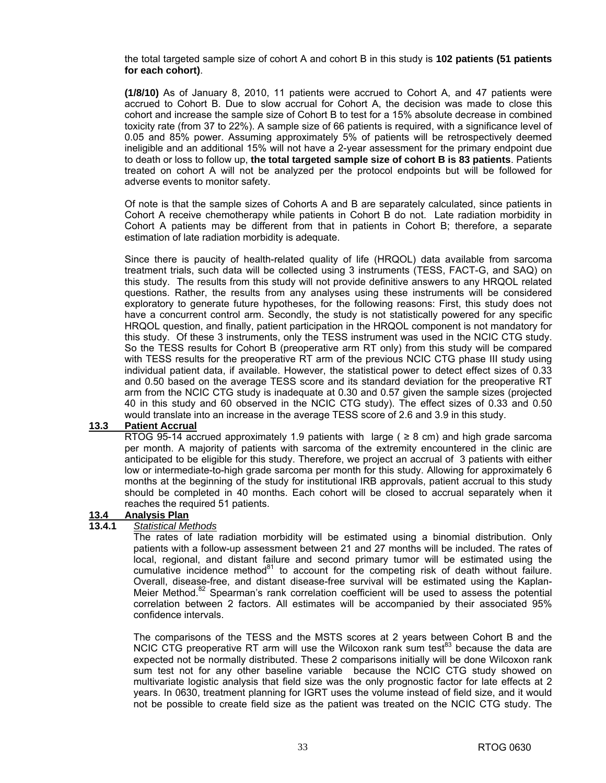the total targeted sample size of cohort A and cohort B in this study is **102 patients (51 patients for each cohort)**.

**(1/8/10)** As of January 8, 2010, 11 patients were accrued to Cohort A, and 47 patients were accrued to Cohort B. Due to slow accrual for Cohort A, the decision was made to close this cohort and increase the sample size of Cohort B to test for a 15% absolute decrease in combined toxicity rate (from 37 to 22%). A sample size of 66 patients is required, with a significance level of 0.05 and 85% power. Assuming approximately 5% of patients will be retrospectively deemed ineligible and an additional 15% will not have a 2-year assessment for the primary endpoint due to death or loss to follow up, **the total targeted sample size of cohort B is 83 patients**. Patients treated on cohort A will not be analyzed per the protocol endpoints but will be followed for adverse events to monitor safety.

Of note is that the sample sizes of Cohorts A and B are separately calculated, since patients in Cohort A receive chemotherapy while patients in Cohort B do not. Late radiation morbidity in Cohort A patients may be different from that in patients in Cohort B; therefore, a separate estimation of late radiation morbidity is adequate.

 Since there is paucity of health-related quality of life (HRQOL) data available from sarcoma treatment trials, such data will be collected using 3 instruments (TESS, FACT-G, and SAQ) on this study. The results from this study will not provide definitive answers to any HRQOL related questions. Rather, the results from any analyses using these instruments will be considered exploratory to generate future hypotheses, for the following reasons: First, this study does not have a concurrent control arm. Secondly, the study is not statistically powered for any specific HRQOL question, and finally, patient participation in the HRQOL component is not mandatory for this study. Of these 3 instruments, only the TESS instrument was used in the NCIC CTG study. So the TESS results for Cohort B (preoperative arm RT only) from this study will be compared with TESS results for the preoperative RT arm of the previous NCIC CTG phase III study using individual patient data, if available. However, the statistical power to detect effect sizes of 0.33 and 0.50 based on the average TESS score and its standard deviation for the preoperative RT arm from the NCIC CTG study is inadequate at 0.30 and 0.57 given the sample sizes (projected 40 in this study and 60 observed in the NCIC CTG study). The effect sizes of 0.33 and 0.50 would translate into an increase in the average TESS score of 2.6 and 3.9 in this study.

## **13.3 Patient Accrual**

RTOG 95-14 accrued approximately 1.9 patients with large ( $\geq$  8 cm) and high grade sarcoma per month. A majority of patients with sarcoma of the extremity encountered in the clinic are anticipated to be eligible for this study. Therefore, we project an accrual of 3 patients with either low or intermediate-to-high grade sarcoma per month for this study. Allowing for approximately 6 months at the beginning of the study for institutional IRB approvals, patient accrual to this study should be completed in 40 months. Each cohort will be closed to accrual separately when it reaches the required 51 patients.

#### **13.4 Analysis Plan**

#### **13.4.1** *Statistical Methods*

 The rates of late radiation morbidity will be estimated using a binomial distribution. Only patients with a follow-up assessment between 21 and 27 months will be included. The rates of local, regional, and distant failure and second primary tumor will be estimated using the cumulative incidence method $81$  to account for the competing risk of death without failure. Overall, disease-free, and distant disease-free survival will be estimated using the Kaplan-Meier Method.<sup>82</sup> Spearman's rank correlation coefficient will be used to assess the potential correlation between 2 factors. All estimates will be accompanied by their associated 95% confidence intervals.

 The comparisons of the TESS and the MSTS scores at 2 years between Cohort B and the NCIC CTG preoperative RT arm will use the Wilcoxon rank sum test<sup>83</sup> because the data are expected not be normally distributed. These 2 comparisons initially will be done Wilcoxon rank sum test not for any other baseline variable because the NCIC CTG study showed on multivariate logistic analysis that field size was the only prognostic factor for late effects at 2 years. In 0630, treatment planning for IGRT uses the volume instead of field size, and it would not be possible to create field size as the patient was treated on the NCIC CTG study. The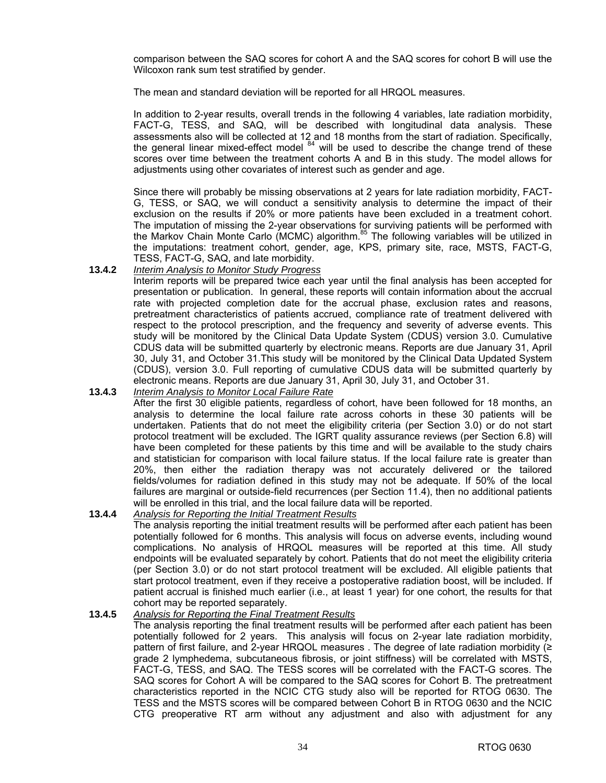comparison between the SAQ scores for cohort A and the SAQ scores for cohort B will use the Wilcoxon rank sum test stratified by gender.

The mean and standard deviation will be reported for all HRQOL measures.

 In addition to 2-year results, overall trends in the following 4 variables, late radiation morbidity, FACT-G, TESS, and SAQ, will be described with longitudinal data analysis. These assessments also will be collected at 12 and 18 months from the start of radiation. Specifically, the general linear mixed-effect model  $84$  will be used to describe the change trend of these scores over time between the treatment cohorts A and B in this study. The model allows for adjustments using other covariates of interest such as gender and age.

 Since there will probably be missing observations at 2 years for late radiation morbidity, FACT-G, TESS, or SAQ, we will conduct a sensitivity analysis to determine the impact of their exclusion on the results if 20% or more patients have been excluded in a treatment cohort. The imputation of missing the 2-year observations for surviving patients will be performed with the Markov Chain Monte Carlo (MCMC) algorithm.<sup>85</sup> The following variables will be utilized in the imputations: treatment cohort, gender, age, KPS, primary site, race, MSTS, FACT-G, TESS, FACT-G, SAQ, and late morbidity.

#### **13.4.2** *Interim Analysis to Monitor Study Progress*

 Interim reports will be prepared twice each year until the final analysis has been accepted for presentation or publication. In general, these reports will contain information about the accrual rate with projected completion date for the accrual phase, exclusion rates and reasons, pretreatment characteristics of patients accrued, compliance rate of treatment delivered with respect to the protocol prescription, and the frequency and severity of adverse events. This study will be monitored by the Clinical Data Update System (CDUS) version 3.0. Cumulative CDUS data will be submitted quarterly by electronic means. Reports are due January 31, April 30, July 31, and October 31.This study will be monitored by the Clinical Data Updated System (CDUS), version 3.0. Full reporting of cumulative CDUS data will be submitted quarterly by electronic means. Reports are due January 31, April 30, July 31, and October 31.

#### **13.4.3** *Interim Analysis to Monitor Local Failure Rate*

After the first 30 eligible patients, regardless of cohort, have been followed for 18 months, an analysis to determine the local failure rate across cohorts in these 30 patients will be undertaken. Patients that do not meet the eligibility criteria (per Section 3.0) or do not start protocol treatment will be excluded. The IGRT quality assurance reviews (per Section 6.8) will have been completed for these patients by this time and will be available to the study chairs and statistician for comparison with local failure status. If the local failure rate is greater than 20%, then either the radiation therapy was not accurately delivered or the tailored fields/volumes for radiation defined in this study may not be adequate. If 50% of the local failures are marginal or outside-field recurrences (per Section 11.4), then no additional patients will be enrolled in this trial, and the local failure data will be reported.

#### **13.4.4** *Analysis for Reporting the Initial Treatment Results* The analysis reporting the initial treatment results will be performed after each patient has been potentially followed for 6 months. This analysis will focus on adverse events, including wound complications. No analysis of HRQOL measures will be reported at this time. All study endpoints will be evaluated separately by cohort. Patients that do not meet the eligibility criteria (per Section 3.0) or do not start protocol treatment will be excluded. All eligible patients that start protocol treatment, even if they receive a postoperative radiation boost, will be included. If patient accrual is finished much earlier (i.e., at least 1 year) for one cohort, the results for that cohort may be reported separately.

#### **13.4.5** *Analysis for Reporting the Final Treatment Results*

 The analysis reporting the final treatment results will be performed after each patient has been potentially followed for 2 years. This analysis will focus on 2-year late radiation morbidity, pattern of first failure, and 2-year HRQOL measures . The degree of late radiation morbidity (≥ grade 2 lymphedema, subcutaneous fibrosis, or joint stiffness) will be correlated with MSTS, FACT-G, TESS, and SAQ. The TESS scores will be correlated with the FACT-G scores. The SAQ scores for Cohort A will be compared to the SAQ scores for Cohort B. The pretreatment characteristics reported in the NCIC CTG study also will be reported for RTOG 0630. The TESS and the MSTS scores will be compared between Cohort B in RTOG 0630 and the NCIC CTG preoperative RT arm without any adjustment and also with adjustment for any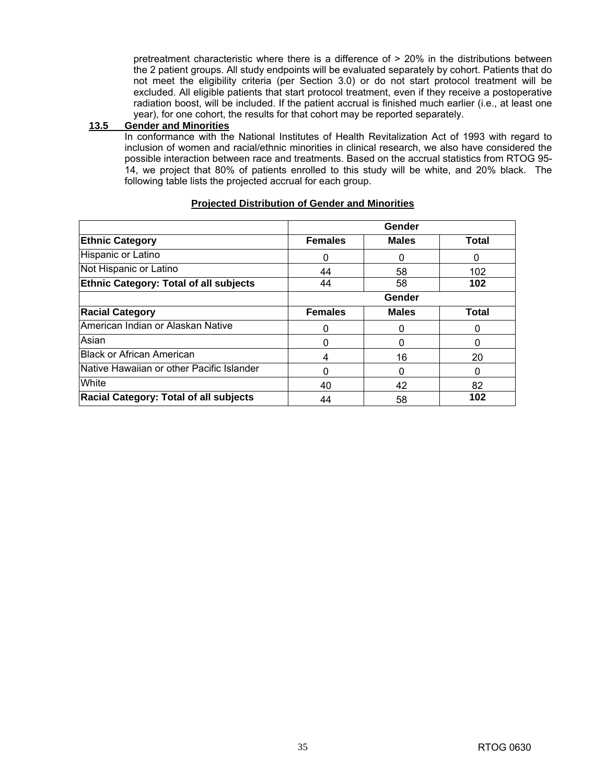pretreatment characteristic where there is a difference of > 20% in the distributions between the 2 patient groups. All study endpoints will be evaluated separately by cohort. Patients that do not meet the eligibility criteria (per Section 3.0) or do not start protocol treatment will be excluded. All eligible patients that start protocol treatment, even if they receive a postoperative radiation boost, will be included. If the patient accrual is finished much earlier (i.e., at least one year), for one cohort, the results for that cohort may be reported separately.

#### **13.5 Gender and Minorities**

 In conformance with the National Institutes of Health Revitalization Act of 1993 with regard to inclusion of women and racial/ethnic minorities in clinical research, we also have considered the possible interaction between race and treatments. Based on the accrual statistics from RTOG 95- 14, we project that 80% of patients enrolled to this study will be white, and 20% black. The following table lists the projected accrual for each group.

|                                               | Gender         |              |              |  |  |
|-----------------------------------------------|----------------|--------------|--------------|--|--|
| <b>Ethnic Category</b>                        | <b>Females</b> | <b>Males</b> | <b>Total</b> |  |  |
| Hispanic or Latino                            | 0              |              | $\Omega$     |  |  |
| Not Hispanic or Latino                        | 44             | 58           | 102          |  |  |
| <b>Ethnic Category: Total of all subjects</b> | 44             | 58           | 102          |  |  |
|                                               | Gender         |              |              |  |  |
| <b>Racial Category</b>                        | <b>Females</b> | <b>Males</b> | <b>Total</b> |  |  |
| American Indian or Alaskan Native             | 0              |              |              |  |  |
| Asian                                         | 0              |              |              |  |  |
| <b>Black or African American</b>              | 4              | 16           | 20           |  |  |
| Native Hawaiian or other Pacific Islander     | 0              |              |              |  |  |
| White                                         | 40             | 42           | 82           |  |  |
| <b>Racial Category: Total of all subjects</b> | 44             | 58           | 102          |  |  |

#### **Projected Distribution of Gender and Minorities**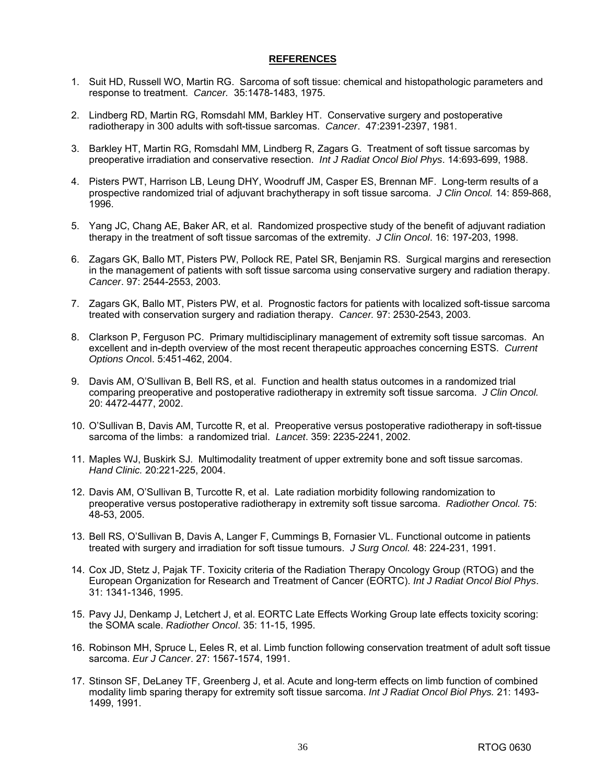#### **REFERENCES**

- 1. Suit HD, Russell WO, Martin RG. Sarcoma of soft tissue: chemical and histopathologic parameters and response to treatment. *Cancer.* 35:1478-1483, 1975.
- 2. Lindberg RD, Martin RG, Romsdahl MM, Barkley HT. Conservative surgery and postoperative radiotherapy in 300 adults with soft-tissue sarcomas. *Cancer*. 47:2391-2397, 1981.
- 3. Barkley HT, Martin RG, Romsdahl MM, Lindberg R, Zagars G. Treatment of soft tissue sarcomas by preoperative irradiation and conservative resection. *Int J Radiat Oncol Biol Phys*. 14:693-699, 1988.
- 4. Pisters PWT, Harrison LB, Leung DHY, Woodruff JM, Casper ES, Brennan MF. Long-term results of a prospective randomized trial of adjuvant brachytherapy in soft tissue sarcoma. *J Clin Oncol.* 14: 859-868, 1996.
- 5. Yang JC, Chang AE, Baker AR, et al. Randomized prospective study of the benefit of adjuvant radiation therapy in the treatment of soft tissue sarcomas of the extremity. *J Clin Oncol*. 16: 197-203, 1998.
- 6. Zagars GK, Ballo MT, Pisters PW, Pollock RE, Patel SR, Benjamin RS. Surgical margins and reresection in the management of patients with soft tissue sarcoma using conservative surgery and radiation therapy. *Cancer*. 97: 2544-2553, 2003.
- 7. Zagars GK, Ballo MT, Pisters PW, et al. Prognostic factors for patients with localized soft-tissue sarcoma treated with conservation surgery and radiation therapy. *Cancer.* 97: 2530-2543, 2003.
- 8. Clarkson P, Ferguson PC. Primary multidisciplinary management of extremity soft tissue sarcomas. An excellent and in-depth overview of the most recent therapeutic approaches concerning ESTS. *Current Options Onco*l. 5:451-462, 2004.
- 9. Davis AM, O'Sullivan B, Bell RS, et al. Function and health status outcomes in a randomized trial comparing preoperative and postoperative radiotherapy in extremity soft tissue sarcoma. *J Clin Oncol.* 20: 4472-4477, 2002.
- 10. O'Sullivan B, Davis AM, Turcotte R, et al. Preoperative versus postoperative radiotherapy in soft-tissue sarcoma of the limbs: a randomized trial. *Lancet*. 359: 2235-2241, 2002.
- 11. Maples WJ, Buskirk SJ. Multimodality treatment of upper extremity bone and soft tissue sarcomas. *Hand Clinic.* 20:221-225, 2004.
- 12. Davis AM, O'Sullivan B, Turcotte R, et al. Late radiation morbidity following randomization to preoperative versus postoperative radiotherapy in extremity soft tissue sarcoma. *Radiother Oncol.* 75: 48-53, 2005.
- 13. Bell RS, O'Sullivan B, Davis A, Langer F, Cummings B, Fornasier VL. Functional outcome in patients treated with surgery and irradiation for soft tissue tumours. *J Surg Oncol.* 48: 224-231, 1991.
- 14. Cox JD, Stetz J, Pajak TF. Toxicity criteria of the Radiation Therapy Oncology Group (RTOG) and the European Organization for Research and Treatment of Cancer (EORTC). *Int J Radiat Oncol Biol Phys*. 31: 1341-1346, 1995.
- 15. Pavy JJ, Denkamp J, Letchert J, et al. EORTC Late Effects Working Group late effects toxicity scoring: the SOMA scale. *Radiother Oncol*. 35: 11-15, 1995.
- 16. Robinson MH, Spruce L, Eeles R, et al. Limb function following conservation treatment of adult soft tissue sarcoma. *Eur J Cancer*. 27: 1567-1574, 1991.
- 17. Stinson SF, DeLaney TF, Greenberg J, et al. Acute and long-term effects on limb function of combined modality limb sparing therapy for extremity soft tissue sarcoma. *Int J Radiat Oncol Biol Phys.* 21: 1493- 1499, 1991.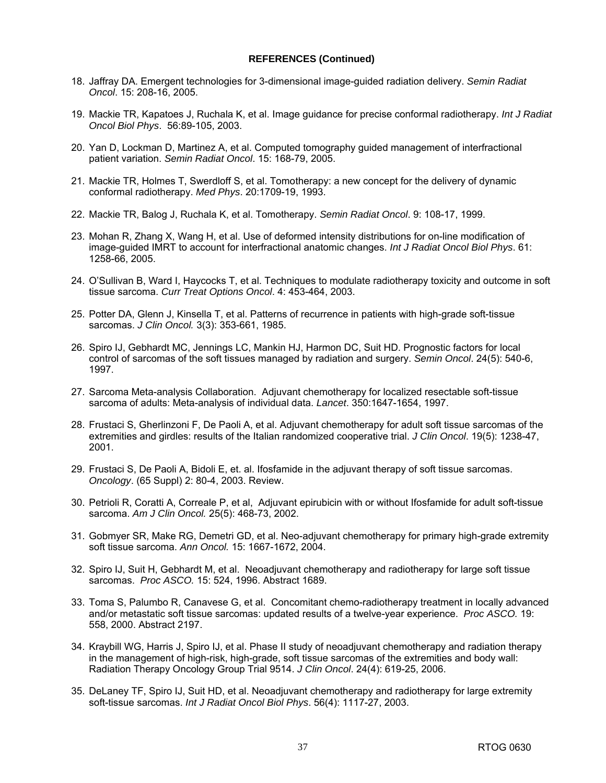- 18. Jaffray DA. Emergent technologies for 3-dimensional image-guided radiation delivery. *Semin Radiat Oncol*. 15: 208-16, 2005.
- 19. Mackie TR, Kapatoes J, Ruchala K, et al. Image guidance for precise conformal radiotherapy. *Int J Radiat Oncol Biol Phys*. 56:89-105, 2003.
- 20. Yan D, Lockman D, Martinez A, et al. Computed tomography guided management of interfractional patient variation. *Semin Radiat Oncol*. 15: 168-79, 2005.
- 21. Mackie TR, Holmes T, Swerdloff S, et al. Tomotherapy: a new concept for the delivery of dynamic conformal radiotherapy. *Med Phys*. 20:1709-19, 1993.
- 22. Mackie TR, Balog J, Ruchala K, et al. Tomotherapy. *Semin Radiat Oncol*. 9: 108-17, 1999.
- 23. Mohan R, Zhang X, Wang H, et al. Use of deformed intensity distributions for on-line modification of image-guided IMRT to account for interfractional anatomic changes. *Int J Radiat Oncol Biol Phys*. 61: 1258-66, 2005.
- 24. O'Sullivan B, Ward I, Haycocks T, et al. Techniques to modulate radiotherapy toxicity and outcome in soft tissue sarcoma. *Curr Treat Options Oncol*. 4: 453-464, 2003.
- 25. Potter DA, Glenn J, Kinsella T, et al. Patterns of recurrence in patients with high-grade soft-tissue sarcomas. *J Clin Oncol.* 3(3): 353-661, 1985.
- 26. Spiro IJ, Gebhardt MC, Jennings LC, Mankin HJ, Harmon DC, Suit HD. Prognostic factors for local control of sarcomas of the soft tissues managed by radiation and surgery. *Semin Oncol*. 24(5): 540-6, 1997.
- 27. Sarcoma Meta-analysis Collaboration. Adjuvant chemotherapy for localized resectable soft-tissue sarcoma of adults: Meta-analysis of individual data. *Lancet*. 350:1647-1654, 1997.
- 28. Frustaci S, Gherlinzoni F, De Paoli A, et al. Adjuvant chemotherapy for adult soft tissue sarcomas of the extremities and girdles: results of the Italian randomized cooperative trial. *J Clin Oncol*. 19(5): 1238-47, 2001.
- 29. Frustaci S, De Paoli A, Bidoli E, et. al. Ifosfamide in the adjuvant therapy of soft tissue sarcomas. *Oncology*. (65 Suppl) 2: 80-4, 2003. Review.
- 30. Petrioli R, Coratti A, Correale P, et al, Adjuvant epirubicin with or without Ifosfamide for adult soft-tissue sarcoma. *Am J Clin Oncol.* 25(5): 468-73, 2002.
- 31. Gobmyer SR, Make RG, Demetri GD, et al. Neo-adjuvant chemotherapy for primary high-grade extremity soft tissue sarcoma. *Ann Oncol.* 15: 1667-1672, 2004.
- 32. Spiro IJ, Suit H, Gebhardt M, et al. Neoadjuvant chemotherapy and radiotherapy for large soft tissue sarcomas. *Proc ASCO.* 15: 524, 1996. Abstract 1689.
- 33. Toma S, Palumbo R, Canavese G, et al. Concomitant chemo-radiotherapy treatment in locally advanced and/or metastatic soft tissue sarcomas: updated results of a twelve-year experience. *Proc ASCO.* 19: 558, 2000. Abstract 2197.
- 34. Kraybill WG, Harris J, Spiro IJ, et al. Phase II study of neoadjuvant chemotherapy and radiation therapy in the management of high-risk, high-grade, soft tissue sarcomas of the extremities and body wall: Radiation Therapy Oncology Group Trial 9514. *J Clin Oncol*. 24(4): 619-25, 2006.
- 35. DeLaney TF, Spiro IJ, Suit HD, et al. Neoadjuvant chemotherapy and radiotherapy for large extremity soft-tissue sarcomas. *Int J Radiat Oncol Biol Phys*. 56(4): 1117-27, 2003.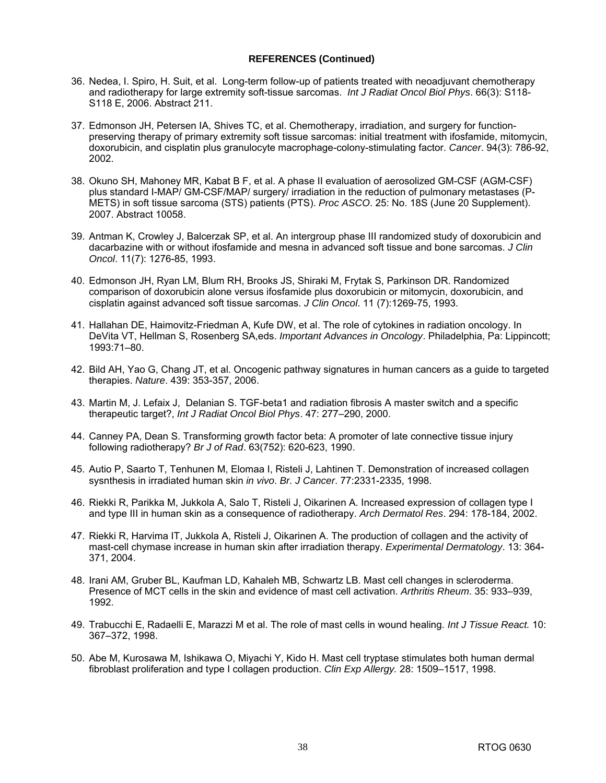- 36. Nedea, I. Spiro, H. Suit, et al. Long-term follow-up of patients treated with neoadjuvant chemotherapy and radiotherapy for large extremity soft-tissue sarcomas. *Int J Radiat Oncol Biol Phys*. 66(3): S118- S118 E, 2006. Abstract 211.
- 37. Edmonson JH, Petersen IA, Shives TC, et al. Chemotherapy, irradiation, and surgery for functionpreserving therapy of primary extremity soft tissue sarcomas: initial treatment with ifosfamide, mitomycin, doxorubicin, and cisplatin plus granulocyte macrophage-colony-stimulating factor. *Cancer*. 94(3): 786-92, 2002.
- 38. Okuno SH, Mahoney MR, Kabat B F, et al. A phase II evaluation of aerosolized GM-CSF (AGM-CSF) plus standard I-MAP/ GM-CSF/MAP/ surgery/ irradiation in the reduction of pulmonary metastases (P-METS) in soft tissue sarcoma (STS) patients (PTS). *Proc ASCO*. 25: No. 18S (June 20 Supplement). 2007. Abstract 10058.
- 39. Antman K, Crowley J, Balcerzak SP, et al. An intergroup phase III randomized study of doxorubicin and dacarbazine with or without ifosfamide and mesna in advanced soft tissue and bone sarcomas. *J Clin Oncol*. 11(7): 1276-85, 1993.
- 40. Edmonson JH, Ryan LM, Blum RH, Brooks JS, Shiraki M, Frytak S, Parkinson DR. Randomized comparison of doxorubicin alone versus ifosfamide plus doxorubicin or mitomycin, doxorubicin, and cisplatin against advanced soft tissue sarcomas. *J Clin Oncol*. 11 (7):1269-75, 1993.
- 41. Hallahan DE, Haimovitz-Friedman A, Kufe DW, et al. The role of cytokines in radiation oncology. In DeVita VT, Hellman S, Rosenberg SA,eds. *Important Advances in Oncology*. Philadelphia, Pa: Lippincott; 1993:71–80.
- 42. Bild AH, Yao G, Chang JT, et al. Oncogenic pathway signatures in human cancers as a guide to targeted therapies. *Nature*. 439: 353-357, 2006.
- 43. Martin M, J. Lefaix J, Delanian S. TGF-beta1 and radiation fibrosis A master switch and a specific therapeutic target?, *Int J Radiat Oncol Biol Phys*. 47: 277–290, 2000.
- 44. Canney PA, Dean S. Transforming growth factor beta: A promoter of late connective tissue injury following radiotherapy? *Br J of Rad*. 63(752): 620-623, 1990.
- 45. Autio P, Saarto T, Tenhunen M, Elomaa I, Risteli J, Lahtinen T. Demonstration of increased collagen sysnthesis in irradiated human skin *in vivo*. *Br. J Cancer*. 77:2331-2335, 1998.
- 46. Riekki R, Parikka M, Jukkola A, Salo T, Risteli J, Oikarinen A. Increased expression of collagen type I and type III in human skin as a consequence of radiotherapy. *Arch Dermatol Res*. 294: 178-184, 2002.
- 47. Riekki R, Harvima IT, Jukkola A, Risteli J, Oikarinen A. The production of collagen and the activity of mast-cell chymase increase in human skin after irradiation therapy. *Experimental Dermatology*. 13: 364- 371, 2004.
- 48. Irani AM, Gruber BL, Kaufman LD, Kahaleh MB, Schwartz LB. Mast cell changes in scleroderma. Presence of MCT cells in the skin and evidence of mast cell activation. *Arthritis Rheum*. 35: 933–939, 1992.
- 49. Trabucchi E, Radaelli E, Marazzi M et al. The role of mast cells in wound healing. *Int J Tissue React.* 10: 367–372, 1998.
- 50. Abe M, Kurosawa M, Ishikawa O, Miyachi Y, Kido H. Mast cell tryptase stimulates both human dermal fibroblast proliferation and type I collagen production. *Clin Exp Allergy.* 28: 1509–1517, 1998.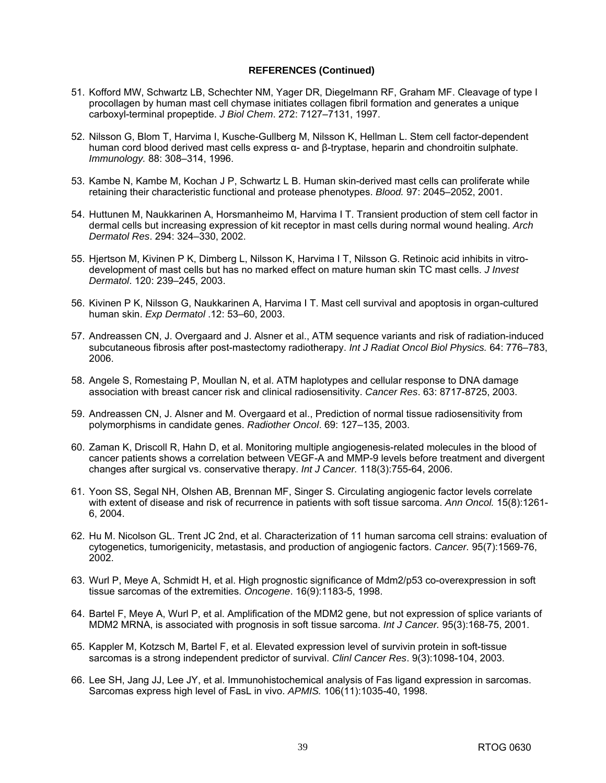- 51. Kofford MW, Schwartz LB, Schechter NM, Yager DR, Diegelmann RF, Graham MF. Cleavage of type I procollagen by human mast cell chymase initiates collagen fibril formation and generates a unique carboxyl-terminal propeptide. *J Biol Chem*. 272: 7127–7131, 1997.
- 52. Nilsson G, Blom T, Harvima I, Kusche-Gullberg M, Nilsson K, Hellman L. Stem cell factor-dependent human cord blood derived mast cells express α- and β-tryptase, heparin and chondroitin sulphate. *Immunology.* 88: 308–314, 1996.
- 53. Kambe N, Kambe M, Kochan J P, Schwartz L B. Human skin-derived mast cells can proliferate while retaining their characteristic functional and protease phenotypes. *Blood.* 97: 2045–2052, 2001.
- 54. Huttunen M, Naukkarinen A, Horsmanheimo M, Harvima I T. Transient production of stem cell factor in dermal cells but increasing expression of kit receptor in mast cells during normal wound healing. *Arch Dermatol Res*. 294: 324–330, 2002.
- 55. Hjertson M, Kivinen P K, Dimberg L, Nilsson K, Harvima I T, Nilsson G. Retinoic acid inhibits in vitrodevelopment of mast cells but has no marked effect on mature human skin TC mast cells. *J Invest Dermatol*. 120: 239–245, 2003.
- 56. Kivinen P K, Nilsson G, Naukkarinen A, Harvima I T. Mast cell survival and apoptosis in organ-cultured human skin. *Exp Dermatol* .12: 53–60, 2003.
- 57. Andreassen CN, J. Overgaard and J. Alsner et al., ATM sequence variants and risk of radiation-induced subcutaneous fibrosis after post-mastectomy radiotherapy. *Int J Radiat Oncol Biol Physics.* 64: 776–783, 2006.
- 58. Angele S, Romestaing P, Moullan N, et al. ATM haplotypes and cellular response to DNA damage association with breast cancer risk and clinical radiosensitivity. *Cancer Res*. 63: 8717-8725, 2003.
- 59. Andreassen CN, J. Alsner and M. Overgaard et al., Prediction of normal tissue radiosensitivity from polymorphisms in candidate genes. *Radiother Oncol*. 69: 127–135, 2003.
- 60. Zaman K, Driscoll R, Hahn D, et al. Monitoring multiple angiogenesis-related molecules in the blood of cancer patients shows a correlation between VEGF-A and MMP-9 levels before treatment and divergent changes after surgical vs. conservative therapy. *Int J Cancer.* 118(3):755-64, 2006.
- 61. Yoon SS, Segal NH, Olshen AB, Brennan MF, Singer S. Circulating angiogenic factor levels correlate with extent of disease and risk of recurrence in patients with soft tissue sarcoma. *Ann Oncol.* 15(8):1261- 6, 2004.
- 62. Hu M. Nicolson GL. Trent JC 2nd, et al. Characterization of 11 human sarcoma cell strains: evaluation of cytogenetics, tumorigenicity, metastasis, and production of angiogenic factors. *Cancer.* 95(7):1569-76, 2002.
- 63. Wurl P, Meye A, Schmidt H, et al. High prognostic significance of Mdm2/p53 co-overexpression in soft tissue sarcomas of the extremities. *Oncogene*. 16(9):1183-5, 1998.
- 64. Bartel F, Meye A, Wurl P, et al. Amplification of the MDM2 gene, but not expression of splice variants of MDM2 MRNA, is associated with prognosis in soft tissue sarcoma. *Int J Cancer.* 95(3):168-75, 2001.
- 65. Kappler M, Kotzsch M, Bartel F, et al. Elevated expression level of survivin protein in soft-tissue sarcomas is a strong independent predictor of survival. *Clinl Cancer Res*. 9(3):1098-104, 2003.
- 66. Lee SH, Jang JJ, Lee JY, et al. Immunohistochemical analysis of Fas ligand expression in sarcomas. Sarcomas express high level of FasL in vivo. *APMIS.* 106(11):1035-40, 1998.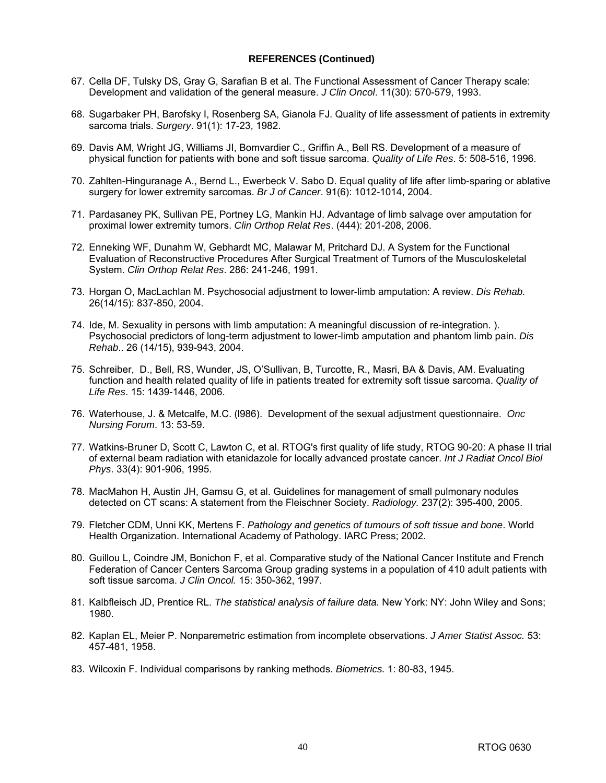- 67. Cella DF, Tulsky DS, Gray G, Sarafian B et al. The Functional Assessment of Cancer Therapy scale: Development and validation of the general measure. *J Clin Oncol*. 11(30): 570-579, 1993.
- 68. Sugarbaker PH, Barofsky I, Rosenberg SA, Gianola FJ. Quality of life assessment of patients in extremity sarcoma trials. *Surgery*. 91(1): 17-23, 1982.
- 69. Davis AM, Wright JG, Williams JI, Bomvardier C., Griffin A., Bell RS. Development of a measure of physical function for patients with bone and soft tissue sarcoma. *Quality of Life Res*. 5: 508-516, 1996.
- 70. Zahlten-Hinguranage A., Bernd L., Ewerbeck V. Sabo D. Equal quality of life after limb-sparing or ablative surgery for lower extremity sarcomas. *Br J of Cancer*. 91(6): 1012-1014, 2004.
- 71. Pardasaney PK, Sullivan PE, Portney LG, Mankin HJ. Advantage of limb salvage over amputation for proximal lower extremity tumors. *Clin Orthop Relat Res*. (444): 201-208, 2006.
- 72. Enneking WF, Dunahm W, Gebhardt MC, Malawar M, Pritchard DJ. A System for the Functional Evaluation of Reconstructive Procedures After Surgical Treatment of Tumors of the Musculoskeletal System. *Clin Orthop Relat Res*. 286: 241-246, 1991.
- 73. Horgan O, MacLachlan M. Psychosocial adjustment to lower-limb amputation: A review. *Dis Rehab.* 26(14/15): 837-850, 2004.
- 74. Ide, M. Sexuality in persons with limb amputation: A meaningful discussion of re-integration. ). Psychosocial predictors of long-term adjustment to lower-limb amputation and phantom limb pain. *Dis Rehab*.. 26 (14/15), 939-943, 2004.
- 75. Schreiber, D., Bell, RS, Wunder, JS, O'Sullivan, B, Turcotte, R., Masri, BA & Davis, AM. Evaluating function and health related quality of life in patients treated for extremity soft tissue sarcoma. *Quality of Life Res*. 15: 1439-1446, 2006.
- 76. Waterhouse, J. & Metcalfe, M.C. (l986). Development of the sexual adjustment questionnaire. *Onc Nursing Forum*. 13: 53-59.
- 77. Watkins-Bruner D, Scott C, Lawton C, et al. RTOG's first quality of life study, RTOG 90-20: A phase II trial of external beam radiation with etanidazole for locally advanced prostate cancer. *Int J Radiat Oncol Biol Phys*. 33(4): 901-906, 1995.
- 78. MacMahon H, Austin JH, Gamsu G, et al. Guidelines for management of small pulmonary nodules detected on CT scans: A statement from the Fleischner Society. *Radiology.* 237(2): 395-400, 2005.
- 79. Fletcher CDM, Unni KK, Mertens F. *Pathology and genetics of tumours of soft tissue and bone*. World Health Organization. International Academy of Pathology. IARC Press; 2002.
- 80. Guillou L, Coindre JM, Bonichon F, et al. Comparative study of the National Cancer Institute and French Federation of Cancer Centers Sarcoma Group grading systems in a population of 410 adult patients with soft tissue sarcoma. *J Clin Oncol.* 15: 350-362, 1997.
- 81. Kalbfleisch JD, Prentice RL. *The statistical analysis of failure data.* New York: NY: John Wiley and Sons; 1980.
- 82. Kaplan EL, Meier P. Nonparemetric estimation from incomplete observations. *J Amer Statist Assoc.* 53: 457-481, 1958.
- 83. Wilcoxin F. Individual comparisons by ranking methods. *Biometrics.* 1: 80-83, 1945.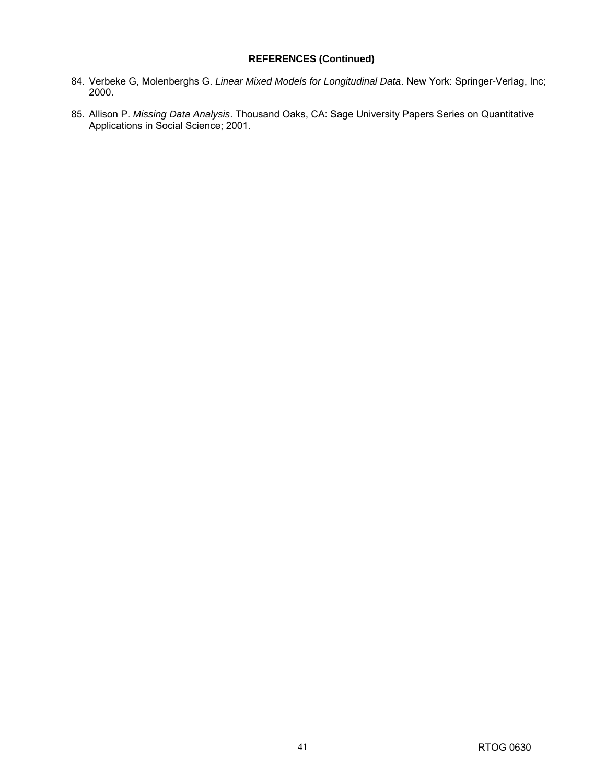- 84. Verbeke G, Molenberghs G. *Linear Mixed Models for Longitudinal Data*. New York: Springer-Verlag, Inc; 2000.
- 85. Allison P. *Missing Data Analysis*. Thousand Oaks, CA: Sage University Papers Series on Quantitative Applications in Social Science; 2001.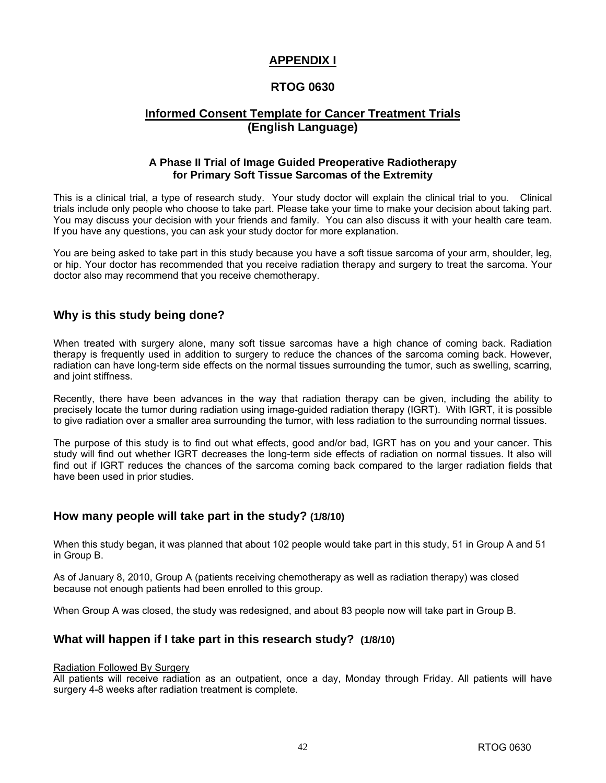## **APPENDIX I**

## **RTOG 0630**

## **Informed Consent Template for Cancer Treatment Trials (English Language)**

## **A Phase II Trial of Image Guided Preoperative Radiotherapy for Primary Soft Tissue Sarcomas of the Extremity**

This is a clinical trial, a type of research study. Your study doctor will explain the clinical trial to you. Clinical trials include only people who choose to take part. Please take your time to make your decision about taking part. You may discuss your decision with your friends and family. You can also discuss it with your health care team. If you have any questions, you can ask your study doctor for more explanation.

You are being asked to take part in this study because you have a soft tissue sarcoma of your arm, shoulder, leg, or hip. Your doctor has recommended that you receive radiation therapy and surgery to treat the sarcoma. Your doctor also may recommend that you receive chemotherapy.

## **Why is this study being done?**

When treated with surgery alone, many soft tissue sarcomas have a high chance of coming back. Radiation therapy is frequently used in addition to surgery to reduce the chances of the sarcoma coming back. However, radiation can have long-term side effects on the normal tissues surrounding the tumor, such as swelling, scarring, and joint stiffness.

Recently, there have been advances in the way that radiation therapy can be given, including the ability to precisely locate the tumor during radiation using image-guided radiation therapy (IGRT). With IGRT, it is possible to give radiation over a smaller area surrounding the tumor, with less radiation to the surrounding normal tissues.

The purpose of this study is to find out what effects, good and/or bad, IGRT has on you and your cancer. This study will find out whether IGRT decreases the long-term side effects of radiation on normal tissues. It also will find out if IGRT reduces the chances of the sarcoma coming back compared to the larger radiation fields that have been used in prior studies.

## **How many people will take part in the study? (1/8/10)**

When this study began, it was planned that about 102 people would take part in this study, 51 in Group A and 51 in Group B.

As of January 8, 2010, Group A (patients receiving chemotherapy as well as radiation therapy) was closed because not enough patients had been enrolled to this group.

When Group A was closed, the study was redesigned, and about 83 people now will take part in Group B.

## **What will happen if I take part in this research study? (1/8/10)**

#### Radiation Followed By Surgery

All patients will receive radiation as an outpatient, once a day, Monday through Friday. All patients will have surgery 4-8 weeks after radiation treatment is complete.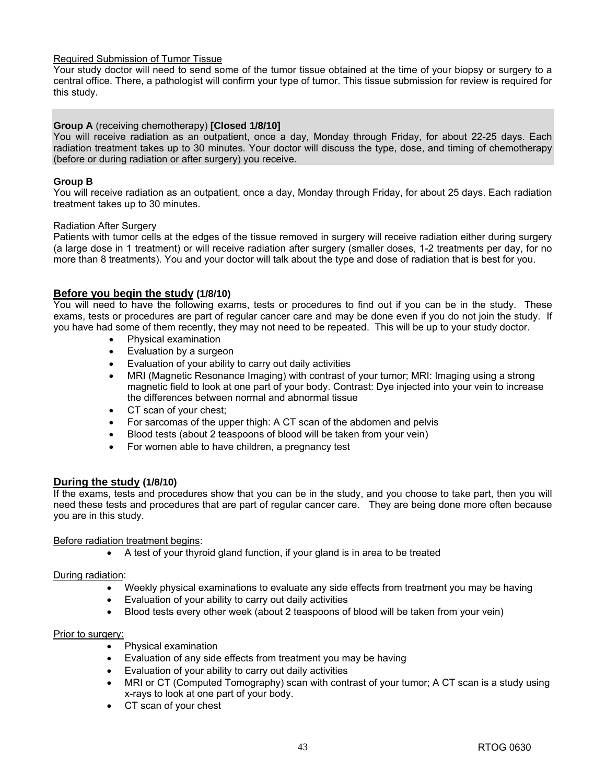#### Required Submission of Tumor Tissue

Your study doctor will need to send some of the tumor tissue obtained at the time of your biopsy or surgery to a central office. There, a pathologist will confirm your type of tumor. This tissue submission for review is required for this study.

#### **Group A** (receiving chemotherapy) **[Closed 1/8/10]**

You will receive radiation as an outpatient, once a day, Monday through Friday, for about 22-25 days. Each radiation treatment takes up to 30 minutes. Your doctor will discuss the type, dose, and timing of chemotherapy (before or during radiation or after surgery) you receive.

#### **Group B**

You will receive radiation as an outpatient, once a day, Monday through Friday, for about 25 days. Each radiation treatment takes up to 30 minutes.

#### Radiation After Surgery

Patients with tumor cells at the edges of the tissue removed in surgery will receive radiation either during surgery (a large dose in 1 treatment) or will receive radiation after surgery (smaller doses, 1-2 treatments per day, for no more than 8 treatments). You and your doctor will talk about the type and dose of radiation that is best for you.

#### **Before you begin the study (1/8/10)**

You will need to have the following exams, tests or procedures to find out if you can be in the study. These exams, tests or procedures are part of regular cancer care and may be done even if you do not join the study. If you have had some of them recently, they may not need to be repeated. This will be up to your study doctor.

- Physical examination
- Evaluation by a surgeon
- Evaluation of your ability to carry out daily activities
- MRI (Magnetic Resonance Imaging) with contrast of your tumor; MRI: Imaging using a strong magnetic field to look at one part of your body. Contrast: Dye injected into your vein to increase the differences between normal and abnormal tissue
- CT scan of your chest;
- For sarcomas of the upper thigh: A CT scan of the abdomen and pelvis
- Blood tests (about 2 teaspoons of blood will be taken from your vein)
- For women able to have children, a pregnancy test

#### **During the study (1/8/10)**

If the exams, tests and procedures show that you can be in the study, and you choose to take part, then you will need these tests and procedures that are part of regular cancer care. They are being done more often because you are in this study.

#### Before radiation treatment begins:

• A test of your thyroid gland function, if your gland is in area to be treated

#### During radiation:

- Weekly physical examinations to evaluate any side effects from treatment you may be having
- Evaluation of your ability to carry out daily activities
- Blood tests every other week (about 2 teaspoons of blood will be taken from your vein)

#### Prior to surgery:

- Physical examination
- Evaluation of any side effects from treatment you may be having
- Evaluation of your ability to carry out daily activities
- MRI or CT (Computed Tomography) scan with contrast of your tumor; A CT scan is a study using x-rays to look at one part of your body.
- CT scan of your chest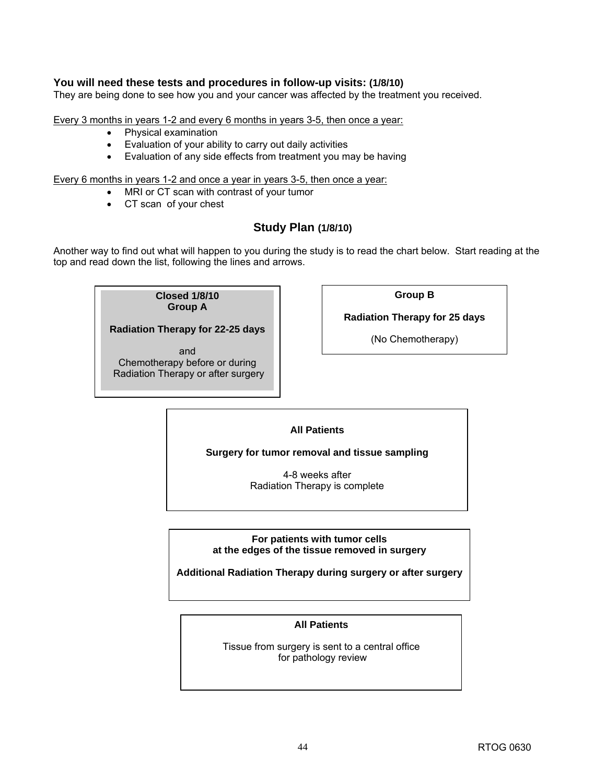## **You will need these tests and procedures in follow-up visits: (1/8/10)**

They are being done to see how you and your cancer was affected by the treatment you received.

Every 3 months in years 1-2 and every 6 months in years 3-5, then once a year:

- Physical examination
- Evaluation of your ability to carry out daily activities
- Evaluation of any side effects from treatment you may be having

Every 6 months in years 1-2 and once a year in years 3-5, then once a year:

- MRI or CT scan with contrast of your tumor
- CT scan of your chest

## **Study Plan (1/8/10)**

Another way to find out what will happen to you during the study is to read the chart below. Start reading at the top and read down the list, following the lines and arrows.

> **Closed 1/8/10 Group A**

**Radiation Therapy for 22-25 days** 

and Chemotherapy before or during Radiation Therapy or after surgery **Group B** 

**Radiation Therapy for 25 days** 

(No Chemotherapy)

## **All Patients**

**Surgery for tumor removal and tissue sampling** 

4-8 weeks after Radiation Therapy is complete

**For patients with tumor cells at the edges of the tissue removed in surgery** 

**Additional Radiation Therapy during surgery or after surgery** 

## **All Patients**

Tissue from surgery is sent to a central office for pathology review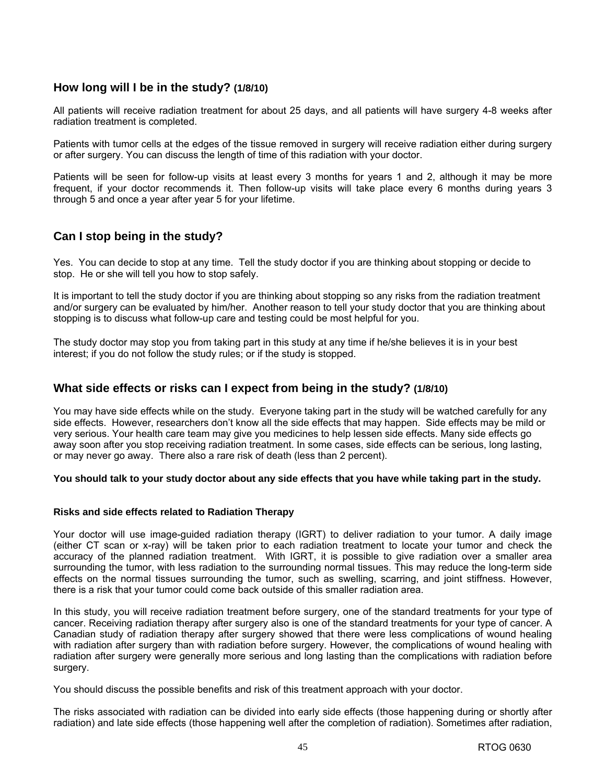## **How long will I be in the study? (1/8/10)**

All patients will receive radiation treatment for about 25 days, and all patients will have surgery 4-8 weeks after radiation treatment is completed.

Patients with tumor cells at the edges of the tissue removed in surgery will receive radiation either during surgery or after surgery. You can discuss the length of time of this radiation with your doctor.

Patients will be seen for follow-up visits at least every 3 months for years 1 and 2, although it may be more frequent, if your doctor recommends it. Then follow-up visits will take place every 6 months during years 3 through 5 and once a year after year 5 for your lifetime.

## **Can I stop being in the study?**

Yes. You can decide to stop at any time. Tell the study doctor if you are thinking about stopping or decide to stop. He or she will tell you how to stop safely.

It is important to tell the study doctor if you are thinking about stopping so any risks from the radiation treatment and/or surgery can be evaluated by him/her. Another reason to tell your study doctor that you are thinking about stopping is to discuss what follow-up care and testing could be most helpful for you.

The study doctor may stop you from taking part in this study at any time if he/she believes it is in your best interest; if you do not follow the study rules; or if the study is stopped.

## **What side effects or risks can I expect from being in the study? (1/8/10)**

You may have side effects while on the study. Everyone taking part in the study will be watched carefully for any side effects. However, researchers don't know all the side effects that may happen. Side effects may be mild or very serious. Your health care team may give you medicines to help lessen side effects. Many side effects go away soon after you stop receiving radiation treatment. In some cases, side effects can be serious, long lasting, or may never go away. There also a rare risk of death (less than 2 percent).

**You should talk to your study doctor about any side effects that you have while taking part in the study.** 

#### **Risks and side effects related to Radiation Therapy**

Your doctor will use image-guided radiation therapy (IGRT) to deliver radiation to your tumor. A daily image (either CT scan or x-ray) will be taken prior to each radiation treatment to locate your tumor and check the accuracy of the planned radiation treatment. With IGRT, it is possible to give radiation over a smaller area surrounding the tumor, with less radiation to the surrounding normal tissues. This may reduce the long-term side effects on the normal tissues surrounding the tumor, such as swelling, scarring, and joint stiffness. However, there is a risk that your tumor could come back outside of this smaller radiation area.

In this study, you will receive radiation treatment before surgery, one of the standard treatments for your type of cancer. Receiving radiation therapy after surgery also is one of the standard treatments for your type of cancer. A Canadian study of radiation therapy after surgery showed that there were less complications of wound healing with radiation after surgery than with radiation before surgery. However, the complications of wound healing with radiation after surgery were generally more serious and long lasting than the complications with radiation before surgery.

You should discuss the possible benefits and risk of this treatment approach with your doctor.

The risks associated with radiation can be divided into early side effects (those happening during or shortly after radiation) and late side effects (those happening well after the completion of radiation). Sometimes after radiation,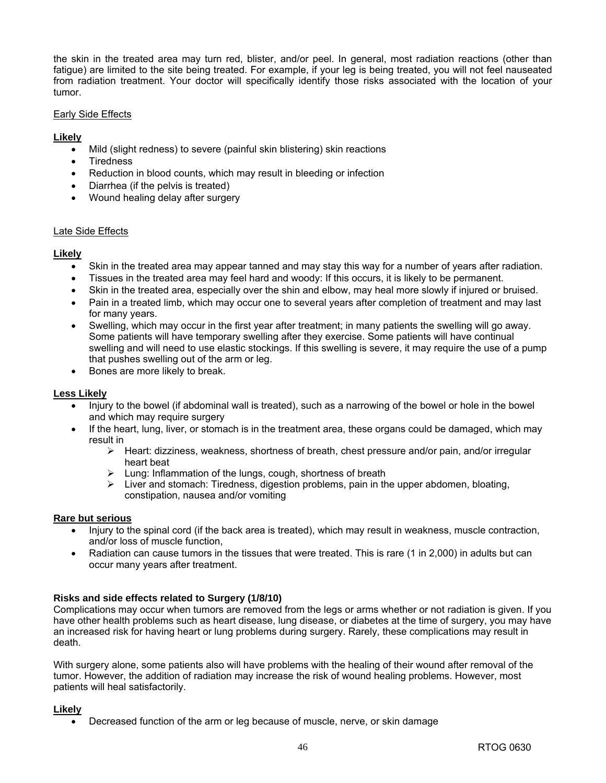the skin in the treated area may turn red, blister, and/or peel. In general, most radiation reactions (other than fatigue) are limited to the site being treated. For example, if your leg is being treated, you will not feel nauseated from radiation treatment. Your doctor will specifically identify those risks associated with the location of your tumor.

#### Early Side Effects

### **Likely**

- Mild (slight redness) to severe (painful skin blistering) skin reactions
- **Tiredness**
- Reduction in blood counts, which may result in bleeding or infection
- Diarrhea (if the pelvis is treated)
- Wound healing delay after surgery

#### Late Side Effects

#### **Likely**

- Skin in the treated area may appear tanned and may stay this way for a number of years after radiation.
- Tissues in the treated area may feel hard and woody: If this occurs, it is likely to be permanent.
- Skin in the treated area, especially over the shin and elbow, may heal more slowly if injured or bruised.
- Pain in a treated limb, which may occur one to several years after completion of treatment and may last for many years.
- Swelling, which may occur in the first year after treatment; in many patients the swelling will go away. Some patients will have temporary swelling after they exercise. Some patients will have continual swelling and will need to use elastic stockings. If this swelling is severe, it may require the use of a pump that pushes swelling out of the arm or leg.
- Bones are more likely to break.

#### **Less Likely**

- Injury to the bowel (if abdominal wall is treated), such as a narrowing of the bowel or hole in the bowel and which may require surgery
- If the heart, lung, liver, or stomach is in the treatment area, these organs could be damaged, which may result in
	- $\triangleright$  Heart: dizziness, weakness, shortness of breath, chest pressure and/or pain, and/or irregular heart beat
	- $\triangleright$  Lung: Inflammation of the lungs, cough, shortness of breath
	- $\triangleright$  Liver and stomach: Tiredness, digestion problems, pain in the upper abdomen, bloating, constipation, nausea and/or vomiting

#### **Rare but serious**

- Injury to the spinal cord (if the back area is treated), which may result in weakness, muscle contraction, and/or loss of muscle function,
- Radiation can cause tumors in the tissues that were treated. This is rare (1 in 2,000) in adults but can occur many years after treatment.

#### **Risks and side effects related to Surgery (1/8/10)**

Complications may occur when tumors are removed from the legs or arms whether or not radiation is given. If you have other health problems such as heart disease, lung disease, or diabetes at the time of surgery, you may have an increased risk for having heart or lung problems during surgery. Rarely, these complications may result in death.

With surgery alone, some patients also will have problems with the healing of their wound after removal of the tumor. However, the addition of radiation may increase the risk of wound healing problems. However, most patients will heal satisfactorily.

#### **Likely**

• Decreased function of the arm or leg because of muscle, nerve, or skin damage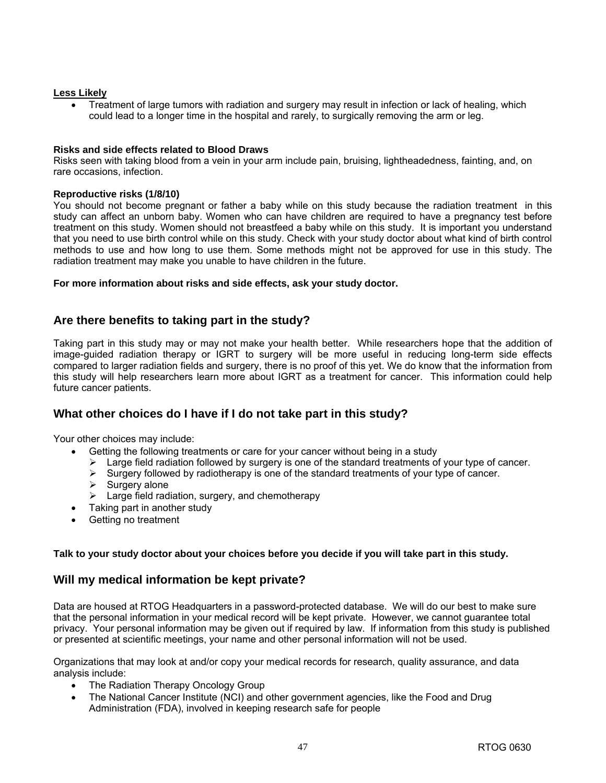#### **Less Likely**

• Treatment of large tumors with radiation and surgery may result in infection or lack of healing, which could lead to a longer time in the hospital and rarely, to surgically removing the arm or leg.

#### **Risks and side effects related to Blood Draws**

Risks seen with taking blood from a vein in your arm include pain, bruising, lightheadedness, fainting, and, on rare occasions, infection.

#### **Reproductive risks (1/8/10)**

You should not become pregnant or father a baby while on this study because the radiation treatment in this study can affect an unborn baby. Women who can have children are required to have a pregnancy test before treatment on this study. Women should not breastfeed a baby while on this study. It is important you understand that you need to use birth control while on this study. Check with your study doctor about what kind of birth control methods to use and how long to use them. Some methods might not be approved for use in this study. The radiation treatment may make you unable to have children in the future.

#### **For more information about risks and side effects, ask your study doctor.**

## **Are there benefits to taking part in the study?**

Taking part in this study may or may not make your health better. While researchers hope that the addition of image-guided radiation therapy or IGRT to surgery will be more useful in reducing long-term side effects compared to larger radiation fields and surgery, there is no proof of this yet. We do know that the information from this study will help researchers learn more about IGRT as a treatment for cancer. This information could help future cancer patients.

## **What other choices do I have if I do not take part in this study?**

Your other choices may include:

- Getting the following treatments or care for your cancer without being in a study
- $\triangleright$  Large field radiation followed by surgery is one of the standard treatments of your type of cancer.
- $\triangleright$  Surgery followed by radiotherapy is one of the standard treatments of your type of cancer.
- $\triangleright$  Surgery alone
- $\blacktriangleright$  Large field radiation, surgery, and chemotherapy
- Taking part in another study
- Getting no treatment

#### **Talk to your study doctor about your choices before you decide if you will take part in this study.**

## **Will my medical information be kept private?**

Data are housed at RTOG Headquarters in a password-protected database. We will do our best to make sure that the personal information in your medical record will be kept private. However, we cannot guarantee total privacy. Your personal information may be given out if required by law. If information from this study is published or presented at scientific meetings, your name and other personal information will not be used.

Organizations that may look at and/or copy your medical records for research, quality assurance, and data analysis include:

- The Radiation Therapy Oncology Group
- The National Cancer Institute (NCI) and other government agencies, like the Food and Drug Administration (FDA), involved in keeping research safe for people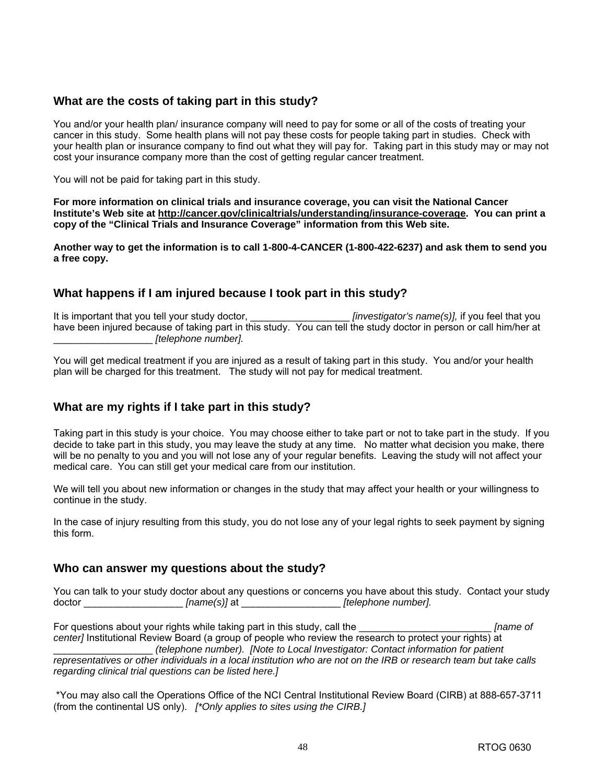## **What are the costs of taking part in this study?**

You and/or your health plan/ insurance company will need to pay for some or all of the costs of treating your cancer in this study. Some health plans will not pay these costs for people taking part in studies. Check with your health plan or insurance company to find out what they will pay for. Taking part in this study may or may not cost your insurance company more than the cost of getting regular cancer treatment.

You will not be paid for taking part in this study.

**For more information on clinical trials and insurance coverage, you can visit the National Cancer Institute's Web site at [http://cancer.gov/clinicaltrials/understanding/insurance-coverage.](http://cancer.gov/clinicaltrials/understanding/insurance-coverage) You can print a copy of the "Clinical Trials and Insurance Coverage" information from this Web site.** 

**Another way to get the information is to call 1-800-4-CANCER (1-800-422-6237) and ask them to send you a free copy.**

## **What happens if I am injured because I took part in this study?**

It is important that you tell your study doctor, *[investigator's name(s)]*, if you feel that you have been injured because of taking part in this study. You can tell the study doctor in person or call him/her at \_\_\_\_\_\_\_\_\_\_\_\_\_\_\_\_\_\_ *[telephone number].*

You will get medical treatment if you are injured as a result of taking part in this study. You and/or your health plan will be charged for this treatment. The study will not pay for medical treatment.

## **What are my rights if I take part in this study?**

Taking part in this study is your choice. You may choose either to take part or not to take part in the study. If you decide to take part in this study, you may leave the study at any time. No matter what decision you make, there will be no penalty to you and you will not lose any of your regular benefits. Leaving the study will not affect your medical care. You can still get your medical care from our institution.

We will tell you about new information or changes in the study that may affect your health or your willingness to continue in the study.

In the case of injury resulting from this study, you do not lose any of your legal rights to seek payment by signing this form.

## **Who can answer my questions about the study?**

You can talk to your study doctor about any questions or concerns you have about this study. Contact your study doctor \_\_\_\_\_\_\_\_\_\_\_\_\_\_\_\_\_\_\_\_*[name(s)]* at \_\_\_\_\_\_\_\_\_\_\_\_\_\_\_\_*ftelephone number].* 

For questions about your rights while taking part in this study, call the **Frame** of *Frame of center]* Institutional Review Board (a group of people who review the research to protect your rights) at \_\_\_\_\_\_\_\_\_\_\_\_\_\_\_\_\_\_ *(telephone number). [Note to Local Investigator: Contact information for patient representatives or other individuals in a local institution who are not on the IRB or research team but take calls regarding clinical trial questions can be listed here.]* 

\*You may also call the Operations Office of the NCI Central Institutional Review Board (CIRB) at 888-657-3711 (from the continental US only). *[\*Only applies to sites using the CIRB.]*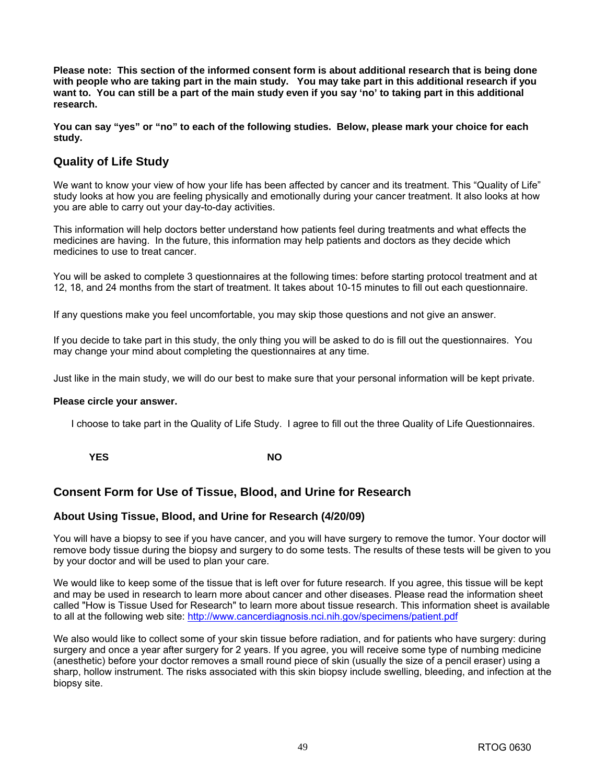**Please note: This section of the informed consent form is about additional research that is being done with people who are taking part in the main study. You may take part in this additional research if you want to. You can still be a part of the main study even if you say 'no' to taking part in this additional research.** 

**You can say "yes" or "no" to each of the following studies. Below, please mark your choice for each study.** 

## **Quality of Life Study**

We want to know your view of how your life has been affected by cancer and its treatment. This "Quality of Life" study looks at how you are feeling physically and emotionally during your cancer treatment. It also looks at how you are able to carry out your day-to-day activities.

This information will help doctors better understand how patients feel during treatments and what effects the medicines are having. In the future, this information may help patients and doctors as they decide which medicines to use to treat cancer.

You will be asked to complete 3 questionnaires at the following times: before starting protocol treatment and at 12, 18, and 24 months from the start of treatment. It takes about 10-15 minutes to fill out each questionnaire.

If any questions make you feel uncomfortable, you may skip those questions and not give an answer.

If you decide to take part in this study, the only thing you will be asked to do is fill out the questionnaires. You may change your mind about completing the questionnaires at any time.

Just like in the main study, we will do our best to make sure that your personal information will be kept private.

#### **Please circle your answer.**

I choose to take part in the Quality of Life Study. I agree to fill out the three Quality of Life Questionnaires.

**YES** NO

## **Consent Form for Use of Tissue, Blood, and Urine for Research**

## **About Using Tissue, Blood, and Urine for Research (4/20/09)**

You will have a biopsy to see if you have cancer, and you will have surgery to remove the tumor. Your doctor will remove body tissue during the biopsy and surgery to do some tests. The results of these tests will be given to you by your doctor and will be used to plan your care.

We would like to keep some of the tissue that is left over for future research. If you agree, this tissue will be kept and may be used in research to learn more about cancer and other diseases. Please read the information sheet called "How is Tissue Used for Research" to learn more about tissue research. This information sheet is available to all at the following web site: <http://www.cancerdiagnosis.nci.nih.gov/specimens/patient.pdf>

We also would like to collect some of your skin tissue before radiation, and for patients who have surgery: during surgery and once a year after surgery for 2 years. If you agree, you will receive some type of numbing medicine (anesthetic) before your doctor removes a small round piece of skin (usually the size of a pencil eraser) using a sharp, hollow instrument. The risks associated with this skin biopsy include swelling, bleeding, and infection at the biopsy site.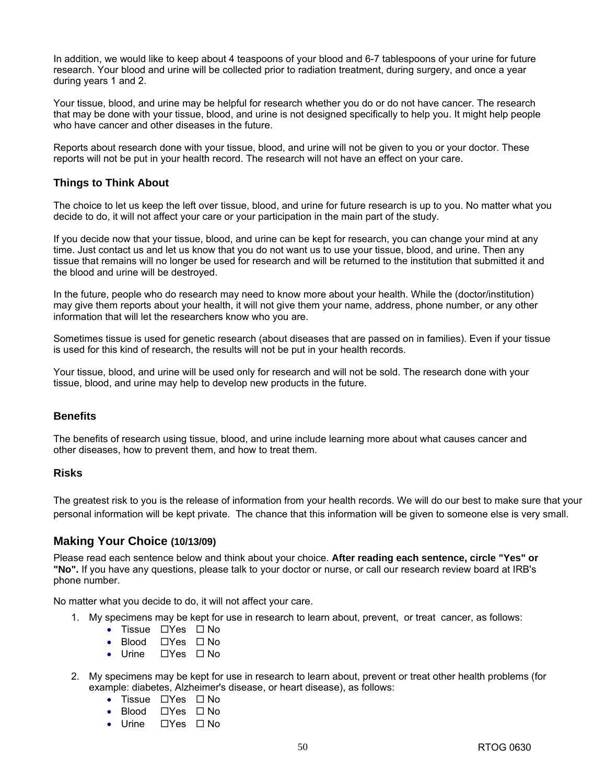In addition, we would like to keep about 4 teaspoons of your blood and 6-7 tablespoons of your urine for future research. Your blood and urine will be collected prior to radiation treatment, during surgery, and once a year during years 1 and 2.

Your tissue, blood, and urine may be helpful for research whether you do or do not have cancer. The research that may be done with your tissue, blood, and urine is not designed specifically to help you. It might help people who have cancer and other diseases in the future.

Reports about research done with your tissue, blood, and urine will not be given to you or your doctor. These reports will not be put in your health record. The research will not have an effect on your care.

## **Things to Think About**

The choice to let us keep the left over tissue, blood, and urine for future research is up to you. No matter what you decide to do, it will not affect your care or your participation in the main part of the study.

If you decide now that your tissue, blood, and urine can be kept for research, you can change your mind at any time. Just contact us and let us know that you do not want us to use your tissue, blood, and urine. Then any tissue that remains will no longer be used for research and will be returned to the institution that submitted it and the blood and urine will be destroyed.

In the future, people who do research may need to know more about your health. While the (doctor/institution) may give them reports about your health, it will not give them your name, address, phone number, or any other information that will let the researchers know who you are.

Sometimes tissue is used for genetic research (about diseases that are passed on in families). Even if your tissue is used for this kind of research, the results will not be put in your health records.

Your tissue, blood, and urine will be used only for research and will not be sold. The research done with your tissue, blood, and urine may help to develop new products in the future.

## **Benefits**

The benefits of research using tissue, blood, and urine include learning more about what causes cancer and other diseases, how to prevent them, and how to treat them.

## **Risks**

The greatest risk to you is the release of information from your health records. We will do our best to make sure that your personal information will be kept private. The chance that this information will be given to someone else is very small.

## **Making Your Choice (10/13/09)**

Please read each sentence below and think about your choice. **After reading each sentence, circle "Yes" or "No".** If you have any questions, please talk to your doctor or nurse, or call our research review board at IRB's phone number.

No matter what you decide to do, it will not affect your care.

- 1. My specimens may be kept for use in research to learn about, prevent, or treat cancer, as follows:
	- Tissue  $\Box$  Yes  $\Box$  No
	- Blood  $\Box$  Yes  $\Box$  No
	- Urine  $\Box$  Yes  $\Box$  No
- 2. My specimens may be kept for use in research to learn about, prevent or treat other health problems (for example: diabetes, Alzheimer's disease, or heart disease), as follows:
	- Tissue  $\Box$  Yes  $\Box$  No
	- Blood Yes No
	- Urine  $\Box$  Yes  $\Box$  No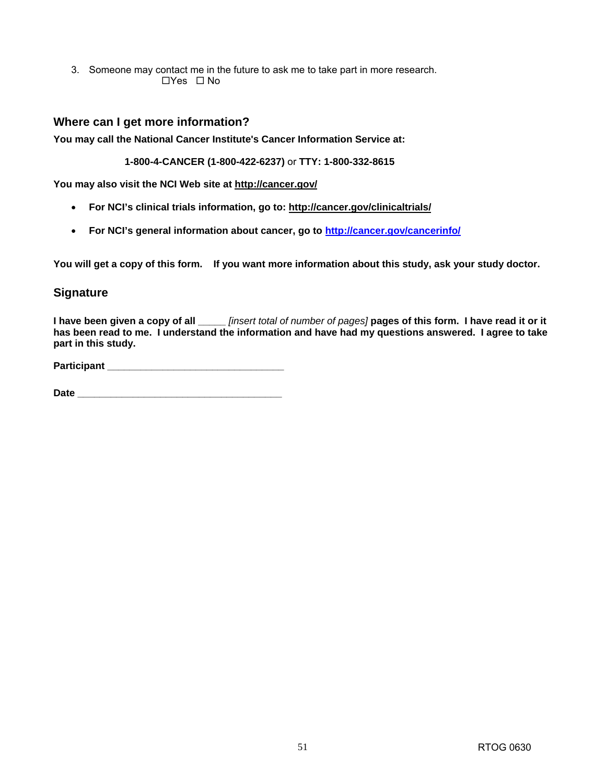3. Someone may contact me in the future to ask me to take part in more research.  $\Box$ Yes  $\Box$  No

## **Where can I get more information?**

**You may call the National Cancer Institute's Cancer Information Service at:** 

**1-800-4-CANCER (1-800-422-6237)** or **TTY: 1-800-332-8615**

**You may also visit the NCI Web site at [http://cancer.gov/](http://cancer.gov)**

- **For NCI's clinical trials information, go to: [http://cancer.gov/clinicaltrials/](http://cancer.gov/clinicaltrials)**
- **For NCI's general information about cancer, go to [http://cancer.gov/cancerinfo/](http://cancer.gov/cancerinfo)**

**You will get a copy of this form. If you want more information about this study, ask your study doctor.**

## **Signature**

**I have been given a copy of all \_\_\_\_\_** *[insert total of number of pages]* **pages of this form. I have read it or it has been read to me. I understand the information and have had my questions answered. I agree to take part in this study.** 

**Participant \_\_\_\_\_\_\_\_\_\_\_\_\_\_\_\_\_\_\_\_\_\_\_\_\_\_\_\_\_\_\_\_** 

Date **Date Date is a set of the set of the set of the set of the set of the set of the set of the set of the set of the set of the set of the set of the set of the set of the set of the set of the set of the set of the s**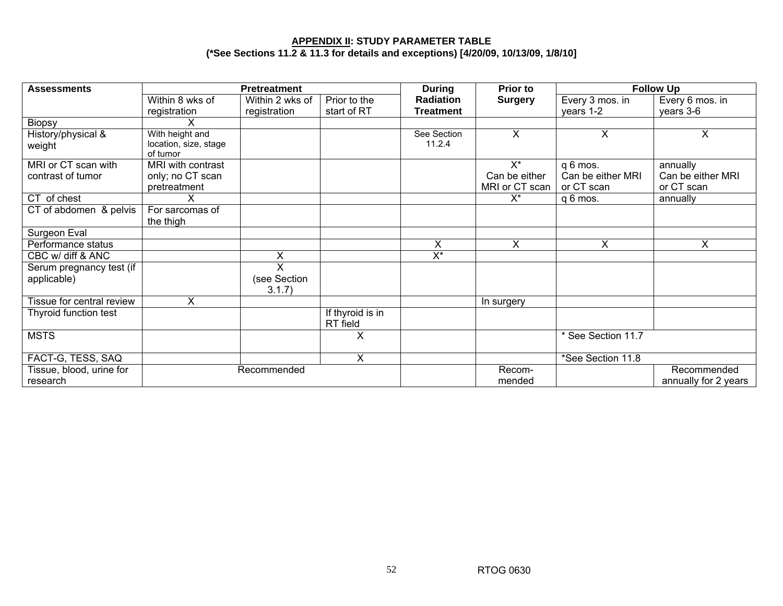#### **APPENDIX II: STUDY PARAMETER TABLE (\*See Sections 11.2 & 11.3 for details and exceptions) [4/20/09, 10/13/09, 1/8/10]**

| <b>Assessments</b>                       | <b>Pretreatment</b>                                  |                             |                              | <b>During</b>             | <b>Prior to</b>        | <b>Follow Up</b>              |                               |
|------------------------------------------|------------------------------------------------------|-----------------------------|------------------------------|---------------------------|------------------------|-------------------------------|-------------------------------|
|                                          | Within 8 wks of                                      | Within 2 wks of             | Prior to the                 | <b>Radiation</b>          | <b>Surgery</b>         | Every 3 mos. in               | Every 6 mos. in               |
|                                          | registration                                         | registration                | start of RT                  | <b>Treatment</b>          |                        | years 1-2                     | years 3-6                     |
| <b>Biopsy</b>                            | х                                                    |                             |                              |                           |                        |                               |                               |
| History/physical &<br>weight             | With height and<br>location, size, stage<br>of tumor |                             |                              | See Section<br>11.2.4     | X                      | X                             | X                             |
| MRI or CT scan with<br>contrast of tumor | MRI with contrast<br>only; no CT scan                |                             |                              |                           | $X^*$<br>Can be either | q 6 mos.<br>Can be either MRI | annually<br>Can be either MRI |
|                                          | pretreatment                                         |                             |                              |                           | MRI or CT scan         | or CT scan                    | or CT scan                    |
| CT of chest                              | X                                                    |                             |                              |                           | X*                     | q 6 mos.                      | annually                      |
| CT of abdomen & pelvis                   | For sarcomas of<br>the thigh                         |                             |                              |                           |                        |                               |                               |
| Surgeon Eval                             |                                                      |                             |                              |                           |                        |                               |                               |
| Performance status                       |                                                      |                             |                              | X                         | X.                     | $\overline{X}$                | X                             |
| CBC w/ diff & ANC                        |                                                      | X                           |                              | $\overline{\mathsf{X}^*}$ |                        |                               |                               |
| Serum pregnancy test (if<br>applicable)  |                                                      | X<br>(see Section<br>3.1.7) |                              |                           |                        |                               |                               |
| Tissue for central review                | X.                                                   |                             |                              |                           | In surgery             |                               |                               |
| Thyroid function test                    |                                                      |                             | If thyroid is in<br>RT field |                           |                        |                               |                               |
| <b>MSTS</b>                              |                                                      |                             | $\times$                     |                           |                        | * See Section 11.7            |                               |
| FACT-G, TESS, SAQ                        |                                                      |                             | X                            |                           |                        | *See Section 11.8             |                               |
| Tissue, blood, urine for                 |                                                      | Recommended                 |                              |                           | Recom-                 |                               | Recommended                   |
| research                                 |                                                      |                             |                              |                           | mended                 |                               | annually for 2 years          |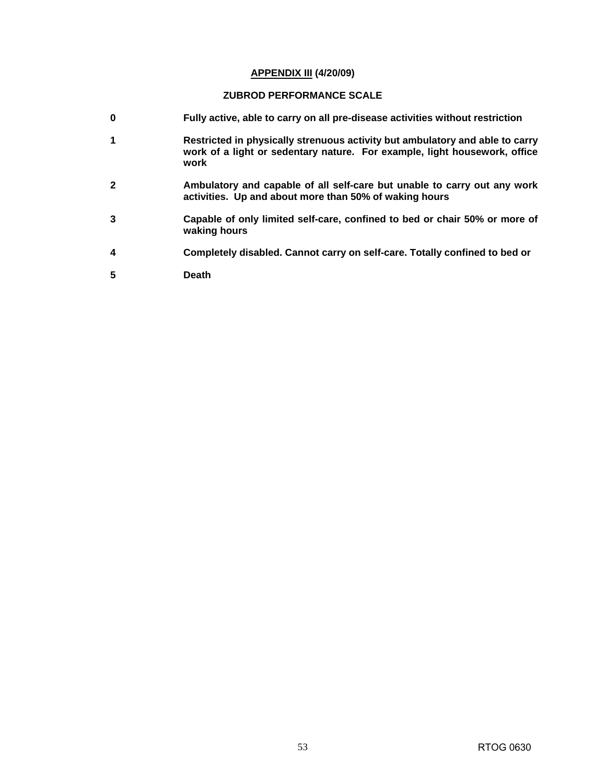#### **APPENDIX III (4/20/09)**

#### **ZUBROD PERFORMANCE SCALE**

- **0 Fully active, able to carry on all pre-disease activities without restriction**
- **1 Restricted in physically strenuous activity but ambulatory and able to carry work of a light or sedentary nature. For example, light housework, office work**
- **2 Ambulatory and capable of all self-care but unable to carry out any work activities. Up and about more than 50% of waking hours**
- **3 Capable of only limited self-care, confined to bed or chair 50% or more of waking hours**
- **4 Completely disabled. Cannot carry on self-care. Totally confined to bed or**
- **5 Death**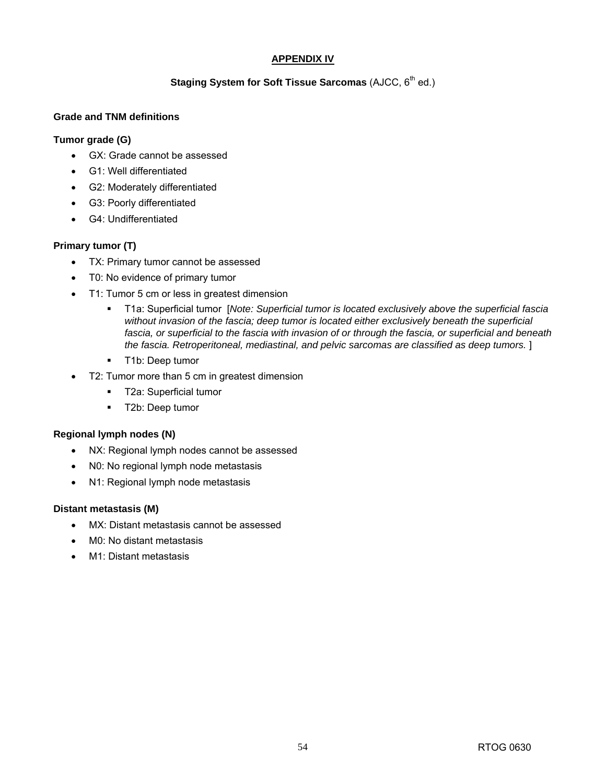## **APPENDIX IV**

## **Staging System for Soft Tissue Sarcomas (AJCC, 6<sup>th</sup> ed.)**

## **Grade and TNM definitions**

### **Tumor grade (G)**

- GX: Grade cannot be assessed
- G1: Well differentiated
- G2: Moderately differentiated
- G3: Poorly differentiated
- G4: Undifferentiated

## **Primary tumor (T)**

- TX: Primary tumor cannot be assessed
- T0: No evidence of primary tumor
- T1: Tumor 5 cm or less in greatest dimension
	- T1a: Superficial tumor [*Note: Superficial tumor is located exclusively above the superficial fascia without invasion of the fascia; deep tumor is located either exclusively beneath the superficial fascia, or superficial to the fascia with invasion of or through the fascia, or superficial and beneath the fascia. Retroperitoneal, mediastinal, and pelvic sarcomas are classified as deep tumors.* ]
	- **T1b: Deep tumor**
- T2: Tumor more than 5 cm in greatest dimension
	- **T2a: Superficial tumor**
	- **T2b: Deep tumor**

#### **Regional lymph nodes (N)**

- NX: Regional lymph nodes cannot be assessed
- N0: No regional lymph node metastasis
- N1: Regional lymph node metastasis

#### **Distant metastasis (M)**

- MX: Distant metastasis cannot be assessed
- M0: No distant metastasis
- M1: Distant metastasis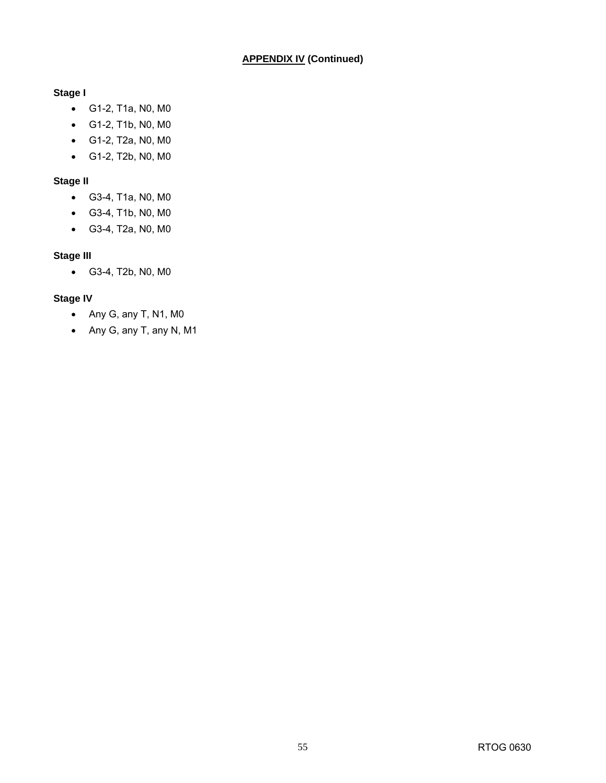## **Stage I**

- G1-2, T1a, N0, M0
- G1-2, T1b, N0, M0
- G1-2, T2a, N0, M0
- G1-2, T2b, N0, M0

## **Stage II**

- G3-4, T1a, N0, M0
- G3-4, T1b, N0, M0
- G3-4, T2a, N0, M0

## **Stage III**

• G3-4, T2b, N0, M0

## **Stage IV**

- Any G, any T, N1, M0
- Any G, any T, any N, M1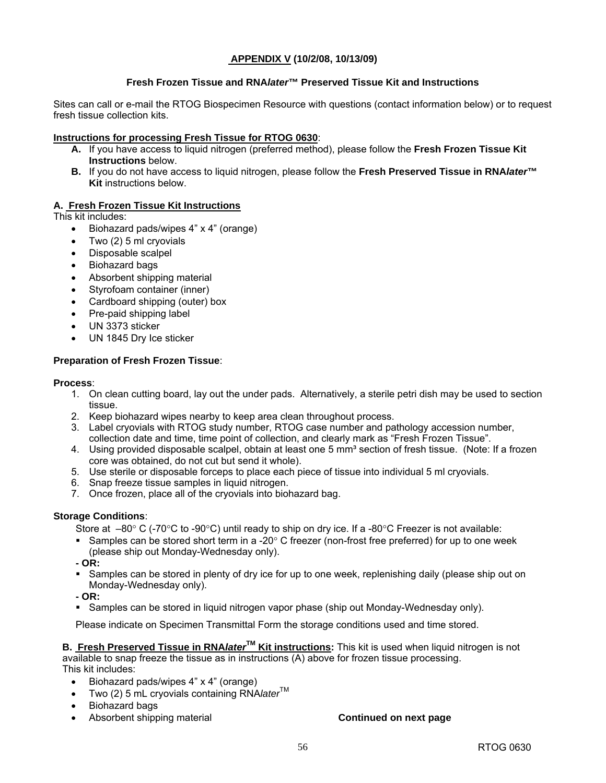## **APPENDIX V (10/2/08, 10/13/09)**

## **Fresh Frozen Tissue and RNA***later***™ Preserved Tissue Kit and Instructions**

Sites can call or e-mail the RTOG Biospecimen Resource with questions (contact information below) or to request fresh tissue collection kits.

### **Instructions for processing Fresh Tissue for RTOG 0630**:

- **A.** If you have access to liquid nitrogen (preferred method), please follow the **Fresh Frozen Tissue Kit Instructions** below.
- **B.** If you do not have access to liquid nitrogen, please follow the **Fresh Preserved Tissue in RNA***later***™ Kit** instructions below.

## **A. Fresh Frozen Tissue Kit Instructions**

This kit includes:

- Biohazard pads/wipes 4" x 4" (orange)
- Two (2) 5 ml cryovials
- Disposable scalpel
- Biohazard bags
- Absorbent shipping material
- Styrofoam container (inner)
- Cardboard shipping (outer) box
- Pre-paid shipping label
- UN 3373 sticker
- UN 1845 Dry Ice sticker

## **Preparation of Fresh Frozen Tissue**:

#### **Process**:

- 1. On clean cutting board, lay out the under pads. Alternatively, a sterile petri dish may be used to section tissue.
- 2. Keep biohazard wipes nearby to keep area clean throughout process.
- 3. Label cryovials with RTOG study number, RTOG case number and pathology accession number, collection date and time, time point of collection, and clearly mark as "Fresh Frozen Tissue".
- 4. Using provided disposable scalpel, obtain at least one 5 mm<sup>3</sup> section of fresh tissue. (Note: If a frozen core was obtained, do not cut but send it whole).
- 5. Use sterile or disposable forceps to place each piece of tissue into individual 5 ml cryovials.
- 6. Snap freeze tissue samples in liquid nitrogen.
- 7. Once frozen, place all of the cryovials into biohazard bag.

## **Storage Conditions**:

Store at  $-80^{\circ}$  C (-70°C to -90°C) until ready to ship on dry ice. If a -80°C Freezer is not available:

Samples can be stored short term in a -20 $^{\circ}$  C freezer (non-frost free preferred) for up to one week (please ship out Monday-Wednesday only).

**- OR:** 

Samples can be stored in plenty of dry ice for up to one week, replenishing daily (please ship out on Monday-Wednesday only).

**- OR:** 

Samples can be stored in liquid nitrogen vapor phase (ship out Monday-Wednesday only).

Please indicate on Specimen Transmittal Form the storage conditions used and time stored.

**B.** Fresh Preserved Tissue in RNA*later*<sup>™</sup> Kit instructions: This kit is used when liquid nitrogen is not available to snap freeze the tissue as in instructions (A) above for frozen tissue processing. This kit includes:

- Biohazard pads/wipes 4" x 4" (orange)
- Two (2) 5 mL cryovials containing RNA/ater<sup>TM</sup>
- Biohazard bags
- Absorbent shipping material **Continued on next page**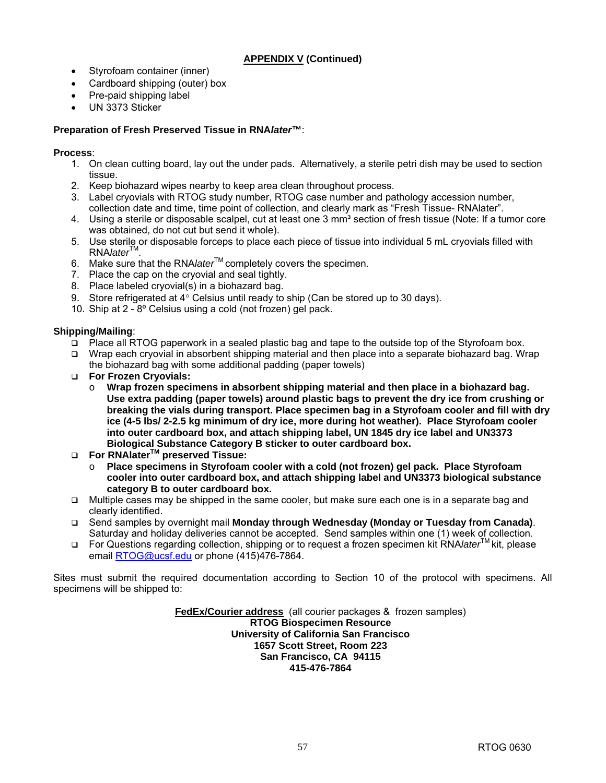## **APPENDIX V (Continued)**

- Styrofoam container (inner)
- Cardboard shipping (outer) box
- Pre-paid shipping label
- UN 3373 Sticker

## **Preparation of Fresh Preserved Tissue in RNA***later***™**:

### **Process**:

- 1. On clean cutting board, lay out the under pads. Alternatively, a sterile petri dish may be used to section tissue.
- 2. Keep biohazard wipes nearby to keep area clean throughout process.
- 3. Label cryovials with RTOG study number, RTOG case number and pathology accession number, collection date and time, time point of collection, and clearly mark as "Fresh Tissue- RNAlater".
- 4. Using a sterile or disposable scalpel, cut at least one 3 mm<sup>3</sup> section of fresh tissue (Note: If a tumor core was obtained, do not cut but send it whole).
- 5. Use sterile or disposable forceps to place each piece of tissue into individual 5 mL cryovials filled with RNA*later*TM.
- 6. Make sure that the RNA*later*TM completely covers the specimen.
- 7. Place the cap on the cryovial and seal tightly.
- 8. Place labeled cryovial(s) in a biohazard bag.
- 9. Store refrigerated at 4° Celsius until ready to ship (Can be stored up to 30 days).
- 10. Ship at 2 8º Celsius using a cold (not frozen) gel pack.

#### **Shipping/Mailing**:

- Place all RTOG paperwork in a sealed plastic bag and tape to the outside top of the Styrofoam box.
- □ Wrap each cryovial in absorbent shipping material and then place into a separate biohazard bag. Wrap the biohazard bag with some additional padding (paper towels)
- **For Frozen Cryovials:** 
	- o **Wrap frozen specimens in absorbent shipping material and then place in a biohazard bag. Use extra padding (paper towels) around plastic bags to prevent the dry ice from crushing or breaking the vials during transport. Place specimen bag in a Styrofoam cooler and fill with dry ice (4-5 lbs/ 2-2.5 kg minimum of dry ice, more during hot weather). Place Styrofoam cooler into outer cardboard box, and attach shipping label, UN 1845 dry ice label and UN3373 Biological Substance Category B sticker to outer cardboard box.**
- **For RNAlaterTM preserved Tissue:** 
	- o **Place specimens in Styrofoam cooler with a cold (not frozen) gel pack. Place Styrofoam cooler into outer cardboard box, and attach shipping label and UN3373 biological substance category B to outer cardboard box.**
- □ Multiple cases may be shipped in the same cooler, but make sure each one is in a separate bag and clearly identified.
- Send samples by overnight mail **Monday through Wednesday (Monday or Tuesday from Canada)**. Saturday and holiday deliveries cannot be accepted. Send samples within one (1) week of collection.
- For Questions regarding collection, shipping or to request a frozen specimen kit RNA*later*TM kit, please email [RTOG@ucsf.edu or](mailto:RTOG@ucsf.edu) phone (415)476-7864.

Sites must submit the required documentation according to Section 10 of the protocol with specimens. All specimens will be shipped to:

> **FedEx/Courier address** (all courier packages & frozen samples) **RTOG Biospecimen Resource University of California San Francisco 1657 Scott Street, Room 223 San Francisco, CA 94115 415-476-7864**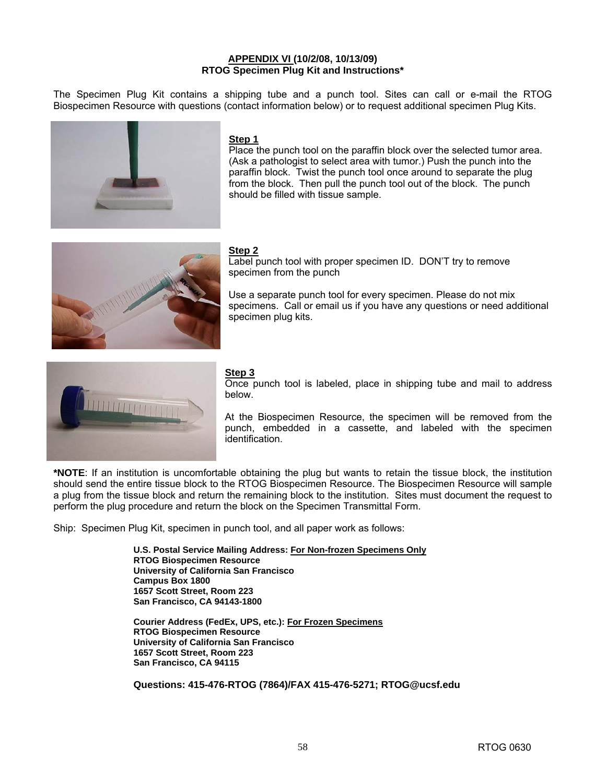#### **APPENDIX VI (10/2/08, 10/13/09) RTOG Specimen Plug Kit and Instructions\***

The Specimen Plug Kit contains a shipping tube and a punch tool. Sites can call or e-mail the RTOG Biospecimen Resource with questions (contact information below) or to request additional specimen Plug Kits.



#### **Step 1**

Place the punch tool on the paraffin block over the selected tumor area. (Ask a pathologist to select area with tumor.) Push the punch into the paraffin block. Twist the punch tool once around to separate the plug from the block. Then pull the punch tool out of the block. The punch should be filled with tissue sample.



#### **Step 2**

Label punch tool with proper specimen ID. DON'T try to remove specimen from the punch

Use a separate punch tool for every specimen. Please do not mix specimens. Call or email us if you have any questions or need additional specimen plug kits.



## **Step 3**

Once punch tool is labeled, place in shipping tube and mail to address below.

At the Biospecimen Resource, the specimen will be removed from the punch, embedded in a cassette, and labeled with the specimen identification.

**\*NOTE**: If an institution is uncomfortable obtaining the plug but wants to retain the tissue block, the institution should send the entire tissue block to the RTOG Biospecimen Resource. The Biospecimen Resource will sample a plug from the tissue block and return the remaining block to the institution. Sites must document the request to perform the plug procedure and return the block on the Specimen Transmittal Form.

Ship: Specimen Plug Kit, specimen in punch tool, and all paper work as follows:

**U.S. Postal Service Mailing Address: For Non-frozen Specimens Only RTOG Biospecimen Resource University of California San Francisco Campus Box 1800 1657 Scott Street, Room 223 San Francisco, CA 94143-1800** 

**Courier Address (FedEx, UPS, etc.): For Frozen Specimens RTOG Biospecimen Resource University of California San Francisco 1657 Scott Street, Room 223 San Francisco, CA 94115**

**Questions: 415-476-RTOG (7864)/FAX 415-476-5271; [RTOG@ucsf.edu](mailto:RTOG@ucsf.edu)**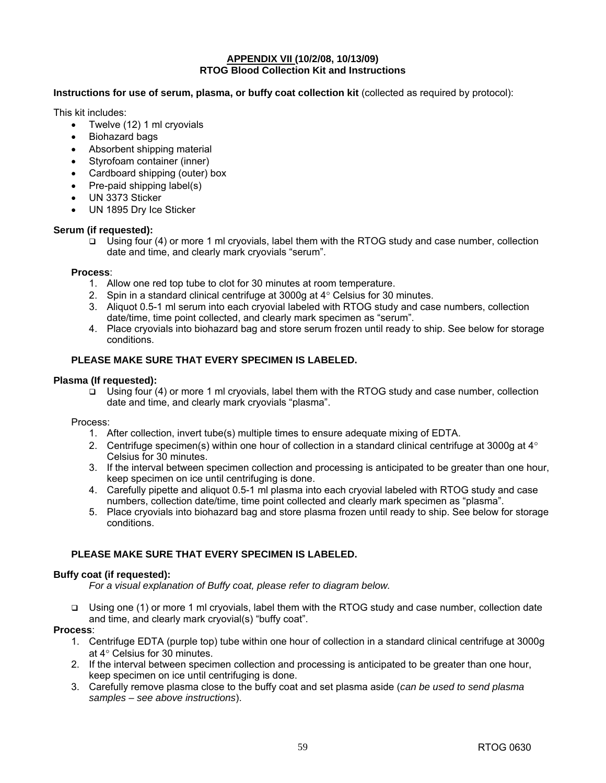#### **APPENDIX VII (10/2/08, 10/13/09) RTOG Blood Collection Kit and Instructions**

#### **Instructions for use of serum, plasma, or buffy coat collection kit** (collected as required by protocol):

This kit includes:

- Twelve (12) 1 ml cryovials
- Biohazard bags
- Absorbent shipping material
- Styrofoam container (inner)
- Cardboard shipping (outer) box
- Pre-paid shipping label(s)
- UN 3373 Sticker
- UN 1895 Dry Ice Sticker

#### **Serum (if requested):**

 $\Box$  Using four (4) or more 1 ml cryovials, label them with the RTOG study and case number, collection date and time, and clearly mark cryovials "serum".

#### **Process**:

- 1. Allow one red top tube to clot for 30 minutes at room temperature.
- 2. Spin in a standard clinical centrifuge at  $3000q$  at  $4^\circ$  Celsius for 30 minutes.
- 3. Aliquot 0.5-1 ml serum into each cryovial labeled with RTOG study and case numbers, collection date/time, time point collected, and clearly mark specimen as "serum".
- 4. Place cryovials into biohazard bag and store serum frozen until ready to ship. See below for storage conditions.

#### **PLEASE MAKE SURE THAT EVERY SPECIMEN IS LABELED.**

#### **Plasma (If requested):**

 $\Box$  Using four (4) or more 1 ml cryovials, label them with the RTOG study and case number, collection date and time, and clearly mark cryovials "plasma".

#### Process:

- 1. After collection, invert tube(s) multiple times to ensure adequate mixing of EDTA.
- 2. Centrifuge specimen(s) within one hour of collection in a standard clinical centrifuge at 3000g at  $4^\circ$ Celsius for 30 minutes.
- 3. If the interval between specimen collection and processing is anticipated to be greater than one hour, keep specimen on ice until centrifuging is done.
- 4. Carefully pipette and aliquot 0.5-1 ml plasma into each cryovial labeled with RTOG study and case numbers, collection date/time, time point collected and clearly mark specimen as "plasma".
- 5. Place cryovials into biohazard bag and store plasma frozen until ready to ship. See below for storage conditions.

#### **PLEASE MAKE SURE THAT EVERY SPECIMEN IS LABELED.**

#### **Buffy coat (if requested):**

*For a visual explanation of Buffy coat, please refer to diagram below.* 

 Using one (1) or more 1 ml cryovials, label them with the RTOG study and case number, collection date and time, and clearly mark cryovial(s) "buffy coat".

#### **Process**:

- 1. Centrifuge EDTA (purple top) tube within one hour of collection in a standard clinical centrifuge at 3000g at 4° Celsius for 30 minutes.
- 2. If the interval between specimen collection and processing is anticipated to be greater than one hour, keep specimen on ice until centrifuging is done.
- 3. Carefully remove plasma close to the buffy coat and set plasma aside (*can be used to send plasma samples – see above instructions*).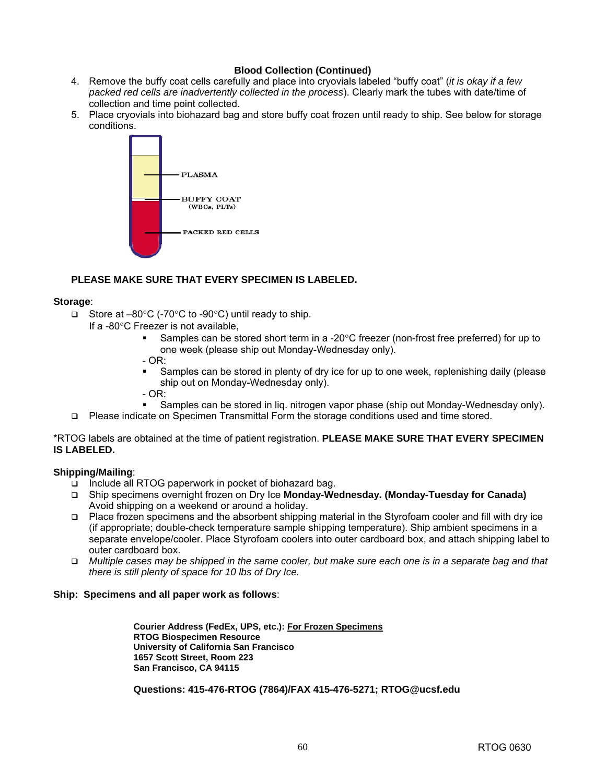## **Blood Collection (Continued)**

- 4. Remove the buffy coat cells carefully and place into cryovials labeled "buffy coat" (*it is okay if a few packed red cells are inadvertently collected in the process*). Clearly mark the tubes with date/time of collection and time point collected.
- 5. Place cryovials into biohazard bag and store buffy coat frozen until ready to ship. See below for storage conditions.



## **PLEASE MAKE SURE THAT EVERY SPECIMEN IS LABELED.**

#### **Storage**:

- □ Store at  $-80^{\circ}$ C (-70 $^{\circ}$ C to -90 $^{\circ}$ C) until ready to ship.
	- If a -80°C Freezer is not available,
		- Samples can be stored short term in a -20°C freezer (non-frost free preferred) for up to one week (please ship out Monday-Wednesday only).
		- $OR:$ 
			- Samples can be stored in plenty of dry ice for up to one week, replenishing daily (please ship out on Monday-Wednesday only).
		- $-$  OR:
		- Samples can be stored in liq. nitrogen vapor phase (ship out Monday-Wednesday only).
- Please indicate on Specimen Transmittal Form the storage conditions used and time stored.

\*RTOG labels are obtained at the time of patient registration. **PLEASE MAKE SURE THAT EVERY SPECIMEN IS LABELED.** 

#### **Shipping/Mailing**:

- $\Box$  Include all RTOG paperwork in pocket of biohazard bag.
- Ship specimens overnight frozen on Dry Ice **Monday-Wednesday. (Monday-Tuesday for Canada)** Avoid shipping on a weekend or around a holiday.
- Place frozen specimens and the absorbent shipping material in the Styrofoam cooler and fill with dry ice (if appropriate; double-check temperature sample shipping temperature). Ship ambient specimens in a separate envelope/cooler. Place Styrofoam coolers into outer cardboard box, and attach shipping label to outer cardboard box.
- *Multiple cases may be shipped in the same cooler, but make sure each one is in a separate bag and that there is still plenty of space for 10 lbs of Dry Ice.*

#### **Ship: Specimens and all paper work as follows**:

**Courier Address (FedEx, UPS, etc.): For Frozen Specimens RTOG Biospecimen Resource University of California San Francisco 1657 Scott Street, Room 223 San Francisco, CA 94115**

#### **Questions: 415-476-RTOG (7864)/FAX 415-476-5271; [RTOG@ucsf.edu](mailto:RTOG@ucsf.edu)**